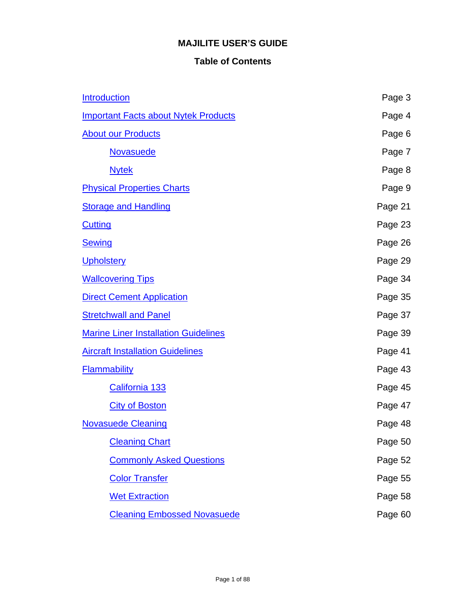# **MAJILITE USER'S GUIDE**

# **Table of Contents**

| <b>Introduction</b>                         | Page 3  |
|---------------------------------------------|---------|
| <b>Important Facts about Nytek Products</b> | Page 4  |
| <b>About our Products</b>                   | Page 6  |
| <b>Novasuede</b>                            | Page 7  |
| <b>Nytek</b>                                | Page 8  |
| <b>Physical Properties Charts</b>           | Page 9  |
| <b>Storage and Handling</b>                 | Page 21 |
| <b>Cutting</b>                              | Page 23 |
| <b>Sewing</b>                               | Page 26 |
| <b>Upholstery</b>                           | Page 29 |
| <b>Wallcovering Tips</b>                    | Page 34 |
| <b>Direct Cement Application</b>            | Page 35 |
| <b>Stretchwall and Panel</b>                | Page 37 |
| <b>Marine Liner Installation Guidelines</b> | Page 39 |
| <b>Aircraft Installation Guidelines</b>     | Page 41 |
| <b>Flammability</b>                         | Page 43 |
| California 133                              | Page 45 |
| <b>City of Boston</b>                       | Page 47 |
| <b>Novasuede Cleaning</b>                   | Page 48 |
| <b>Cleaning Chart</b>                       | Page 50 |
| <b>Commonly Asked Questions</b>             | Page 52 |
| <b>Color Transfer</b>                       | Page 55 |
| <b>Wet Extraction</b>                       | Page 58 |
| <b>Cleaning Embossed Novasuede</b>          | Page 60 |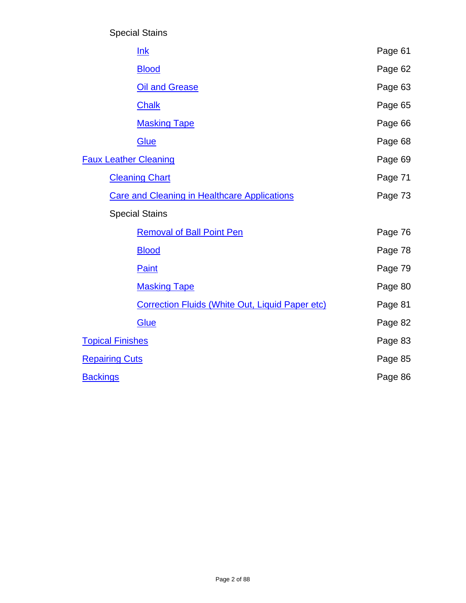Special Stains

| lnk                                                    | Page 61 |
|--------------------------------------------------------|---------|
| <b>Blood</b>                                           | Page 62 |
| <b>Oil and Grease</b>                                  | Page 63 |
| <b>Chalk</b>                                           | Page 65 |
| <b>Masking Tape</b>                                    | Page 66 |
| Glue                                                   | Page 68 |
| <b>Faux Leather Cleaning</b>                           | Page 69 |
| <b>Cleaning Chart</b>                                  | Page 71 |
| <b>Care and Cleaning in Healthcare Applications</b>    | Page 73 |
| <b>Special Stains</b>                                  |         |
| <b>Removal of Ball Point Pen</b>                       | Page 76 |
| <b>Blood</b>                                           | Page 78 |
| Paint                                                  | Page 79 |
| <b>Masking Tape</b>                                    | Page 80 |
| <b>Correction Fluids (White Out, Liquid Paper etc)</b> | Page 81 |
| Glue                                                   | Page 82 |
| <b>Topical Finishes</b>                                | Page 83 |
| <b>Repairing Cuts</b>                                  | Page 85 |
| <b>Backings</b>                                        | Page 86 |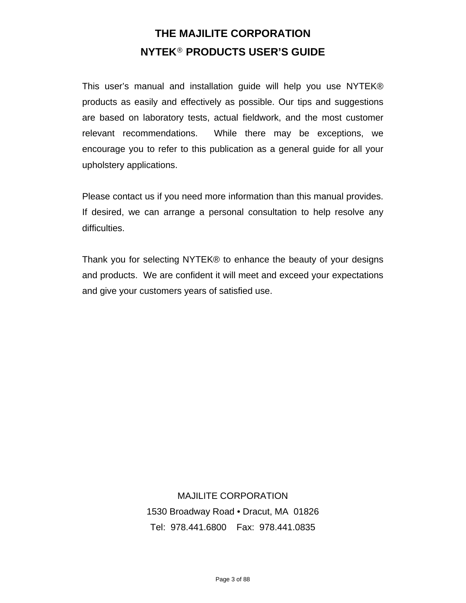# **THE MAJILITE CORPORATION NYTEK® PRODUCTS USER'S GUIDE**

<span id="page-2-0"></span>This user's manual and installation guide will help you use NYTEK® products as easily and effectively as possible. Our tips and suggestions are based on laboratory tests, actual fieldwork, and the most customer relevant recommendations. While there may be exceptions, we encourage you to refer to this publication as a general guide for all your upholstery applications.

Please contact us if you need more information than this manual provides. If desired, we can arrange a personal consultation to help resolve any difficulties.

Thank you for selecting NYTEK® to enhance the beauty of your designs and products. We are confident it will meet and exceed your expectations and give your customers years of satisfied use.

> MAJILITE CORPORATION 1530 Broadway Road • Dracut, MA 01826 Tel: 978.441.6800 Fax: 978.441.0835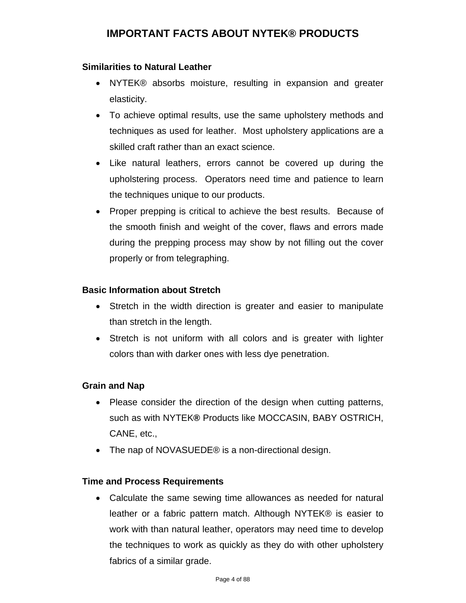# **IMPORTANT FACTS ABOUT NYTEK® PRODUCTS**

#### <span id="page-3-0"></span>**Similarities to Natural Leather**

- NYTEK® absorbs moisture, resulting in expansion and greater elasticity.
- To achieve optimal results, use the same upholstery methods and techniques as used for leather. Most upholstery applications are a skilled craft rather than an exact science.
- Like natural leathers, errors cannot be covered up during the upholstering process. Operators need time and patience to learn the techniques unique to our products.
- Proper prepping is critical to achieve the best results. Because of the smooth finish and weight of the cover, flaws and errors made during the prepping process may show by not filling out the cover properly or from telegraphing.

### **Basic Information about Stretch**

- Stretch in the width direction is greater and easier to manipulate than stretch in the length.
- Stretch is not uniform with all colors and is greater with lighter colors than with darker ones with less dye penetration.

#### **Grain and Nap**

- Please consider the direction of the design when cutting patterns, such as with NYTEK**®** Products like MOCCASIN, BABY OSTRICH, CANE, etc.,
- The nap of NOVASUEDE<sup>®</sup> is a non-directional design.

### **Time and Process Requirements**

 Calculate the same sewing time allowances as needed for natural leather or a fabric pattern match. Although NYTEK® is easier to work with than natural leather, operators may need time to develop the techniques to work as quickly as they do with other upholstery fabrics of a similar grade.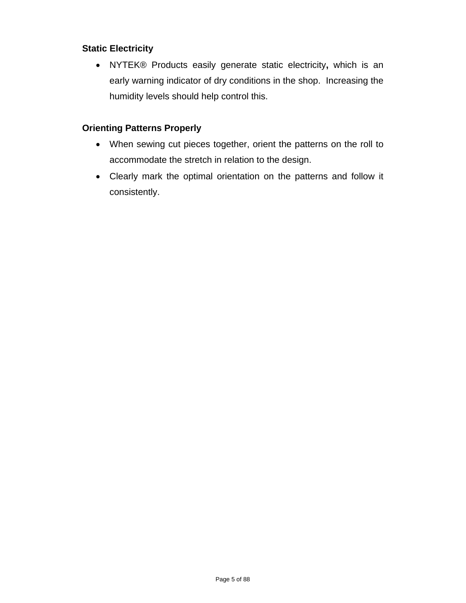# **Static Electricity**

 NYTEK® Products easily generate static electricity**,** which is an early warning indicator of dry conditions in the shop. Increasing the humidity levels should help control this.

### **Orienting Patterns Properly**

- When sewing cut pieces together, orient the patterns on the roll to accommodate the stretch in relation to the design.
- Clearly mark the optimal orientation on the patterns and follow it consistently.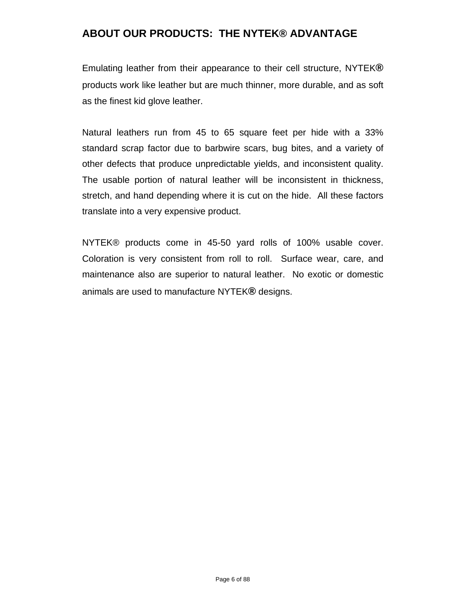# <span id="page-5-0"></span>**ABOUT OUR PRODUCTS: THE NYTEK® ADVANTAGE**

Emulating leather from their appearance to their cell structure, NYTEK**®** products work like leather but are much thinner, more durable, and as soft as the finest kid glove leather.

Natural leathers run from 45 to 65 square feet per hide with a 33% standard scrap factor due to barbwire scars, bug bites, and a variety of other defects that produce unpredictable yields, and inconsistent quality. The usable portion of natural leather will be inconsistent in thickness, stretch, and hand depending where it is cut on the hide. All these factors translate into a very expensive product.

NYTEK® products come in 45-50 yard rolls of 100% usable cover. Coloration is very consistent from roll to roll. Surface wear, care, and maintenance also are superior to natural leather. No exotic or domestic animals are used to manufacture NYTEK**®** designs.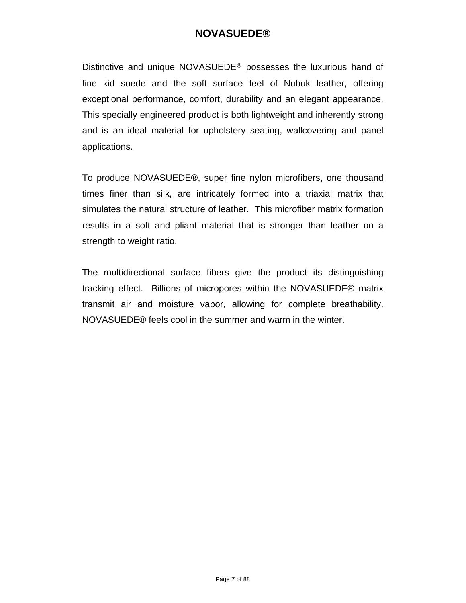# **NOVASUEDE®**

<span id="page-6-0"></span>Distinctive and unique NOVASUEDE**®** possesses the luxurious hand of fine kid suede and the soft surface feel of Nubuk leather, offering exceptional performance, comfort, durability and an elegant appearance. This specially engineered product is both lightweight and inherently strong and is an ideal material for upholstery seating, wallcovering and panel applications.

To produce NOVASUEDE®, super fine nylon microfibers, one thousand times finer than silk, are intricately formed into a triaxial matrix that simulates the natural structure of leather. This microfiber matrix formation results in a soft and pliant material that is stronger than leather on a strength to weight ratio.

The multidirectional surface fibers give the product its distinguishing tracking effect. Billions of micropores within the NOVASUEDE® matrix transmit air and moisture vapor, allowing for complete breathability. NOVASUEDE® feels cool in the summer and warm in the winter.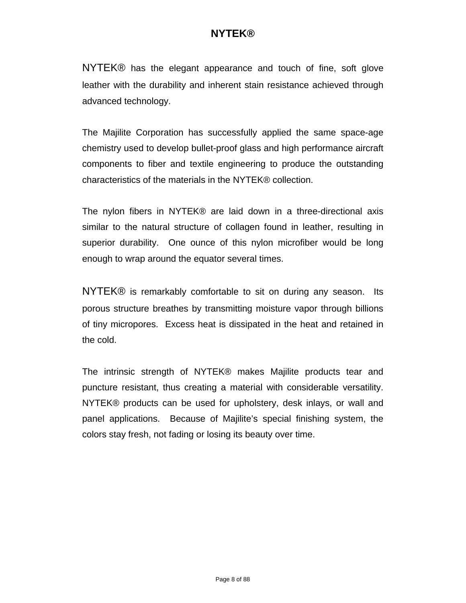# **NYTEK®**

<span id="page-7-0"></span>NYTEK® has the elegant appearance and touch of fine, soft glove leather with the durability and inherent stain resistance achieved through advanced technology.

The Majilite Corporation has successfully applied the same space-age chemistry used to develop bullet-proof glass and high performance aircraft components to fiber and textile engineering to produce the outstanding characteristics of the materials in the NYTEK® collection.

The nylon fibers in NYTEK® are laid down in a three-directional axis similar to the natural structure of collagen found in leather, resulting in superior durability. One ounce of this nylon microfiber would be long enough to wrap around the equator several times.

NYTEK® is remarkably comfortable to sit on during any season. Its porous structure breathes by transmitting moisture vapor through billions of tiny micropores. Excess heat is dissipated in the heat and retained in the cold.

The intrinsic strength of NYTEK® makes Majilite products tear and puncture resistant, thus creating a material with considerable versatility. NYTEK® products can be used for upholstery, desk inlays, or wall and panel applications. Because of Majilite's special finishing system, the colors stay fresh, not fading or losing its beauty over time.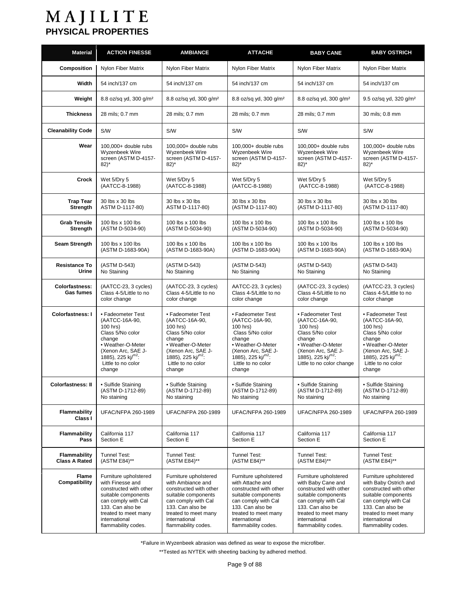<span id="page-8-0"></span>

| <b>Material</b>                             | <b>ACTION FINESSE</b>                                                                                                                                                                                 | <b>AMBIANCE</b>                                                                                                                                                                                        | <b>ATTACHE</b>                                                                                                                                                                                        | <b>BABY CANE</b>                                                                                                                                                                                        | <b>BABY OSTRICH</b>                                                                                                                                                                                        |
|---------------------------------------------|-------------------------------------------------------------------------------------------------------------------------------------------------------------------------------------------------------|--------------------------------------------------------------------------------------------------------------------------------------------------------------------------------------------------------|-------------------------------------------------------------------------------------------------------------------------------------------------------------------------------------------------------|---------------------------------------------------------------------------------------------------------------------------------------------------------------------------------------------------------|------------------------------------------------------------------------------------------------------------------------------------------------------------------------------------------------------------|
| Composition                                 | Nylon Fiber Matrix                                                                                                                                                                                    | Nylon Fiber Matrix                                                                                                                                                                                     | Nylon Fiber Matrix                                                                                                                                                                                    | Nylon Fiber Matrix                                                                                                                                                                                      | Nylon Fiber Matrix                                                                                                                                                                                         |
| Width                                       | 54 inch/137 cm                                                                                                                                                                                        | 54 inch/137 cm                                                                                                                                                                                         | 54 inch/137 cm                                                                                                                                                                                        | 54 inch/137 cm                                                                                                                                                                                          | 54 inch/137 cm                                                                                                                                                                                             |
| Weight                                      | 8.8 oz/sq yd, 300 g/m <sup>2</sup>                                                                                                                                                                    | 8.8 oz/sq yd, 300 q/m <sup>2</sup>                                                                                                                                                                     | 8.8 oz/sq yd, 300 g/m <sup>2</sup>                                                                                                                                                                    | 8.8 oz/sq yd, 300 g/m <sup>2</sup>                                                                                                                                                                      | 9.5 oz/sq yd, 320 g/m <sup>2</sup>                                                                                                                                                                         |
| <b>Thickness</b>                            | 28 mils; 0.7 mm                                                                                                                                                                                       | 28 mils; 0.7 mm                                                                                                                                                                                        | 28 mils; 0.7 mm                                                                                                                                                                                       | 28 mils; 0.7 mm                                                                                                                                                                                         | 30 mils; 0.8 mm                                                                                                                                                                                            |
| <b>Cleanability Code</b>                    | <b>S/W</b>                                                                                                                                                                                            | <b>S/W</b>                                                                                                                                                                                             | S/W                                                                                                                                                                                                   | <b>S/W</b>                                                                                                                                                                                              | S/W                                                                                                                                                                                                        |
| Wear                                        | 100,000+ double rubs<br>Wyzenbeek Wire<br>screen (ASTM D-4157-<br>$82)^{*}$                                                                                                                           | 100,000+ double rubs<br>Wyzenbeek Wire<br>screen (ASTM D-4157-<br>$82)^*$                                                                                                                              | 100,000+ double rubs<br>Wyzenbeek Wire<br>screen (ASTM D-4157-<br>$82$ <sup>*</sup>                                                                                                                   | 100,000+ double rubs<br>Wyzenbeek Wire<br>screen (ASTM D-4157-<br>$82)^*$                                                                                                                               | 100,000+ double rubs<br>Wyzenbeek Wire<br>screen (ASTM D-4157-<br>$82$ <sup>*</sup>                                                                                                                        |
| Crock                                       | Wet 5/Dry 5<br>(AATCC-8-1988)                                                                                                                                                                         | Wet 5/Dry 5<br>(AATCC-8-1988)                                                                                                                                                                          | Wet 5/Dry 5<br>(AATCC-8-1988)                                                                                                                                                                         | Wet 5/Dry 5<br>(AATCC-8-1988)                                                                                                                                                                           | Wet 5/Dry 5<br>(AATCC-8-1988)                                                                                                                                                                              |
| <b>Trap Tear</b><br>Strength                | 30 lbs x 30 lbs<br>ASTM D-1117-80)                                                                                                                                                                    | 30 lbs x 30 lbs<br>ASTM D-1117-80)                                                                                                                                                                     | 30 lbs x 30 lbs<br>(ASTM D-1117-80)                                                                                                                                                                   | 30 lbs x 30 lbs<br>(ASTM D-1117-80)                                                                                                                                                                     | 30 lbs x 30 lbs<br>(ASTM D-1117-80)                                                                                                                                                                        |
| <b>Grab Tensile</b><br>Strength             | 100 lbs x 100 lbs<br>(ASTM D-5034-90)                                                                                                                                                                 | 100 lbs x 100 lbs<br>(ASTM D-5034-90)                                                                                                                                                                  | 100 lbs x 100 lbs<br>(ASTM D-5034-90)                                                                                                                                                                 | 100 lbs x 100 lbs<br>(ASTM D-5034-90)                                                                                                                                                                   | 100 lbs x 100 lbs<br>(ASTM D-5034-90)                                                                                                                                                                      |
| Seam Strength                               | 100 lbs x 100 lbs<br>(ASTM D-1683-90A)                                                                                                                                                                | 100 lbs x 100 lbs<br>(ASTM D-1683-90A)                                                                                                                                                                 | 100 lbs x 100 lbs<br>(ASTM D-1683-90A)                                                                                                                                                                | 100 lbs x 100 lbs<br>(ASTM D-1683-90A)                                                                                                                                                                  | 100 lbs x 100 lbs<br>(ASTM D-1683-90A)                                                                                                                                                                     |
| <b>Resistance To</b><br>Urine               | (ASTM D-543)<br>No Staining                                                                                                                                                                           | (ASTM D-543)<br>No Staining                                                                                                                                                                            | (ASTM D-543)<br>No Staining                                                                                                                                                                           | (ASTM D-543)<br>No Staining                                                                                                                                                                             | (ASTM D-543)<br>No Staining                                                                                                                                                                                |
| <b>Colorfastness:</b><br>Gas fumes          | (AATCC-23, 3 cycles)<br>Class 4-5/Little to no<br>color change                                                                                                                                        | (AATCC-23, 3 cycles)<br>Class 4-5/Little to no<br>color change                                                                                                                                         | AATCC-23, 3 cycles)<br>Class 4-5/Little to no<br>color change                                                                                                                                         | (AATCC-23, 3 cycles)<br>Class 4-5/Little to no<br>color change                                                                                                                                          | (AATCC-23, 3 cycles)<br>Class 4-5/Little to no<br>color change                                                                                                                                             |
| <b>Colorfastness: I</b>                     | • Fadeometer Test<br>(AATCC-16A-90,<br>100 hrs)<br>Class 5/No color<br>change<br>• Weather-O-Meter<br>(Xenon Arc, SAE J-<br>1885), 225 $\text{ki}^{\text{m2}}$ :<br>Little to no color<br>change      | • Fadeometer Test<br>(AATCC-16A-90,<br>100 hrs)<br>Class 5/No color<br>change<br>• Weather-O-Meter<br>(Xenon Arc, SAE J-<br>1885), 225 kj/ $m^2$ :<br>Little to no color<br>change                     | • Fadeometer Test<br>(AATCC-16A-90,<br>100 hrs)<br>Class 5/No color<br>change<br>• Weather-O-Meter<br>(Xenon Arc, SAE J-<br>1885), 225 kj/ $m^2$ :<br>Little to no color<br>change                    | • Fadeometer Test<br>(AATCC-16A-90,<br>100 hrs)<br>Class 5/No color<br>change<br>• Weather-O-Meter<br>(Xenon Arc, SAE J-<br>1885), 225 kj/ $m^2$ :<br>Little to no color change                         | • Fadeometer Test<br>(AATCC-16A-90,<br>100 hrs)<br>Class 5/No color<br>change<br>• Weather-O-Meter<br>(Xenon Arc, SAE J-<br>1885), 225 $ki^{m2}$ :<br>Little to no color<br>change                         |
| Colorfastness: II                           | • Sulfide Staining<br>(ASTM D-1712-89)<br>No staining                                                                                                                                                 | • Sulfide Staining<br>(ASTM D-1712-89)<br>No staining                                                                                                                                                  | • Sulfide Staining<br>(ASTM D-1712-89)<br>No staining                                                                                                                                                 | • Sulfide Staining<br>(ASTM D-1712-89)<br>No staining                                                                                                                                                   | • Sulfide Staining<br>(ASTM D-1712-89)<br>No staining                                                                                                                                                      |
| <b>Flammability</b><br>Class I              | <b>UFAC/NFPA 260-1989</b>                                                                                                                                                                             | <b>UFAC/NFPA 260-1989</b>                                                                                                                                                                              | <b>UFAC/NFPA 260-1989</b>                                                                                                                                                                             | UFAC/NFPA 260-1989                                                                                                                                                                                      | UFAC/NFPA 260-1989                                                                                                                                                                                         |
| <b>Flammability</b><br>Pass                 | California 117<br>Section E                                                                                                                                                                           | California 117<br>Section E                                                                                                                                                                            | California 117<br>Section E                                                                                                                                                                           | California 117<br>Section E                                                                                                                                                                             | California 117<br>Section E                                                                                                                                                                                |
| <b>Flammability</b><br><b>Class A Rated</b> | Tunnel Test:<br>(ASTM E84)**                                                                                                                                                                          | Tunnel Test:<br>(ASTM E84)**                                                                                                                                                                           | <b>Tunnel Test:</b><br>(ASTM E84)**                                                                                                                                                                   | <b>Tunnel Test:</b><br>(ASTM E84)**                                                                                                                                                                     | Tunnel Test:<br>(ASTM E84)**                                                                                                                                                                               |
| Flame<br>Compatibility                      | Furniture upholstered<br>with Finesse and<br>constructed with other<br>suitable components<br>can comply with Cal<br>133. Can also be<br>treated to meet many<br>international<br>flammability codes. | Furniture upholstered<br>with Ambiance and<br>constructed with other<br>suitable components<br>can comply with Cal<br>133. Can also be<br>treated to meet many<br>international<br>flammability codes. | Furniture upholstered<br>with Attache and<br>constructed with other<br>suitable components<br>can comply with Cal<br>133. Can also be<br>treated to meet many<br>international<br>flammability codes. | Furniture upholstered<br>with Baby Cane and<br>constructed with other<br>suitable components<br>can comply with Cal<br>133. Can also be<br>treated to meet many<br>international<br>flammability codes. | Furniture upholstered<br>with Baby Ostrich and<br>constructed with other<br>suitable components<br>can comply with Cal<br>133. Can also be<br>treated to meet many<br>international<br>flammability codes. |

\*Failure in Wyzenbeek abrasion was defined as wear to expose the microfiber.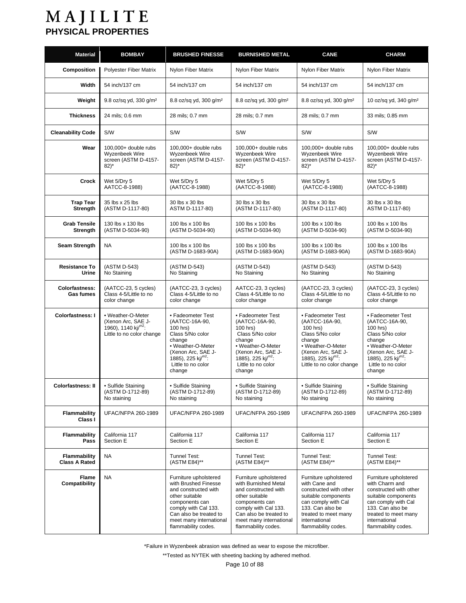| <b>Material</b>                             | <b>BOMBAY</b>                                                                                                 | <b>BRUSHED FINESSE</b>                                                                                                                                                                                        | <b>BURNISHED METAL</b>                                                                                                                                                                                        | <b>CANE</b>                                                                                                                                                                                        | <b>CHARM</b>                                                                                                                                                                                        |
|---------------------------------------------|---------------------------------------------------------------------------------------------------------------|---------------------------------------------------------------------------------------------------------------------------------------------------------------------------------------------------------------|---------------------------------------------------------------------------------------------------------------------------------------------------------------------------------------------------------------|----------------------------------------------------------------------------------------------------------------------------------------------------------------------------------------------------|-----------------------------------------------------------------------------------------------------------------------------------------------------------------------------------------------------|
| Composition                                 | Polyester Fiber Matrix                                                                                        | <b>Nylon Fiber Matrix</b>                                                                                                                                                                                     | Nylon Fiber Matrix                                                                                                                                                                                            | Nylon Fiber Matrix                                                                                                                                                                                 | Nylon Fiber Matrix                                                                                                                                                                                  |
| Width                                       | 54 inch/137 cm                                                                                                | 54 inch/137 cm                                                                                                                                                                                                | 54 inch/137 cm                                                                                                                                                                                                | 54 inch/137 cm                                                                                                                                                                                     | 54 inch/137 cm                                                                                                                                                                                      |
| Weight                                      | 9.8 oz/sq yd, 330 q/m <sup>2</sup>                                                                            | 8.8 oz/sq yd, 300 g/m <sup>2</sup>                                                                                                                                                                            | 8.8 oz/sq yd, 300 g/m <sup>2</sup>                                                                                                                                                                            | 8.8 oz/sq yd, 300 g/m <sup>2</sup>                                                                                                                                                                 | 10 oz/sq yd, 340 g/m <sup>2</sup>                                                                                                                                                                   |
| <b>Thickness</b>                            | 24 mils; 0.6 mm                                                                                               | 28 mils; 0.7 mm                                                                                                                                                                                               | 28 mils; 0.7 mm                                                                                                                                                                                               | 28 mils; 0.7 mm                                                                                                                                                                                    | 33 mils; 0.85 mm                                                                                                                                                                                    |
| <b>Cleanability Code</b>                    | S/W                                                                                                           | S/W                                                                                                                                                                                                           | S/W                                                                                                                                                                                                           | S/W                                                                                                                                                                                                | S/W                                                                                                                                                                                                 |
| Wear                                        | $100,000+$ double rubs<br>Wyzenbeek Wire<br>screen (ASTM D-4157-<br>$82)^*$                                   | 100,000+ double rubs<br>Wyzenbeek Wire<br>screen (ASTM D-4157-<br>82)*                                                                                                                                        | 100,000+ double rubs<br>Wyzenbeek Wire<br>screen (ASTM D-4157-<br>$82)^*$                                                                                                                                     | 100,000+ double rubs<br>Wyzenbeek Wire<br>screen (ASTM D-4157-<br>$82$ <sup>*</sup>                                                                                                                | 100,000+ double rubs<br>Wyzenbeek Wire<br>screen (ASTM D-4157-<br>$82$ <sup>*</sup>                                                                                                                 |
| Crock                                       | Wet 5/Dry 5<br>AATCC-8-1988)                                                                                  | Wet 5/Dry 5<br>(AATCC-8-1988)                                                                                                                                                                                 | Wet 5/Dry 5<br>(AATCC-8-1988)                                                                                                                                                                                 | Wet 5/Dry 5<br>(AATCC-8-1988)                                                                                                                                                                      | Wet 5/Dry 5<br>(AATCC-8-1988)                                                                                                                                                                       |
| <b>Trap Tear</b><br>Strength                | 35 lbs x 25 lbs<br>(ASTM D-1117-80)                                                                           | 30 lbs x 30 lbs<br>ASTM D-1117-80)                                                                                                                                                                            | 30 lbs x 30 lbs<br>(ASTM D-1117-80)                                                                                                                                                                           | 30 lbs x 30 lbs<br>(ASTM D-1117-80)                                                                                                                                                                | 30 lbs x 30 lbs<br>ASTM D-1117-80)                                                                                                                                                                  |
| <b>Grab Tensile</b><br>Strength             | 130 lbs x 130 lbs<br>(ASTM D-5034-90)                                                                         | 100 lbs x 100 lbs<br>(ASTM D-5034-90)                                                                                                                                                                         | 100 lbs x 100 lbs<br>(ASTM D-5034-90)                                                                                                                                                                         | 100 lbs x 100 lbs<br>(ASTM D-5034-90)                                                                                                                                                              | 100 lbs x 100 lbs<br>(ASTM D-5034-90)                                                                                                                                                               |
| Seam Strength                               | <b>NA</b>                                                                                                     | 100 lbs x 100 lbs<br>(ASTM D-1683-90A)                                                                                                                                                                        | 100 lbs x 100 lbs<br>(ASTM D-1683-90A)                                                                                                                                                                        | 100 lbs x 100 lbs<br>(ASTM D-1683-90A)                                                                                                                                                             | 100 lbs x 100 lbs<br>(ASTM D-1683-90A)                                                                                                                                                              |
| <b>Resistance To</b><br>Urine               | (ASTM D-543)<br>No Staining                                                                                   | (ASTM D-543)<br>No Staining                                                                                                                                                                                   | (ASTM D-543)<br>No Staining                                                                                                                                                                                   | (ASTM D-543)<br>No Staining                                                                                                                                                                        | (ASTM D-543)<br>No Staining                                                                                                                                                                         |
| <b>Colorfastness:</b><br><b>Gas fumes</b>   | (AATCC-23, 5 cycles)<br>Class 4-5/Little to no<br>color change                                                | (AATCC-23, 3 cycles)<br>Class 4-5/Little to no<br>color change                                                                                                                                                | AATCC-23, 3 cycles)<br>Class 4-5/Little to no<br>color change                                                                                                                                                 | (AATCC-23, 3 cycles)<br>Class 4-5/Little to no<br>color change                                                                                                                                     | (AATCC-23, 3 cycles)<br>Class 4-5/Little to no<br>color change                                                                                                                                      |
| <b>Colorfastness: I</b>                     | • Weather-O-Meter<br>(Xenon Arc, SAE J-<br>1960), 1140 $\text{kj}^{\text{m2}}$ :<br>Little to no color change | • Fadeometer Test<br>(AATCC-16A-90,<br>100 hrs)<br>Class 5/No color<br>change<br>• Weather-O-Meter<br>(Xenon Arc, SAE J-<br>1885), 225 kj/ $m^2$ :<br>Little to no color<br>change                            | • Fadeometer Test<br>(AATCC-16A-90,<br>100 hrs)<br>Class 5/No color<br>change<br>• Weather-O-Meter<br>(Xenon Arc, SAE J-<br>1885), 225 kj/ $m^2$ :<br>Little to no color<br>change                            | • Fadeometer Test<br>(AATCC-16A-90,<br>100 hrs)<br>Class 5/No color<br>change<br>• Weather-O-Meter<br>(Xenon Arc, SAE J-<br>1885), 225 kj/ $m^2$ :<br>Little to no color change                    | • Fadeometer Test<br>(AATCC-16A-90,<br>100 hrs)<br>Class 5/No color<br>change<br>• Weather-O-Meter<br>(Xenon Arc, SAE J-<br>1885), 225 kj/ $m^2$ :<br>Little to no color<br>change                  |
| Colorfastness: II                           | • Sulfide Staining<br>(ASTM D-1712-89)<br>No staining                                                         | • Sulfide Staining<br>(ASTM D-1712-89)<br>No staining                                                                                                                                                         | • Sulfide Staining<br>(ASTM D-1712-89)<br>No staining                                                                                                                                                         | • Sulfide Staining<br>(ASTM D-1712-89)<br>No staining                                                                                                                                              | • Sulfide Staining<br>(ASTM D-1712-89)<br>No staining                                                                                                                                               |
| Flammability<br>Class I                     | UFAC/NFPA 260-1989                                                                                            | <b>UFAC/NFPA 260-1989</b>                                                                                                                                                                                     | UFAC/NFPA 260-1989                                                                                                                                                                                            | <b>UFAC/NFPA 260-1989</b>                                                                                                                                                                          | UFAC/NFPA 260-1989                                                                                                                                                                                  |
| Flammability<br>Pass                        | California 117<br>Section E                                                                                   | California 117<br>Section E                                                                                                                                                                                   | California 117<br>Section E                                                                                                                                                                                   | California 117<br>Section E                                                                                                                                                                        | California 117<br>Section E                                                                                                                                                                         |
| <b>Flammability</b><br><b>Class A Rated</b> | <b>NA</b>                                                                                                     | Tunnel Test:<br>(ASTM E84)**                                                                                                                                                                                  | <b>Tunnel Test:</b><br>(ASTM E84)**                                                                                                                                                                           | Tunnel Test:<br>(ASTM E84)**                                                                                                                                                                       | Tunnel Test:<br>(ASTM E84)**                                                                                                                                                                        |
| Flame<br>Compatibility                      | <b>NA</b>                                                                                                     | Furniture upholstered<br>with Brushed Finesse<br>and constructed with<br>other suitable<br>components can<br>comply with Cal 133.<br>Can also be treated to<br>meet many international<br>flammability codes. | Furniture upholstered<br>with Burnished Metal<br>and constructed with<br>other suitable<br>components can<br>comply with Cal 133.<br>Can also be treated to<br>meet many international<br>flammability codes. | Furniture upholstered<br>with Cane and<br>constructed with other<br>suitable components<br>can comply with Cal<br>133. Can also be<br>treated to meet many<br>international<br>flammability codes. | Furniture upholstered<br>with Charm and<br>constructed with other<br>suitable components<br>can comply with Cal<br>133. Can also be<br>treated to meet many<br>international<br>flammability codes. |

\*Failure in Wyzenbeek abrasion was defined as wear to expose the microfiber.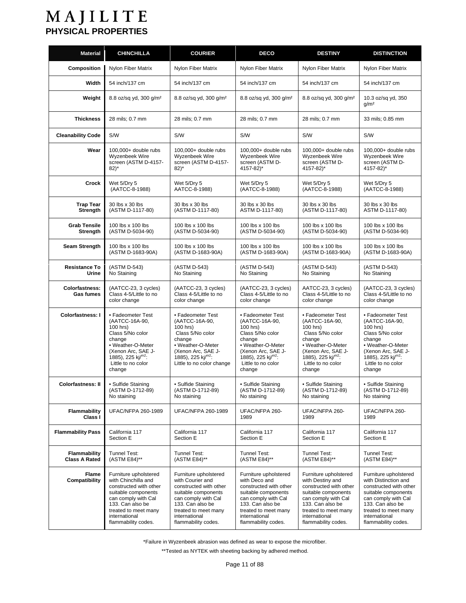| <b>Material</b>                           | <b>CHINCHILLA</b>                                                                                                                                                                                        | <b>COURIER</b>                                                                                                                                                                                        | <b>DECO</b>                                                                                                                                                                                        | <b>DESTINY</b>                                                                                                                                                                                        | <b>DISTINCTION</b>                                                                                                                                                                                        |
|-------------------------------------------|----------------------------------------------------------------------------------------------------------------------------------------------------------------------------------------------------------|-------------------------------------------------------------------------------------------------------------------------------------------------------------------------------------------------------|----------------------------------------------------------------------------------------------------------------------------------------------------------------------------------------------------|-------------------------------------------------------------------------------------------------------------------------------------------------------------------------------------------------------|-----------------------------------------------------------------------------------------------------------------------------------------------------------------------------------------------------------|
| Composition                               | Nylon Fiber Matrix                                                                                                                                                                                       | Nylon Fiber Matrix                                                                                                                                                                                    | Nylon Fiber Matrix                                                                                                                                                                                 | <b>Nylon Fiber Matrix</b>                                                                                                                                                                             | Nylon Fiber Matrix                                                                                                                                                                                        |
| Width                                     | 54 inch/137 cm                                                                                                                                                                                           | 54 inch/137 cm                                                                                                                                                                                        | 54 inch/137 cm                                                                                                                                                                                     | 54 inch/137 cm                                                                                                                                                                                        | 54 inch/137 cm                                                                                                                                                                                            |
| Weight                                    | 8.8 oz/sq yd, 300 g/m <sup>2</sup>                                                                                                                                                                       | 8.8 oz/sq yd, 300 g/m <sup>2</sup>                                                                                                                                                                    | 8.8 oz/sq yd, 300 g/m <sup>2</sup>                                                                                                                                                                 | 8.8 oz/sq yd, 300 g/m <sup>2</sup>                                                                                                                                                                    | 10.3 oz/sq yd, 350<br>g/m <sup>2</sup>                                                                                                                                                                    |
| <b>Thickness</b>                          | 28 mils; 0.7 mm                                                                                                                                                                                          | 28 mils; 0.7 mm                                                                                                                                                                                       | 28 mils; 0.7 mm                                                                                                                                                                                    | 28 mils; 0.7 mm                                                                                                                                                                                       | 33 mils; 0.85 mm                                                                                                                                                                                          |
| <b>Cleanability Code</b>                  | S/W                                                                                                                                                                                                      | S/W                                                                                                                                                                                                   | S/W                                                                                                                                                                                                | S/W                                                                                                                                                                                                   | S/W                                                                                                                                                                                                       |
| Wear                                      | 100,000+ double rubs<br>Wyzenbeek Wire<br>screen (ASTM D-4157-<br>$82$ <sup>*</sup>                                                                                                                      | 100,000+ double rubs<br>Wyzenbeek Wire<br>screen (ASTM D-4157-<br>$82)^*$                                                                                                                             | 100,000+ double rubs<br>Wyzenbeek Wire<br>screen (ASTM D-<br>4157-82)*                                                                                                                             | 100,000+ double rubs<br>Wyzenbeek Wire<br>screen (ASTM D-<br>4157-82)*                                                                                                                                | $100.000+$ double rubs<br>Wyzenbeek Wire<br>screen (ASTM D-<br>4157-82)*                                                                                                                                  |
| Crock                                     | Wet 5/Dry 5<br>(AATCC-8-1988)                                                                                                                                                                            | Wet 5/Dry 5<br>AATCC-8-1988)                                                                                                                                                                          | Wet 5/Dry 5<br>(AATCC-8-1988)                                                                                                                                                                      | Wet 5/Dry 5<br>(AATCC-8-1988)                                                                                                                                                                         | Wet 5/Dry 5<br>(AATCC-8-1988)                                                                                                                                                                             |
| <b>Trap Tear</b><br><b>Strength</b>       | 30 lbs x 30 lbs<br>(ASTM D-1117-80)                                                                                                                                                                      | 30 lbs x 30 lbs<br>(ASTM D-1117-80)                                                                                                                                                                   | 30 lbs x 30 lbs<br>ASTM D-1117-80)                                                                                                                                                                 | 30 lbs x 30 lbs<br>(ASTM D-1117-80)                                                                                                                                                                   | 30 lbs x 30 lbs<br>ASTM D-1117-80)                                                                                                                                                                        |
| <b>Grab Tensile</b><br><b>Strength</b>    | 100 lbs x 100 lbs<br>(ASTM D-5034-90)                                                                                                                                                                    | 100 lbs x 100 lbs<br>(ASTM D-5034-90)                                                                                                                                                                 | 100 lbs x 100 lbs<br>(ASTM D-5034-90)                                                                                                                                                              | 100 lbs x 100 lbs<br>(ASTM D-5034-90)                                                                                                                                                                 | 100 lbs x 100 lbs<br>(ASTM D-5034-90)                                                                                                                                                                     |
| <b>Seam Strength</b>                      | 100 lbs x 100 lbs<br>(ASTM D-1683-90A)                                                                                                                                                                   | 100 lbs x 100 lbs<br>(ASTM D-1683-90A)                                                                                                                                                                | 100 lbs x 100 lbs<br>(ASTM D-1683-90A)                                                                                                                                                             | 100 lbs x 100 lbs<br>(ASTM D-1683-90A)                                                                                                                                                                | 100 lbs x 100 lbs<br>(ASTM D-1683-90A)                                                                                                                                                                    |
| <b>Resistance To</b><br>Urine             | (ASTM D-543)<br>No Staining                                                                                                                                                                              | (ASTM D-543)<br>No Staining                                                                                                                                                                           | (ASTM D-543)<br>No Staining                                                                                                                                                                        | (ASTM D-543)<br>No Staining                                                                                                                                                                           | (ASTM D-543)<br>No Staining                                                                                                                                                                               |
| <b>Colorfastness:</b><br><b>Gas fumes</b> | (AATCC-23, 3 cycles)<br>Class 4-5/Little to no<br>color change                                                                                                                                           | (AATCC-23, 3 cycles)<br>Class 4-5/Little to no<br>color change                                                                                                                                        | (AATCC-23, 3 cycles)<br>Class 4-5/Little to no<br>color change                                                                                                                                     | AATCC-23, 3 cycles)<br>Class 4-5/Little to no<br>color change                                                                                                                                         | (AATCC-23, 3 cycles)<br>Class 4-5/Little to no<br>color change                                                                                                                                            |
| <b>Colorfastness: I</b>                   | • Fadeometer Test<br>(AATCC-16A-90,<br>100 hrs)<br>Class 5/No color<br>change<br>• Weather-O-Meter<br>(Xenon Arc, SAE J-<br>1885), 225 kj/ $m^2$ :<br>Little to no color<br>change                       | • Fadeometer Test<br>(AATCC-16A-90,<br>100 hrs)<br>Class 5/No color<br>change<br>• Weather-O-Meter<br>(Xenon Arc, SAE J-<br>1885), 225 $\text{kj}^{\text{m2}}$ :<br>Little to no color change         | • Fadeometer Test<br>(AATCC-16A-90,<br>100 hrs)<br>Class 5/No color<br>change<br>• Weather-O-Meter<br>(Xenon Arc, SAE J-<br>1885), 225 kj/ $m^2$ :<br>Little to no color<br>change                 | • Fadeometer Test<br>(AATCC-16A-90,<br>100 hrs)<br>Class 5/No color<br>change<br>• Weather-O-Meter<br>(Xenon Arc, SAE J-<br>1885), 225 kj/ $m^2$ :<br>Little to no color<br>change                    | • Fadeometer Test<br>(AATCC-16A-90,<br>100 hrs)<br>Class 5/No color<br>change<br>• Weather-O-Meter<br>(Xenon Arc, SAE J-<br>1885), 225 kj/m <sup>2</sup> :<br>Little to no color<br>change                |
| <b>Colorfastness: II</b>                  | • Sulfide Staining<br>(ASTM D-1712-89)<br>No staining                                                                                                                                                    | • Sulfide Staining<br>(ASTM D-1712-89)<br>No staining                                                                                                                                                 | • Sulfide Staining<br>(ASTM D-1712-89)<br>No staining                                                                                                                                              | • Sulfide Staining<br>(ASTM D-1712-89)<br>No staining                                                                                                                                                 | • Sulfide Staining<br>(ASTM D-1712-89)<br>No staining                                                                                                                                                     |
| <b>Flammability</b><br>Class I            | <b>UFAC/NFPA 260-1989</b>                                                                                                                                                                                | UFAC/NFPA 260-1989                                                                                                                                                                                    | UFAC/NFPA 260-<br>1989                                                                                                                                                                             | UFAC/NFPA 260-<br>1989                                                                                                                                                                                | UFAC/NFPA 260-<br>1989                                                                                                                                                                                    |
| <b>Flammability Pass</b>                  | California 117<br>Section E                                                                                                                                                                              | California 117<br>Section E                                                                                                                                                                           | California 117<br>Section E                                                                                                                                                                        | California 117<br>Section E                                                                                                                                                                           | California 117<br>Section E                                                                                                                                                                               |
| Flammability<br><b>Class A Rated</b>      | Tunnel Test:<br>(ASTM E84)**                                                                                                                                                                             | Tunnel Test:<br>(ASTM E84)**                                                                                                                                                                          | <b>Tunnel Test:</b><br>(ASTM E84)**                                                                                                                                                                | Tunnel Test:<br>(ASTM E84)**                                                                                                                                                                          | Tunnel Test:<br>(ASTM E84)**                                                                                                                                                                              |
| Flame<br>Compatibility                    | Furniture upholstered<br>with Chinchilla and<br>constructed with other<br>suitable components<br>can comply with Cal<br>133. Can also be<br>treated to meet many<br>international<br>flammability codes. | Furniture upholstered<br>with Courier and<br>constructed with other<br>suitable components<br>can comply with Cal<br>133. Can also be<br>treated to meet many<br>international<br>flammability codes. | Furniture upholstered<br>with Deco and<br>constructed with other<br>suitable components<br>can comply with Cal<br>133. Can also be<br>treated to meet many<br>international<br>flammability codes. | Furniture upholstered<br>with Destiny and<br>constructed with other<br>suitable components<br>can comply with Cal<br>133. Can also be<br>treated to meet many<br>international<br>flammability codes. | Furniture upholstered<br>with Distinction and<br>constructed with other<br>suitable components<br>can comply with Cal<br>133. Can also be<br>treated to meet many<br>international<br>flammability codes. |

\*Failure in Wyzenbeek abrasion was defined as wear to expose the microfiber.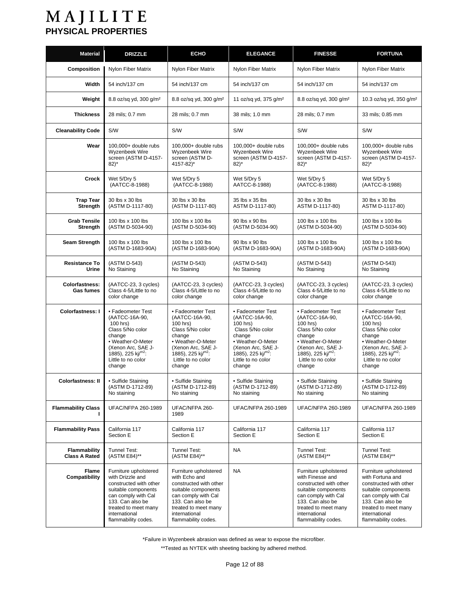| <b>Material</b>             | <b>DRIZZLE</b>                                                                                                                                                                                        | <b>ECHO</b>                                                                                                                                                                                        | <b>ELEGANCE</b>                                                | <b>FINESSE</b>                                                                                                                                                                                        | <b>FORTUNA</b>                                                                                                                                                                                        |
|-----------------------------|-------------------------------------------------------------------------------------------------------------------------------------------------------------------------------------------------------|----------------------------------------------------------------------------------------------------------------------------------------------------------------------------------------------------|----------------------------------------------------------------|-------------------------------------------------------------------------------------------------------------------------------------------------------------------------------------------------------|-------------------------------------------------------------------------------------------------------------------------------------------------------------------------------------------------------|
| <b>Composition</b>          | <b>Nylon Fiber Matrix</b>                                                                                                                                                                             | Nylon Fiber Matrix                                                                                                                                                                                 | Nylon Fiber Matrix                                             | Nylon Fiber Matrix                                                                                                                                                                                    | Nylon Fiber Matrix                                                                                                                                                                                    |
| Width                       | 54 inch/137 cm                                                                                                                                                                                        | 54 inch/137 cm                                                                                                                                                                                     | 54 inch/137 cm                                                 | 54 inch/137 cm                                                                                                                                                                                        | 54 inch/137 cm                                                                                                                                                                                        |
| Weight                      | 8.8 oz/sq yd, 300 g/m <sup>2</sup>                                                                                                                                                                    | 8.8 oz/sq yd, 300 q/m <sup>2</sup>                                                                                                                                                                 | 11 oz/sq yd, 375 g/m <sup>2</sup>                              | 8.8 oz/sq yd, 300 g/m <sup>2</sup>                                                                                                                                                                    | 10.3 oz/sq yd, 350 g/m <sup>2</sup>                                                                                                                                                                   |
| <b>Thickness</b>            | 28 mils; 0.7 mm                                                                                                                                                                                       | 28 mils; 0.7 mm                                                                                                                                                                                    | 38 mils; 1.0 mm                                                | 28 mils; 0.7 mm                                                                                                                                                                                       | 33 mils; 0.85 mm                                                                                                                                                                                      |
| <b>Cleanability Code</b>    | S/W                                                                                                                                                                                                   | S/W                                                                                                                                                                                                | S/W                                                            | S/W                                                                                                                                                                                                   | S/W                                                                                                                                                                                                   |
| Wear                        | 100,000+ double rubs                                                                                                                                                                                  | 100,000+ double rubs                                                                                                                                                                               | 100,000+ double rubs                                           | 100,000+ double rubs                                                                                                                                                                                  | 100,000+ double rubs                                                                                                                                                                                  |
|                             | Wyzenbeek Wire                                                                                                                                                                                        | Wyzenbeek Wire                                                                                                                                                                                     | Wyzenbeek Wire                                                 | <b>Wyzenbeek Wire</b>                                                                                                                                                                                 | Wyzenbeek Wire                                                                                                                                                                                        |
|                             | screen (ASTM D-4157-                                                                                                                                                                                  | screen (ASTM D-                                                                                                                                                                                    | screen (ASTM D-4157-                                           | screen (ASTM D-4157-                                                                                                                                                                                  | screen (ASTM D-4157-                                                                                                                                                                                  |
|                             | $82)^*$                                                                                                                                                                                               | 4157-82)*                                                                                                                                                                                          | $82)^*$                                                        | $82)^*$                                                                                                                                                                                               | $82)^*$                                                                                                                                                                                               |
| Crock                       | Wet 5/Dry 5                                                                                                                                                                                           | Wet 5/Dry 5                                                                                                                                                                                        | Wet 5/Dry 5                                                    | Wet 5/Dry 5                                                                                                                                                                                           | Wet 5/Dry 5                                                                                                                                                                                           |
|                             | (AATCC-8-1988)                                                                                                                                                                                        | (AATCC-8-1988)                                                                                                                                                                                     | AATCC-8-1988)                                                  | (AATCC-8-1988)                                                                                                                                                                                        | (AATCC-8-1988)                                                                                                                                                                                        |
| <b>Trap Tear</b>            | 30 lbs x 30 lbs                                                                                                                                                                                       | 30 lbs x 30 lbs                                                                                                                                                                                    | 35 lbs x 35 lbs                                                | 30 lbs x 30 lbs                                                                                                                                                                                       | 30 lbs x 30 lbs                                                                                                                                                                                       |
| <b>Strength</b>             | (ASTM D-1117-80)                                                                                                                                                                                      | (ASTM D-1117-80)                                                                                                                                                                                   | ASTM D-1117-80)                                                | ASTM D-1117-80)                                                                                                                                                                                       | ASTM D-1117-80)                                                                                                                                                                                       |
| <b>Grab Tensile</b>         | 100 lbs x 100 lbs                                                                                                                                                                                     | 100 lbs x 100 lbs                                                                                                                                                                                  | 90 lbs x 90 lbs                                                | 100 lbs x 100 lbs                                                                                                                                                                                     | 100 lbs x 100 lbs                                                                                                                                                                                     |
| Strength                    | (ASTM D-5034-90)                                                                                                                                                                                      | (ASTM D-5034-90)                                                                                                                                                                                   | (ASTM D-5034-90)                                               | (ASTM D-5034-90)                                                                                                                                                                                      | (ASTM D-5034-90)                                                                                                                                                                                      |
| Seam Strength               | 100 lbs x 100 lbs                                                                                                                                                                                     | 100 lbs x 100 lbs                                                                                                                                                                                  | 90 lbs x 90 lbs                                                | 100 lbs x 100 lbs                                                                                                                                                                                     | 100 lbs x 100 lbs                                                                                                                                                                                     |
|                             | (ASTM D-1683-90A)                                                                                                                                                                                     | (ASTM D-1683-90A)                                                                                                                                                                                  | (ASTM D-1683-90A)                                              | (ASTM D-1683-90A)                                                                                                                                                                                     | (ASTM D-1683-90A)                                                                                                                                                                                     |
| <b>Resistance To</b>        | (ASTM D-543)                                                                                                                                                                                          | (ASTM D-543)                                                                                                                                                                                       | (ASTM D-543)                                                   | (ASTM D-543)                                                                                                                                                                                          | (ASTM D-543)                                                                                                                                                                                          |
| Urine                       | No Staining                                                                                                                                                                                           | No Staining                                                                                                                                                                                        | No Staining                                                    | No Staining                                                                                                                                                                                           | No Staining                                                                                                                                                                                           |
| Colorfastness:<br>Gas fumes | (AATCC-23, 3 cycles)<br>Class 4-5/Little to no<br>color change                                                                                                                                        | (AATCC-23, 3 cycles)<br>Class 4-5/Little to no<br>color change                                                                                                                                     | (AATCC-23, 3 cycles)<br>Class 4-5/Little to no<br>color change | (AATCC-23, 3 cycles)<br>Class 4-5/Little to no<br>color change                                                                                                                                        | (AATCC-23, 3 cycles)<br>Class 4-5/Little to no<br>color change                                                                                                                                        |
| Colorfastness: I            | • Fadeometer Test                                                                                                                                                                                     | • Fadeometer Test                                                                                                                                                                                  | • Fadeometer Test                                              | • Fadeometer Test                                                                                                                                                                                     | • Fadeometer Test                                                                                                                                                                                     |
|                             | (AATCC-16A-90,                                                                                                                                                                                        | (AATCC-16A-90,                                                                                                                                                                                     | (AATCC-16A-90,                                                 | (AATCC-16A-90,                                                                                                                                                                                        | (AATCC-16A-90,                                                                                                                                                                                        |
|                             | 100 hrs)                                                                                                                                                                                              | 100 hrs)                                                                                                                                                                                           | 100 hrs)                                                       | 100 hrs)                                                                                                                                                                                              | 100 hrs)                                                                                                                                                                                              |
|                             | Class 5/No color                                                                                                                                                                                      | Class 5/No color                                                                                                                                                                                   | Class 5/No color                                               | Class 5/No color                                                                                                                                                                                      | Class 5/No color                                                                                                                                                                                      |
|                             | change                                                                                                                                                                                                | change                                                                                                                                                                                             | change                                                         | change                                                                                                                                                                                                | change                                                                                                                                                                                                |
|                             | • Weather-O-Meter                                                                                                                                                                                     | • Weather-O-Meter                                                                                                                                                                                  | • Weather-O-Meter                                              | • Weather-O-Meter                                                                                                                                                                                     | • Weather-O-Meter                                                                                                                                                                                     |
|                             | (Xenon Arc, SAE J-                                                                                                                                                                                    | (Xenon Arc, SAE J-                                                                                                                                                                                 | (Xenon Arc, SAE J-                                             | (Xenon Arc, SAE J-                                                                                                                                                                                    | (Xenon Arc, SAE J-                                                                                                                                                                                    |
|                             | 1885), 225 kj/ <sup>m2</sup> :                                                                                                                                                                        | 1885), 225 kj/ $m^2$ :                                                                                                                                                                             | 1885), 225 kj/ $m^2$ :                                         | 1885), 225 kj/m <sup>2</sup> :                                                                                                                                                                        | 1885), 225 kj/ $m^2$ :                                                                                                                                                                                |
|                             | Little to no color                                                                                                                                                                                    | Little to no color                                                                                                                                                                                 | Little to no color                                             | Little to no color                                                                                                                                                                                    | Little to no color                                                                                                                                                                                    |
|                             | change                                                                                                                                                                                                | change                                                                                                                                                                                             | change                                                         | change                                                                                                                                                                                                | change                                                                                                                                                                                                |
| <b>Colorfastness: II</b>    | • Sulfide Staining                                                                                                                                                                                    | · Sulfide Staining                                                                                                                                                                                 | • Sulfide Staining                                             | • Sulfide Staining                                                                                                                                                                                    | • Sulfide Staining                                                                                                                                                                                    |
|                             | (ASTM D-1712-89)                                                                                                                                                                                      | (ASTM D-1712-89)                                                                                                                                                                                   | (ASTM D-1712-89)                                               | (ASTM D-1712-89)                                                                                                                                                                                      | (ASTM D-1712-89)                                                                                                                                                                                      |
|                             | No staining                                                                                                                                                                                           | No staining                                                                                                                                                                                        | No staining                                                    | No staining                                                                                                                                                                                           | No staining                                                                                                                                                                                           |
| <b>Flammability Class</b>   | <b>UFAC/NFPA 260-1989</b>                                                                                                                                                                             | UFAC/NFPA 260-<br>1989                                                                                                                                                                             | <b>UFAC/NFPA 260-1989</b>                                      | <b>UFAC/NFPA 260-1989</b>                                                                                                                                                                             | <b>UFAC/NFPA 260-1989</b>                                                                                                                                                                             |
| <b>Flammability Pass</b>    | California 117                                                                                                                                                                                        | California 117                                                                                                                                                                                     | California 117                                                 | California 117                                                                                                                                                                                        | California 117                                                                                                                                                                                        |
|                             | Section E                                                                                                                                                                                             | Section E                                                                                                                                                                                          | Section E                                                      | Section E                                                                                                                                                                                             | Section E                                                                                                                                                                                             |
| <b>Flammability</b>         | <b>Tunnel Test:</b>                                                                                                                                                                                   | <b>Tunnel Test:</b>                                                                                                                                                                                | <b>NA</b>                                                      | Tunnel Test:                                                                                                                                                                                          | Tunnel Test:                                                                                                                                                                                          |
| <b>Class A Rated</b>        | (ASTM E84)**                                                                                                                                                                                          | (ASTM E84)**                                                                                                                                                                                       |                                                                | (ASTM E84)**                                                                                                                                                                                          | (ASTM E84)**                                                                                                                                                                                          |
| Flame<br>Compatibility      | Furniture upholstered<br>with Drizzle and<br>constructed with other<br>suitable components<br>can comply with Cal<br>133. Can also be<br>treated to meet many<br>international<br>flammability codes. | Furniture upholstered<br>with Echo and<br>constructed with other<br>suitable components<br>can comply with Cal<br>133. Can also be<br>treated to meet many<br>international<br>flammability codes. | <b>NA</b>                                                      | Furniture upholstered<br>with Finesse and<br>constructed with other<br>suitable components<br>can comply with Cal<br>133. Can also be<br>treated to meet many<br>international<br>flammability codes. | Furniture upholstered<br>with Fortuna and<br>constructed with other<br>suitable components<br>can comply with Cal<br>133. Can also be<br>treated to meet many<br>international<br>flammability codes. |

\*Failure in Wyzenbeek abrasion was defined as wear to expose the microfiber.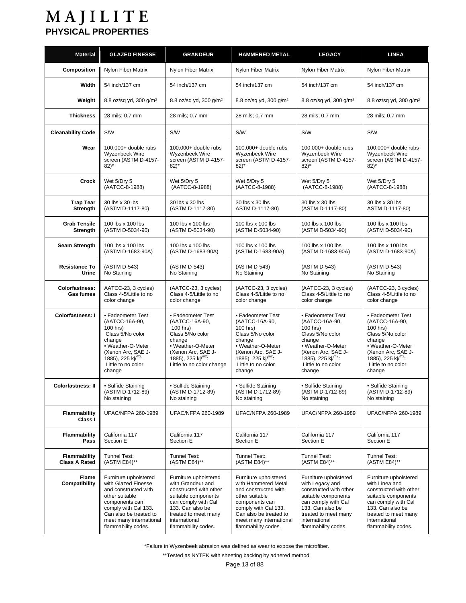| <b>Material</b>                             | <b>GLAZED FINESSE</b>                                                                                                                                                                                        | <b>GRANDEUR</b>                                                                                                                                                                                        | <b>HAMMERED METAL</b>                                                                                                                                                                                        | <b>LEGACY</b>                                                                                                                                                                                        | <b>LINEA</b>                                                                                                                                                                                        |
|---------------------------------------------|--------------------------------------------------------------------------------------------------------------------------------------------------------------------------------------------------------------|--------------------------------------------------------------------------------------------------------------------------------------------------------------------------------------------------------|--------------------------------------------------------------------------------------------------------------------------------------------------------------------------------------------------------------|------------------------------------------------------------------------------------------------------------------------------------------------------------------------------------------------------|-----------------------------------------------------------------------------------------------------------------------------------------------------------------------------------------------------|
| Composition                                 | Nylon Fiber Matrix                                                                                                                                                                                           | Nylon Fiber Matrix                                                                                                                                                                                     | Nylon Fiber Matrix                                                                                                                                                                                           | Nylon Fiber Matrix                                                                                                                                                                                   | Nylon Fiber Matrix                                                                                                                                                                                  |
| Width                                       | 54 inch/137 cm                                                                                                                                                                                               | 54 inch/137 cm                                                                                                                                                                                         | 54 inch/137 cm                                                                                                                                                                                               | 54 inch/137 cm                                                                                                                                                                                       | 54 inch/137 cm                                                                                                                                                                                      |
| Weight                                      | 8.8 oz/sq yd, 300 g/m <sup>2</sup>                                                                                                                                                                           | 8.8 oz/sq yd, 300 g/m <sup>2</sup>                                                                                                                                                                     | 8.8 oz/sq yd, 300 g/m <sup>2</sup>                                                                                                                                                                           | 8.8 oz/sq yd, 300 g/m <sup>2</sup>                                                                                                                                                                   | 8.8 oz/sq yd, 300 q/m <sup>2</sup>                                                                                                                                                                  |
| <b>Thickness</b>                            | 28 mils; 0.7 mm                                                                                                                                                                                              | 28 mils; 0.7 mm                                                                                                                                                                                        | 28 mils; 0.7 mm                                                                                                                                                                                              | 28 mils; 0.7 mm                                                                                                                                                                                      | 28 mils; 0.7 mm                                                                                                                                                                                     |
| <b>Cleanability Code</b>                    | S/W                                                                                                                                                                                                          | S/W                                                                                                                                                                                                    | S/W                                                                                                                                                                                                          | S/W                                                                                                                                                                                                  | S/W                                                                                                                                                                                                 |
| Wear                                        | 100,000+ double rubs<br>Wyzenbeek Wire<br>screen (ASTM D-4157-<br>$82$ <sup>*</sup>                                                                                                                          | 100,000+ double rubs<br>Wyzenbeek Wire<br>screen (ASTM D-4157-<br>$82)^*$                                                                                                                              | 100,000+ double rubs<br>Wyzenbeek Wire<br>screen (ASTM D-4157-<br>$82)^*$                                                                                                                                    | 100,000+ double rubs<br>Wyzenbeek Wire<br>screen (ASTM D-4157-<br>$82)^*$                                                                                                                            | $100.000 +$ double rubs<br>Wyzenbeek Wire<br>screen (ASTM D-4157-<br>$82$ <sup>*</sup>                                                                                                              |
| Crock                                       | Wet 5/Dry 5<br>(AATCC-8-1988)                                                                                                                                                                                | Wet 5/Dry 5<br>(AATCC-8-1988)                                                                                                                                                                          | Wet 5/Dry 5<br>(AATCC-8-1988)                                                                                                                                                                                | Wet 5/Dry 5<br>(AATCC-8-1988)                                                                                                                                                                        | Wet 5/Dry 5<br>(AATCC-8-1988)                                                                                                                                                                       |
| <b>Trap Tear</b><br>Strength                | 30 lbs x 30 lbs<br>(ASTM D-1117-80)                                                                                                                                                                          | 30 lbs x 30 lbs<br>(ASTM D-1117-80)                                                                                                                                                                    | 30 lbs x 30 lbs<br>ASTM D-1117-80)                                                                                                                                                                           | 30 lbs x 30 lbs<br>(ASTM D-1117-80)                                                                                                                                                                  | 30 lbs x 30 lbs<br>ASTM D-1117-80)                                                                                                                                                                  |
| <b>Grab Tensile</b><br>Strength             | 100 lbs x 100 lbs<br>(ASTM D-5034-90)                                                                                                                                                                        | 100 lbs x 100 lbs<br>(ASTM D-5034-90)                                                                                                                                                                  | 100 lbs x 100 lbs<br>(ASTM D-5034-90)                                                                                                                                                                        | 100 lbs x 100 lbs<br>(ASTM D-5034-90)                                                                                                                                                                | 100 lbs x 100 lbs<br>(ASTM D-5034-90)                                                                                                                                                               |
| <b>Seam Strength</b>                        | 100 lbs x 100 lbs<br>(ASTM D-1683-90A)                                                                                                                                                                       | 100 lbs x 100 lbs<br>(ASTM D-1683-90A)                                                                                                                                                                 | 100 lbs x 100 lbs<br>(ASTM D-1683-90A)                                                                                                                                                                       | 100 lbs x 100 lbs<br>(ASTM D-1683-90A)                                                                                                                                                               | 100 lbs x 100 lbs<br>(ASTM D-1683-90A)                                                                                                                                                              |
| <b>Resistance To</b><br>Urine               | (ASTM D-543)<br>No Staining                                                                                                                                                                                  | (ASTM D-543)<br>No Staining                                                                                                                                                                            | (ASTM D-543)<br>No Staining                                                                                                                                                                                  | (ASTM D-543)<br>No Staining                                                                                                                                                                          | (ASTM D-543)<br>No Staining                                                                                                                                                                         |
| <b>Colorfastness:</b><br><b>Gas fumes</b>   | AATCC-23, 3 cycles)<br>Class 4-5/Little to no<br>color change                                                                                                                                                | (AATCC-23, 3 cycles)<br>Class 4-5/Little to no<br>color change                                                                                                                                         | (AATCC-23, 3 cycles)<br>Class 4-5/Little to no<br>color change                                                                                                                                               | (AATCC-23, 3 cycles)<br>Class 4-5/Little to no<br>color change                                                                                                                                       | (AATCC-23, 3 cycles)<br>Class 4-5/Little to no<br>color change                                                                                                                                      |
| <b>Colorfastness: I</b>                     | • Fadeometer Test<br>(AATCC-16A-90,<br>100 hrs)<br>Class 5/No color<br>change<br>• Weather-O-Meter<br>(Xenon Arc, SAE J-<br>1885), 225 $kj^{m2}$ :<br>Little to no color<br>change                           | • Fadeometer Test<br>(AATCC-16A-90,<br>100 hrs)<br>Class 5/No color<br>change<br>• Weather-O-Meter<br>(Xenon Arc, SAE J-<br>1885), 225 kj/ $m^2$ :<br>Little to no color change                        | • Fadeometer Test<br>(AATCC-16A-90,<br>100 hrs)<br>Class 5/No color<br>change<br>• Weather-O-Meter<br>(Xenon Arc, SAE J-<br>1885), 225 kj/ $m^2$ :<br>Little to no color<br>change                           | • Fadeometer Test<br>(AATCC-16A-90,<br>100 hrs)<br>Class 5/No color<br>change<br>• Weather-O-Meter<br>(Xenon Arc, SAE J-<br>1885), 225 $kj^{m2}$ :<br>Little to no color<br>change                   | • Fadeometer Test<br>(AATCC-16A-90,<br>100 hrs)<br>Class 5/No color<br>change<br>• Weather-O-Meter<br>(Xenon Arc, SAE J-<br>1885), 225 $\text{kj}^{\text{m2}}$ :<br>Little to no color<br>change    |
| <b>Colorfastness: II</b>                    | • Sulfide Staining<br>(ASTM D-1712-89)<br>No staining                                                                                                                                                        | • Sulfide Staining<br>(ASTM D-1712-89)<br>No staining                                                                                                                                                  | · Sulfide Staining<br>(ASTM D-1712-89)<br>No staining                                                                                                                                                        | • Sulfide Staining<br>(ASTM D-1712-89)<br>No staining                                                                                                                                                | • Sulfide Staining<br>(ASTM D-1712-89)<br>No staining                                                                                                                                               |
| <b>Flammability</b><br>Class I              | UFAC/NFPA 260-1989                                                                                                                                                                                           | <b>UFAC/NFPA 260-1989</b>                                                                                                                                                                              | UFAC/NFPA 260-1989                                                                                                                                                                                           | UFAC/NFPA 260-1989                                                                                                                                                                                   | UFAC/NFPA 260-1989                                                                                                                                                                                  |
| <b>Flammability</b><br>Pass                 | California 117<br>Section E                                                                                                                                                                                  | California 117<br>Section E                                                                                                                                                                            | California 117<br>Section E                                                                                                                                                                                  | California 117<br>Section E                                                                                                                                                                          | California 117<br>Section E                                                                                                                                                                         |
| <b>Flammability</b><br><b>Class A Rated</b> | Tunnel Test:<br>(ASTM E84)**                                                                                                                                                                                 | Tunnel Test:<br>(ASTM E84)**                                                                                                                                                                           | <b>Tunnel Test:</b><br>(ASTM E84)**                                                                                                                                                                          | Tunnel Test:<br>(ASTM E84)**                                                                                                                                                                         | <b>Tunnel Test:</b><br>(ASTM E84)**                                                                                                                                                                 |
| Flame<br>Compatibility                      | Furniture upholstered<br>with Glazed Finesse<br>and constructed with<br>other suitable<br>components can<br>comply with Cal 133.<br>Can also be treated to<br>meet many international<br>flammability codes. | Furniture upholstered<br>with Grandeur and<br>constructed with other<br>suitable components<br>can comply with Cal<br>133. Can also be<br>treated to meet many<br>international<br>flammability codes. | Furniture upholstered<br>with Hammered Metal<br>and constructed with<br>other suitable<br>components can<br>comply with Cal 133.<br>Can also be treated to<br>meet many international<br>flammability codes. | Furniture upholstered<br>with Legacy and<br>constructed with other<br>suitable components<br>can comply with Cal<br>133. Can also be<br>treated to meet many<br>international<br>flammability codes. | Furniture upholstered<br>with Linea and<br>constructed with other<br>suitable components<br>can comply with Cal<br>133. Can also be<br>treated to meet many<br>international<br>flammability codes. |

\*Failure in Wyzenbeek abrasion was defined as wear to expose the microfiber.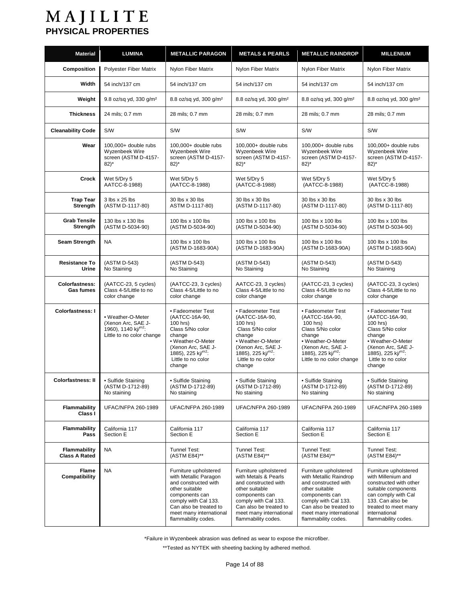| <b>Material</b>                           | LUMINA                                                                                                  | <b>METALLIC PARAGON</b>                                                                                                                                                                                        | <b>METALS &amp; PEARLS</b>                                                                                                                                                                                    | <b>METALLIC RAINDROP</b>                                                                                                                                                                                        | <b>MILLENIUM</b>                                                                                                                                                                                        |
|-------------------------------------------|---------------------------------------------------------------------------------------------------------|----------------------------------------------------------------------------------------------------------------------------------------------------------------------------------------------------------------|---------------------------------------------------------------------------------------------------------------------------------------------------------------------------------------------------------------|-----------------------------------------------------------------------------------------------------------------------------------------------------------------------------------------------------------------|---------------------------------------------------------------------------------------------------------------------------------------------------------------------------------------------------------|
| <b>Composition</b>                        | Polyester Fiber Matrix                                                                                  | <b>Nylon Fiber Matrix</b>                                                                                                                                                                                      | Nylon Fiber Matrix                                                                                                                                                                                            | Nylon Fiber Matrix                                                                                                                                                                                              | Nylon Fiber Matrix                                                                                                                                                                                      |
| Width                                     | 54 inch/137 cm                                                                                          | 54 inch/137 cm                                                                                                                                                                                                 | 54 inch/137 cm                                                                                                                                                                                                | 54 inch/137 cm                                                                                                                                                                                                  | 54 inch/137 cm                                                                                                                                                                                          |
| Weight                                    | 9.8 oz/sq yd, 330 g/m <sup>2</sup>                                                                      | 8.8 oz/sq yd, 300 g/m <sup>2</sup>                                                                                                                                                                             | 8.8 oz/sq yd, 300 g/m <sup>2</sup>                                                                                                                                                                            | 8.8 oz/sq yd, 300 q/m <sup>2</sup>                                                                                                                                                                              | 8.8 oz/sq yd, 300 g/m <sup>2</sup>                                                                                                                                                                      |
| <b>Thickness</b>                          | 24 mils; 0.7 mm                                                                                         | 28 mils; 0.7 mm                                                                                                                                                                                                | 28 mils; 0.7 mm                                                                                                                                                                                               | 28 mils; 0.7 mm                                                                                                                                                                                                 | 28 mils; 0.7 mm                                                                                                                                                                                         |
| <b>Cleanability Code</b>                  | <b>S/W</b>                                                                                              | S/W                                                                                                                                                                                                            | S/W                                                                                                                                                                                                           | S/W                                                                                                                                                                                                             | S/W                                                                                                                                                                                                     |
| Wear                                      | 100,000+ double rubs<br>Wyzenbeek Wire<br>screen (ASTM D-4157-<br>$82$ <sup>*</sup>                     | 100,000+ double rubs<br>Wyzenbeek Wire<br>screen (ASTM D-4157-<br>$82)^*$                                                                                                                                      | 100,000+ double rubs<br>Wyzenbeek Wire<br>screen (ASTM D-4157-<br>$82$ <sup>*</sup>                                                                                                                           | 100,000+ double rubs<br>Wyzenbeek Wire<br>screen (ASTM D-4157-<br>$82$ <sup>*</sup>                                                                                                                             | 100,000+ double rubs<br>Wyzenbeek Wire<br>screen (ASTM D-4157-<br>$82)^*$                                                                                                                               |
| Crock                                     | Wet 5/Dry 5<br>AATCC-8-1988)                                                                            | Wet 5/Dry 5<br>(AATCC-8-1988)                                                                                                                                                                                  | Wet 5/Dry 5<br>(AATCC-8-1988)                                                                                                                                                                                 | Wet 5/Dry 5<br>(AATCC-8-1988)                                                                                                                                                                                   | Wet 5/Dry 5<br>(AATCC-8-1988)                                                                                                                                                                           |
| <b>Trap Tear</b><br>Strength              | 3 lbs x 25 lbs<br>(ASTM D-1117-80)                                                                      | 30 lbs x 30 lbs<br>ASTM D-1117-80)                                                                                                                                                                             | 30 lbs x 30 lbs<br>(ASTM D-1117-80)                                                                                                                                                                           | 30 lbs x 30 lbs<br>(ASTM D-1117-80)                                                                                                                                                                             | 30 lbs x 30 lbs<br>(ASTM D-1117-80)                                                                                                                                                                     |
| <b>Grab Tensile</b><br>Strength           | 130 lbs x 130 lbs<br>(ASTM D-5034-90)                                                                   | 100 lbs x 100 lbs<br>(ASTM D-5034-90)                                                                                                                                                                          | 100 lbs x 100 lbs<br>(ASTM D-5034-90)                                                                                                                                                                         | 100 lbs x 100 lbs<br>(ASTM D-5034-90)                                                                                                                                                                           | 100 lbs x 100 lbs<br>(ASTM D-5034-90)                                                                                                                                                                   |
| <b>Seam Strength</b>                      | <b>NA</b>                                                                                               | 100 lbs x 100 lbs<br>(ASTM D-1683-90A)                                                                                                                                                                         | 100 lbs x 100 lbs<br>(ASTM D-1683-90A)                                                                                                                                                                        | 100 lbs x 100 lbs<br>(ASTM D-1683-90A)                                                                                                                                                                          | 100 lbs x 100 lbs<br>(ASTM D-1683-90A)                                                                                                                                                                  |
| <b>Resistance To</b><br>Urine             | (ASTM D-543)<br>No Staining                                                                             | (ASTM D-543)<br>No Staining                                                                                                                                                                                    | (ASTM D-543)<br>No Staining                                                                                                                                                                                   | (ASTM D-543)<br>No Staining                                                                                                                                                                                     | (ASTM D-543)<br>No Staining                                                                                                                                                                             |
| <b>Colorfastness:</b><br><b>Gas fumes</b> | (AATCC-23, 5 cycles)<br>Class 4-5/Little to no<br>color change                                          | (AATCC-23, 3 cycles)<br>Class 4-5/Little to no<br>color change                                                                                                                                                 | AATCC-23, 3 cycles)<br>Class 4-5/Little to no<br>color change                                                                                                                                                 | (AATCC-23, 3 cycles)<br>Class 4-5/Little to no<br>color change                                                                                                                                                  | (AATCC-23, 3 cycles)<br>Class 4-5/Little to no<br>color change                                                                                                                                          |
| <b>Colorfastness: I</b>                   | • Weather-O-Meter<br>(Xenon Arc, SAE J-<br>1960), 1140 kj/m <sup>2</sup> :<br>Little to no color change | • Fadeometer Test<br>(AATCC-16A-90,<br>100 hrs)<br>Class 5/No color<br>change<br>• Weather-O-Meter<br>(Xenon Arc, SAE J-<br>1885), 225 kj/ <sup>m2</sup> :<br>Little to no color<br>change                     | • Fadeometer Test<br>(AATCC-16A-90,<br>100 hrs)<br>Class 5/No color<br>change<br>• Weather-O-Meter<br>(Xenon Arc, SAE J-<br>1885), 225 kj/m <sup>2</sup> :<br>Little to no color<br>change                    | • Fadeometer Test<br>(AATCC-16A-90,<br>100 hrs)<br>Class 5/No color<br>change<br>• Weather-O-Meter<br>(Xenon Arc, SAE J-<br>1885), 225 $\text{kj}^{\text{m2}}$ :<br>Little to no color change                   | • Fadeometer Test<br>(AATCC-16A-90,<br>100 hrs)<br>Class 5/No color<br>change<br>• Weather-O-Meter<br>(Xenon Arc. SAE J-<br>1885), 225 kj/ <sup>m2</sup> :<br>Little to no color<br>change              |
| <b>Colorfastness: II</b>                  | • Sulfide Staining<br>(ASTM D-1712-89)<br>No staining                                                   | • Sulfide Staining<br>(ASTM D-1712-89)<br>No staining                                                                                                                                                          | • Sulfide Staining<br>(ASTM D-1712-89)<br>No staining                                                                                                                                                         | • Sulfide Staining<br>(ASTM D-1712-89)<br>No staining                                                                                                                                                           | • Sulfide Staining<br>(ASTM D-1712-89)<br>No staining                                                                                                                                                   |
| Flammability<br>Class I                   | <b>UFAC/NFPA 260-1989</b>                                                                               | <b>UFAC/NFPA 260-1989</b>                                                                                                                                                                                      | <b>UFAC/NFPA 260-1989</b>                                                                                                                                                                                     | <b>UFAC/NFPA 260-1989</b>                                                                                                                                                                                       | <b>UFAC/NFPA 260-1989</b>                                                                                                                                                                               |
| <b>Flammability</b><br>Pass               | California 117<br>Section E                                                                             | California 117<br>Section E                                                                                                                                                                                    | California 117<br>Section E                                                                                                                                                                                   | California 117<br>Section E                                                                                                                                                                                     | California 117<br>Section E                                                                                                                                                                             |
| Flammability<br><b>Class A Rated</b>      | <b>NA</b>                                                                                               | Tunnel Test:<br>(ASTM E84)**                                                                                                                                                                                   | Tunnel Test:<br>(ASTM E84)**                                                                                                                                                                                  | Tunnel Test:<br>(ASTM E84)**                                                                                                                                                                                    | Tunnel Test:<br>(ASTM E84)**                                                                                                                                                                            |
| <b>Flame</b><br>Compatibility             | <b>NA</b>                                                                                               | Furniture upholstered<br>with Metallic Paragon<br>and constructed with<br>other suitable<br>components can<br>comply with Cal 133.<br>Can also be treated to<br>meet many international<br>flammability codes. | Furniture upholstered<br>with Metals & Pearls<br>and constructed with<br>other suitable<br>components can<br>comply with Cal 133.<br>Can also be treated to<br>meet many international<br>flammability codes. | Furniture upholstered<br>with Metallic Raindrop<br>and constructed with<br>other suitable<br>components can<br>comply with Cal 133.<br>Can also be treated to<br>meet many international<br>flammability codes. | Furniture upholstered<br>with Millenium and<br>constructed with other<br>suitable components<br>can comply with Cal<br>133. Can also be<br>treated to meet many<br>international<br>flammability codes. |

\*Failure in Wyzenbeek abrasion was defined as wear to expose the microfiber.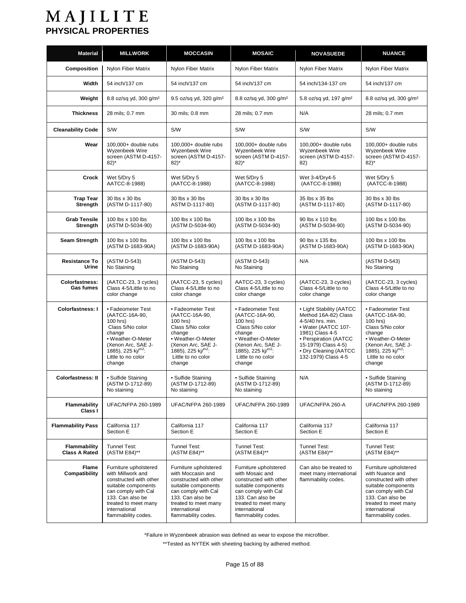| <b>Material</b>                           | <b>MILLWORK</b>                                                                                                                                                                                        | <b>MOCCASIN</b>                                                                                                                                                                                        | <b>MOSAIC</b>                                                                                                                                                                                        | <b>NOVASUEDE</b>                                                                                                                                                                                               | <b>NUANCE</b>                                                                                                                                                                                        |
|-------------------------------------------|--------------------------------------------------------------------------------------------------------------------------------------------------------------------------------------------------------|--------------------------------------------------------------------------------------------------------------------------------------------------------------------------------------------------------|------------------------------------------------------------------------------------------------------------------------------------------------------------------------------------------------------|----------------------------------------------------------------------------------------------------------------------------------------------------------------------------------------------------------------|------------------------------------------------------------------------------------------------------------------------------------------------------------------------------------------------------|
| Composition                               | Nylon Fiber Matrix                                                                                                                                                                                     | Nylon Fiber Matrix                                                                                                                                                                                     | Nylon Fiber Matrix                                                                                                                                                                                   | Nylon Fiber Matrix                                                                                                                                                                                             | Nylon Fiber Matrix                                                                                                                                                                                   |
| Width                                     | 54 inch/137 cm                                                                                                                                                                                         | 54 inch/137 cm                                                                                                                                                                                         | 54 inch/137 cm                                                                                                                                                                                       | 54 inch/134-137 cm                                                                                                                                                                                             | 54 inch/137 cm                                                                                                                                                                                       |
| Weight                                    | 8.8 oz/sq yd, 300 g/m <sup>2</sup>                                                                                                                                                                     | 9.5 oz/sq yd, 320 g/m <sup>2</sup>                                                                                                                                                                     | 8.8 oz/sq yd, 300 q/m <sup>2</sup>                                                                                                                                                                   | 5.8 oz/sq yd, 197 g/m <sup>2</sup>                                                                                                                                                                             | 8.8 oz/sq yd, 300 g/m <sup>2</sup>                                                                                                                                                                   |
| <b>Thickness</b>                          | 28 mils; 0.7 mm                                                                                                                                                                                        | 30 mils; 0.8 mm                                                                                                                                                                                        | 28 mils; 0.7 mm                                                                                                                                                                                      | N/A                                                                                                                                                                                                            | 28 mils; 0.7 mm                                                                                                                                                                                      |
| <b>Cleanability Code</b>                  | S/W                                                                                                                                                                                                    | S/W                                                                                                                                                                                                    | S/W                                                                                                                                                                                                  | S/W                                                                                                                                                                                                            | <b>S/W</b>                                                                                                                                                                                           |
| Wear                                      | 100,000+ double rubs<br>Wyzenbeek Wire<br>screen (ASTM D-4157-<br>$82$ <sup>*</sup>                                                                                                                    | 100,000+ double rubs<br><b>Wyzenbeek Wire</b><br>screen (ASTM D-4157-<br>$82)^*$                                                                                                                       | $100.000+$ double rubs<br>Wyzenbeek Wire<br>screen (ASTM D-4157-<br>$82)^*$                                                                                                                          | $100.000+$ double rubs<br>Wyzenbeek Wire<br>screen (ASTM D-4157-<br>82)                                                                                                                                        | 100,000+ double rubs<br>Wyzenbeek Wire<br>screen (ASTM D-4157-<br>$82)^*$                                                                                                                            |
| Crock                                     | Wet 5/Dry 5<br>AATCC-8-1988)                                                                                                                                                                           | Wet 5/Dry 5<br>(AATCC-8-1988)                                                                                                                                                                          | Wet 5/Dry 5<br>(AATCC-8-1988)                                                                                                                                                                        | Wet 3-4/Dry4-5<br>(AATCC-8-1988)                                                                                                                                                                               | Wet 5/Dry 5<br>(AATCC-8-1988)                                                                                                                                                                        |
| <b>Trap Tear</b><br>Strength              | 30 lbs x 30 lbs<br>(ASTM D-1117-80)                                                                                                                                                                    | 30 lbs x 30 lbs<br>ASTM D-1117-80)                                                                                                                                                                     | 30 lbs x 30 lbs<br>(ASTM D-1117-80)                                                                                                                                                                  | 35 lbs x 35 lbs<br>(ASTM D-1117-80)                                                                                                                                                                            | 30 lbs x 30 lbs<br>(ASTM D-1117-80)                                                                                                                                                                  |
| <b>Grab Tensile</b><br>Strength           | 100 lbs x 100 lbs<br>(ASTM D-5034-90)                                                                                                                                                                  | 100 lbs x 100 lbs<br>(ASTM D-5034-90)                                                                                                                                                                  | 100 lbs x 100 lbs<br>(ASTM D-5034-90)                                                                                                                                                                | 90 lbs x 110 lbs<br>(ASTM D-5034-90)                                                                                                                                                                           | 100 lbs x 100 lbs<br>(ASTM D-5034-90)                                                                                                                                                                |
| <b>Seam Strength</b>                      | 100 lbs x 100 lbs<br>(ASTM D-1683-90A)                                                                                                                                                                 | 100 lbs x 100 lbs<br>(ASTM D-1683-90A)                                                                                                                                                                 | 100 lbs x 100 lbs<br>(ASTM D-1683-90A)                                                                                                                                                               | 90 lbs x 135 lbs<br>(ASTM D-1683-90A)                                                                                                                                                                          | 100 lbs x 100 lbs<br>(ASTM D-1683-90A)                                                                                                                                                               |
| <b>Resistance To</b><br>Urine             | (ASTM D-543)<br>No Staining                                                                                                                                                                            | (ASTM D-543)<br>No Staining                                                                                                                                                                            | (ASTM D-543)<br>No Staining                                                                                                                                                                          | N/A                                                                                                                                                                                                            | (ASTM D-543)<br>No Staining                                                                                                                                                                          |
| <b>Colorfastness:</b><br><b>Gas fumes</b> | (AATCC-23, 3 cycles)<br>Class 4-5/Little to no<br>color change                                                                                                                                         | (AATCC-23, 5 cycles)<br>Class 4-5/Little to no<br>color change                                                                                                                                         | AATCC-23, 3 cycles)<br>Class 4-5/Little to no<br>color change                                                                                                                                        | (AATCC-23, 3 cycles)<br>Class 4-5/Little to no<br>color change                                                                                                                                                 | (AATCC-23, 3 cycles)<br>Class 4-5/Little to no<br>color change                                                                                                                                       |
| <b>Colorfastness: I</b>                   | • Fadeometer Test<br>(AATCC-16A-90,<br>100 hrs)<br>Class 5/No color<br>change<br>• Weather-O-Meter<br>(Xenon Arc, SAE J-<br>1885), 225 kj/m <sup>2</sup> :<br>Little to no color<br>change             | • Fadeometer Test<br>(AATCC-16A-90,<br>100 hrs)<br>Class 5/No color<br>change<br>• Weather-O-Meter<br>(Xenon Arc, SAE J-<br>1885), 225 $\text{kj}^{\text{m2}}$ :<br>Little to no color<br>change       | • Fadeometer Test<br>(AATCC-16A-90,<br>100 hrs)<br>Class 5/No color<br>change<br>• Weather-O-Meter<br>(Xenon Arc, SAE J-<br>1885), 225 kj/ $m^2$ :<br>Little to no color<br>change                   | • Light Stability (AATCC<br>Method 16A-82) Class<br>4-5/40 hrs. min.<br>• Water (AATCC 107-<br>1981) Class 4-5<br>· Perspiration (AATCC<br>15-1979) Class 4-5)<br>• Dry Cleaning (AATCC<br>132-1979) Class 4-5 | • Fadeometer Test<br>(AATCC-16A-90,<br>100 hrs)<br>Class 5/No color<br>change<br>• Weather-O-Meter<br>(Xenon Arc, SAE J-<br>1885), 225 $\text{ki}^{\text{m2}}$ :<br>Little to no color<br>change     |
| <b>Colorfastness: II</b>                  | • Sulfide Staining<br>(ASTM D-1712-89)<br>No staining                                                                                                                                                  | • Sulfide Staining<br>(ASTM D-1712-89)<br>No staining                                                                                                                                                  | • Sulfide Staining<br>(ASTM D-1712-89)<br>No staining                                                                                                                                                | N/A                                                                                                                                                                                                            | • Sulfide Staining<br>(ASTM D-1712-89)<br>No staining                                                                                                                                                |
| <b>Flammability</b><br>Class I            | <b>UFAC/NFPA 260-1989</b>                                                                                                                                                                              | <b>UFAC/NFPA 260-1989</b>                                                                                                                                                                              | <b>UFAC/NFPA 260-1989</b>                                                                                                                                                                            | UFAC/NFPA 260-A                                                                                                                                                                                                | <b>UFAC/NFPA 260-1989</b>                                                                                                                                                                            |
| <b>Flammability Pass</b>                  | California 117<br>Section E                                                                                                                                                                            | California 117<br>Section E                                                                                                                                                                            | California 117<br>Section E                                                                                                                                                                          | California 117<br>Section E                                                                                                                                                                                    | California 117<br>Section E                                                                                                                                                                          |
| Flammability<br><b>Class A Rated</b>      | Tunnel Test:<br>(ASTM E84)**                                                                                                                                                                           | Tunnel Test:<br>(ASTM E84)**                                                                                                                                                                           | Tunnel Test:<br>(ASTM E84)**                                                                                                                                                                         | Tunnel Test:<br>(ASTM E84)**                                                                                                                                                                                   | Tunnel Test:<br>(ASTM E84)**                                                                                                                                                                         |
| Flame<br>Compatibility                    | Furniture upholstered<br>with Millwork and<br>constructed with other<br>suitable components<br>can comply with Cal<br>133. Can also be<br>treated to meet many<br>international<br>flammability codes. | Furniture upholstered<br>with Moccasin and<br>constructed with other<br>suitable components<br>can comply with Cal<br>133. Can also be<br>treated to meet many<br>international<br>flammability codes. | Furniture upholstered<br>with Mosaic and<br>constructed with other<br>suitable components<br>can comply with Cal<br>133. Can also be<br>treated to meet many<br>international<br>flammability codes. | Can also be treated to<br>meet many international<br>flammability codes.                                                                                                                                       | Furniture upholstered<br>with Nuance and<br>constructed with other<br>suitable components<br>can comply with Cal<br>133. Can also be<br>treated to meet many<br>international<br>flammability codes. |

\*Failure in Wyzenbeek abrasion was defined as wear to expose the microfiber.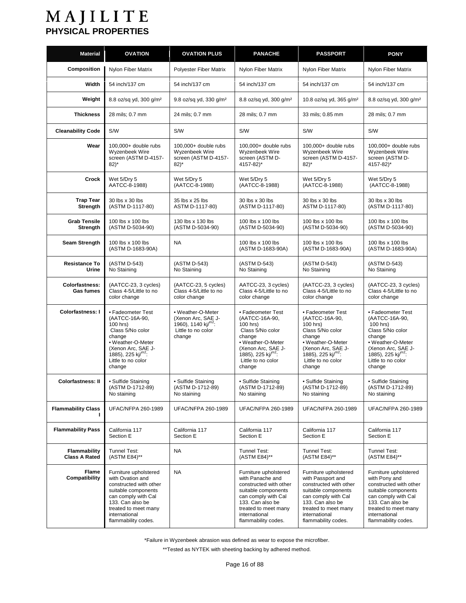| <b>Material</b>                      | <b>OVATION</b>                                                                                                                                                                                        | <b>OVATION PLUS</b>                                                                                              | <b>PANACHE</b>                                                                                                                                                                                        | <b>PASSPORT</b>                                                                                                                                                                                        | <b>PONY</b>                                                                                                                                                                                        |
|--------------------------------------|-------------------------------------------------------------------------------------------------------------------------------------------------------------------------------------------------------|------------------------------------------------------------------------------------------------------------------|-------------------------------------------------------------------------------------------------------------------------------------------------------------------------------------------------------|--------------------------------------------------------------------------------------------------------------------------------------------------------------------------------------------------------|----------------------------------------------------------------------------------------------------------------------------------------------------------------------------------------------------|
| Composition                          | Nylon Fiber Matrix                                                                                                                                                                                    | Polyester Fiber Matrix                                                                                           | Nylon Fiber Matrix                                                                                                                                                                                    | Nylon Fiber Matrix                                                                                                                                                                                     | Nylon Fiber Matrix                                                                                                                                                                                 |
| Width                                | 54 inch/137 cm                                                                                                                                                                                        | 54 inch/137 cm                                                                                                   | 54 inch/137 cm                                                                                                                                                                                        | 54 inch/137 cm                                                                                                                                                                                         | 54 inch/137 cm                                                                                                                                                                                     |
| Weight                               | 8.8 oz/sq yd, 300 q/m <sup>2</sup>                                                                                                                                                                    | 9.8 oz/sq yd, 330 g/m <sup>2</sup>                                                                               | 8.8 oz/sq yd, 300 g/m <sup>2</sup>                                                                                                                                                                    | 10.8 oz/sq yd, 365 g/m <sup>2</sup>                                                                                                                                                                    | 8.8 oz/sq yd, 300 q/m <sup>2</sup>                                                                                                                                                                 |
| <b>Thickness</b>                     | 28 mils; 0.7 mm                                                                                                                                                                                       | 24 mils; 0.7 mm                                                                                                  | 28 mils; 0.7 mm                                                                                                                                                                                       | 33 mils; 0.85 mm                                                                                                                                                                                       | 28 mils; 0.7 mm                                                                                                                                                                                    |
| <b>Cleanability Code</b>             | S/W                                                                                                                                                                                                   | S/W                                                                                                              | S/W                                                                                                                                                                                                   | S/W                                                                                                                                                                                                    | <b>S/W</b>                                                                                                                                                                                         |
| Wear                                 | 100,000+ double rubs<br>Wyzenbeek Wire<br>screen (ASTM D-4157-<br>$82$ <sup>*</sup>                                                                                                                   | $100.000+$ double rubs<br>Wyzenbeek Wire<br>screen (ASTM D-4157-<br>$82$ <sup>*</sup>                            | 100,000+ double rubs<br>Wyzenbeek Wire<br>screen (ASTM D-<br>4157-82)*                                                                                                                                | 100,000+ double rubs<br>Wyzenbeek Wire<br>screen (ASTM D-4157-<br>$82)^*$                                                                                                                              | $100.000+$ double rubs<br>Wyzenbeek Wire<br>screen (ASTM D-<br>4157-82)*                                                                                                                           |
| Crock                                | Wet 5/Dry 5<br>AATCC-8-1988)                                                                                                                                                                          | Wet 5/Dry 5<br>(AATCC-8-1988)                                                                                    | Wet 5/Dry 5<br>(AATCC-8-1988)                                                                                                                                                                         | Wet 5/Dry 5<br>(AATCC-8-1988)                                                                                                                                                                          | Wet 5/Dry 5<br>(AATCC-8-1988)                                                                                                                                                                      |
| <b>Trap Tear</b><br><b>Strength</b>  | 30 lbs x 30 lbs<br>(ASTM D-1117-80)                                                                                                                                                                   | 35 lbs x 25 lbs<br>ASTM D-1117-80)                                                                               | 30 lbs x 30 lbs<br>(ASTM D-1117-80)                                                                                                                                                                   | 30 lbs x 30 lbs<br>ASTM D-1117-80)                                                                                                                                                                     | 30 lbs x 30 lbs<br>(ASTM D-1117-80)                                                                                                                                                                |
| <b>Grab Tensile</b><br>Strength      | 100 lbs x 100 lbs<br>(ASTM D-5034-90)                                                                                                                                                                 | 130 lbs x 130 lbs<br>(ASTM D-5034-90)                                                                            | 100 lbs x 100 lbs<br>(ASTM D-5034-90)                                                                                                                                                                 | 100 lbs x 100 lbs<br>(ASTM D-5034-90)                                                                                                                                                                  | 100 lbs x 100 lbs<br>(ASTM D-5034-90)                                                                                                                                                              |
| Seam Strength                        | 100 lbs x 100 lbs<br>(ASTM D-1683-90A)                                                                                                                                                                | <b>NA</b>                                                                                                        | 100 lbs x 100 lbs<br>(ASTM D-1683-90A)                                                                                                                                                                | 100 lbs x 100 lbs<br>(ASTM D-1683-90A)                                                                                                                                                                 | 100 lbs x 100 lbs<br>(ASTM D-1683-90A)                                                                                                                                                             |
| <b>Resistance To</b><br>Urine        | (ASTM D-543)<br>No Staining                                                                                                                                                                           | (ASTM D-543)<br>No Staining                                                                                      | (ASTM D-543)<br>No Staining                                                                                                                                                                           | (ASTM D-543)<br>No Staining                                                                                                                                                                            | (ASTM D-543)<br>No Staining                                                                                                                                                                        |
| <b>Colorfastness:</b><br>Gas fumes   | (AATCC-23, 3 cycles)<br>Class 4-5/Little to no<br>color change                                                                                                                                        | (AATCC-23, 5 cycles)<br>Class 4-5/Little to no<br>color change                                                   | AATCC-23, 3 cycles)<br>Class 4-5/Little to no<br>color change                                                                                                                                         | (AATCC-23, 3 cycles)<br>Class 4-5/Little to no<br>color change                                                                                                                                         | (AATCC-23, 3 cycles)<br>Class 4-5/Little to no<br>color change                                                                                                                                     |
| <b>Colorfastness: I</b>              | • Fadeometer Test<br>(AATCC-16A-90,<br>100 hrs)<br>Class 5/No color<br>change<br>• Weather-O-Meter<br>(Xenon Arc, SAE J-<br>1885), 225 kj/ $m^2$ :<br>Little to no color<br>change                    | • Weather-O-Meter<br>(Xenon Arc, SAE J-<br>1960), 1140 $\text{kj}^{\text{m2}}$ :<br>Little to no color<br>change | • Fadeometer Test<br>(AATCC-16A-90,<br>100 hrs)<br>Class 5/No color<br>change<br>• Weather-O-Meter<br>(Xenon Arc, SAE J-<br>1885), 225 kj/ $m^2$ :<br>Little to no color<br>change                    | • Fadeometer Test<br>(AATCC-16A-90,<br>100 hrs)<br>Class 5/No color<br>change<br>• Weather-O-Meter<br>(Xenon Arc, SAE J-<br>1885), 225 kj/ $m^2$ :<br>Little to no color<br>change                     | • Fadeometer Test<br>(AATCC-16A-90,<br>100 hrs)<br>Class 5/No color<br>change<br>• Weather-O-Meter<br>(Xenon Arc, SAE J-<br>1885), 225 kj/ $m^2$ :<br>Little to no color<br>change                 |
| <b>Colorfastness: II</b>             | • Sulfide Staining<br>(ASIM D-1712-89)<br>No staining                                                                                                                                                 | • Sulfide Staining<br>(ASIM D-1712-89)<br>No staining                                                            | • Sulfide Staining<br>(ASIM D-1712-89)<br>No staining                                                                                                                                                 | · Sulfide Staining<br>(AS IM D-1712-89)<br>No staining                                                                                                                                                 | • Sulfide Staining<br>(AS IM D-1712-89)<br>No staining                                                                                                                                             |
| <b>Flammability Class</b>            | UFAC/NFPA 260-1989                                                                                                                                                                                    | UFAC/NFPA 260-1989                                                                                               | <b>UFAC/NFPA 260-1989</b>                                                                                                                                                                             | <b>UFAC/NFPA 260-1989</b>                                                                                                                                                                              | <b>UFAC/NFPA 260-1989</b>                                                                                                                                                                          |
| <b>Flammability Pass</b>             | California 117<br>Section E                                                                                                                                                                           | California 117<br>Section E                                                                                      | California 117<br>Section E                                                                                                                                                                           | California 117<br>Section E                                                                                                                                                                            | California 117<br>Section E                                                                                                                                                                        |
| Flammability<br><b>Class A Rated</b> | Tunnel Test:<br>(ASTM E84)**                                                                                                                                                                          | NA                                                                                                               | Tunnel Test:<br>(ASTM E84)**                                                                                                                                                                          | Tunnel Test:<br>(ASTM E84)**                                                                                                                                                                           | Tunnel Test:<br>(ASTM E84)**                                                                                                                                                                       |
| Flame<br>Compatibility               | Furniture upholstered<br>with Ovation and<br>constructed with other<br>suitable components<br>can comply with Cal<br>133. Can also be<br>treated to meet many<br>international<br>flammability codes. | <b>NA</b>                                                                                                        | Furniture upholstered<br>with Panache and<br>constructed with other<br>suitable components<br>can comply with Cal<br>133. Can also be<br>treated to meet many<br>international<br>flammability codes. | Furniture upholstered<br>with Passport and<br>constructed with other<br>suitable components<br>can comply with Cal<br>133. Can also be<br>treated to meet many<br>international<br>flammability codes. | Furniture upholstered<br>with Pony and<br>constructed with other<br>suitable components<br>can comply with Cal<br>133. Can also be<br>treated to meet many<br>international<br>flammability codes. |

\*Failure in Wyzenbeek abrasion was defined as wear to expose the microfiber.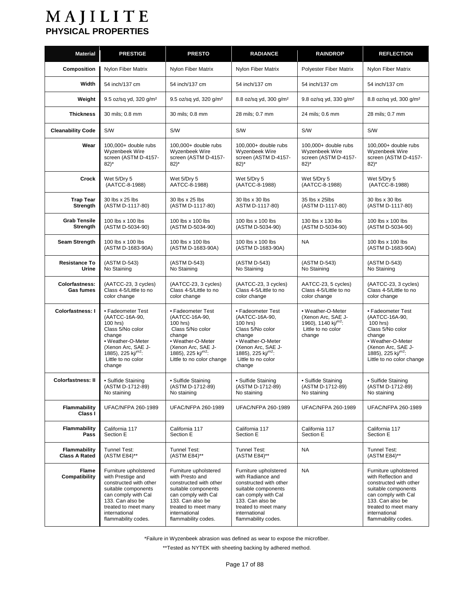| <b>Material</b>                           | <b>PRESTIGE</b>                                                                                                                                                                                        | <b>PRESTO</b>                                                                                                                                                                                        | <b>RADIANCE</b>                                                                                                                                                                                        | <b>RAINDROP</b>                                                                                            | <b>REFLECTION</b>                                                                                                                                                                                        |
|-------------------------------------------|--------------------------------------------------------------------------------------------------------------------------------------------------------------------------------------------------------|------------------------------------------------------------------------------------------------------------------------------------------------------------------------------------------------------|--------------------------------------------------------------------------------------------------------------------------------------------------------------------------------------------------------|------------------------------------------------------------------------------------------------------------|----------------------------------------------------------------------------------------------------------------------------------------------------------------------------------------------------------|
| Composition                               | Nylon Fiber Matrix                                                                                                                                                                                     | Nylon Fiber Matrix                                                                                                                                                                                   | Nylon Fiber Matrix                                                                                                                                                                                     | <b>Polyester Fiber Matrix</b>                                                                              | Nylon Fiber Matrix                                                                                                                                                                                       |
| Width                                     | 54 inch/137 cm                                                                                                                                                                                         | 54 inch/137 cm                                                                                                                                                                                       | 54 inch/137 cm                                                                                                                                                                                         | 54 inch/137 cm                                                                                             | 54 inch/137 cm                                                                                                                                                                                           |
| Weight                                    | 9.5 oz/sq yd, 320 q/m <sup>2</sup>                                                                                                                                                                     | 9.5 oz/sq yd, 320 g/m <sup>2</sup>                                                                                                                                                                   | 8.8 oz/sq yd, 300 g/m <sup>2</sup>                                                                                                                                                                     | 9.8 oz/sq yd, 330 g/m <sup>2</sup>                                                                         | 8.8 oz/sq yd, 300 g/m <sup>2</sup>                                                                                                                                                                       |
| <b>Thickness</b>                          | 30 mils; 0.8 mm                                                                                                                                                                                        | 30 mils; 0.8 mm                                                                                                                                                                                      | 28 mils; 0.7 mm                                                                                                                                                                                        | 24 mils; 0.6 mm                                                                                            | 28 mils; 0.7 mm                                                                                                                                                                                          |
| <b>Cleanability Code</b>                  | <b>S/W</b>                                                                                                                                                                                             | S/W                                                                                                                                                                                                  | S/W                                                                                                                                                                                                    | S/W                                                                                                        | S/W                                                                                                                                                                                                      |
| Wear                                      | 100,000+ double rubs<br>Wyzenbeek Wire<br>screen (ASTM D-4157-<br>$82)^*$                                                                                                                              | 100,000+ double rubs<br>Wyzenbeek Wire<br>screen (ASTM D-4157-<br>$82)^*$                                                                                                                            | 100,000+ double rubs<br>Wyzenbeek Wire<br>screen (ASTM D-4157-<br>$82)^*$                                                                                                                              | 100,000+ double rubs<br>Wyzenbeek Wire<br>screen (ASTM D-4157-<br>$82)^*$                                  | 100,000+ double rubs<br>Wyzenbeek Wire<br>screen (ASTM D-4157-<br>$82)^*$                                                                                                                                |
| Crock                                     | Wet 5/Dry 5<br>(AATCC-8-1988)                                                                                                                                                                          | Wet 5/Dry 5<br>AATCC-8-1988)                                                                                                                                                                         | Wet 5/Dry 5<br>(AATCC-8-1988)                                                                                                                                                                          | Wet 5/Dry 5<br>(AATCC-8-1988)                                                                              | Wet 5/Dry 5<br>(AATCC-8-1988)                                                                                                                                                                            |
| <b>Trap Tear</b><br>Strength              | 30 lbs x 25 lbs<br>(ASTM D-1117-80)                                                                                                                                                                    | 30 lbs x 25 lbs<br>(ASTM D-1117-80)                                                                                                                                                                  | 30 lbs x 30 lbs<br>ASTM D-1117-80)                                                                                                                                                                     | 35 lbs x 25lbs<br>(ASTM D-1117-80)                                                                         | 30 lbs x 30 lbs<br>(ASTM D-1117-80)                                                                                                                                                                      |
| <b>Grab Tensile</b><br><b>Strength</b>    | 100 lbs x 100 lbs<br>(ASTM D-5034-90)                                                                                                                                                                  | 100 lbs x 100 lbs<br>(ASTM D-5034-90)                                                                                                                                                                | 100 lbs x 100 lbs<br>(ASTM D-5034-90)                                                                                                                                                                  | 130 lbs x 130 lbs<br>(ASTM D-5034-90)                                                                      | 100 lbs x 100 lbs<br>(ASTM D-5034-90)                                                                                                                                                                    |
| <b>Seam Strength</b>                      | 100 lbs x 100 lbs<br>(ASTM D-1683-90A)                                                                                                                                                                 | 100 lbs x 100 lbs<br>(ASTM D-1683-90A)                                                                                                                                                               | 100 lbs x 100 lbs<br>(ASTM D-1683-90A)                                                                                                                                                                 | NA                                                                                                         | 100 lbs x 100 lbs<br>(ASTM D-1683-90A)                                                                                                                                                                   |
| <b>Resistance To</b><br>Urine             | (ASTM D-543)<br>No Staining                                                                                                                                                                            | (ASTM D-543)<br>No Staining                                                                                                                                                                          | (ASTM D-543)<br>No Staining                                                                                                                                                                            | (ASTM D-543)<br>No Staining                                                                                | (ASTM D-543)<br>No Staining                                                                                                                                                                              |
| <b>Colorfastness:</b><br><b>Gas fumes</b> | (AATCC-23, 3 cycles)<br>Class 4-5/Little to no<br>color change                                                                                                                                         | (AATCC-23, 3 cycles)<br>Class 4-5/Little to no<br>color change                                                                                                                                       | (AATCC-23, 3 cycles)<br>Class 4-5/Little to no<br>color change                                                                                                                                         | AATCC-23, 5 cycles)<br>Class 4-5/Little to no<br>color change                                              | (AATCC-23, 3 cycles)<br>Class 4-5/Little to no<br>color change                                                                                                                                           |
| <b>Colorfastness: I</b>                   | • Fadeometer Test<br>(AATCC-16A-90,<br>100 hrs)<br>Class 5/No color<br>change<br>• Weather-O-Meter<br>(Xenon Arc, SAE J-<br>1885), 225 kj/ $m^2$ :<br>Little to no color<br>change                     | • Fadeometer Test<br>(AATCC-16A-90,<br>100 hrs)<br>Class 5/No color<br>change<br>• Weather-O-Meter<br>(Xenon Arc, SAE J-<br>1885), 225 kj/ $m^2$ :<br>Little to no color change                      | • Fadeometer Test<br>(AATCC-16A-90,<br>100 hrs)<br>Class 5/No color<br>change<br>• Weather-O-Meter<br>(Xenon Arc, SAE J-<br>1885), 225 kj/ $m^2$ :<br>Little to no color<br>change                     | • Weather-O-Meter<br>(Xenon Arc, SAE J-<br>1960), 1140 kj/m <sup>2</sup> :<br>Little to no color<br>change | • Fadeometer Test<br>(AATCC-16A-90,<br>100 hrs)<br>Class 5/No color<br>change<br>• Weather-O-Meter<br>(Xenon Arc, SAE J-<br>1885), 225 kj/ $m^2$ :<br>Little to no color change                          |
| <b>Colorfastness: II</b>                  | • Sulfide Staining<br>(ASTM D-1712-89)<br>No staining                                                                                                                                                  | • Sulfide Staining<br>(ASTM D-1712-89)<br>No staining                                                                                                                                                | • Sulfide Staining<br>(ASTM D-1712-89)<br>No staining                                                                                                                                                  | • Sulfide Staining<br>(ASTM D-1712-89)<br>No staining                                                      | • Sulfide Staining<br>(ASTM D-1712-89)<br>No staining                                                                                                                                                    |
| <b>Flammability</b><br>Class I            | <b>UFAC/NFPA 260-1989</b>                                                                                                                                                                              | <b>UFAC/NFPA 260-1989</b>                                                                                                                                                                            | <b>UFAC/NFPA 260-1989</b>                                                                                                                                                                              | <b>UFAC/NFPA 260-1989</b>                                                                                  | <b>UFAC/NFPA 260-1989</b>                                                                                                                                                                                |
| <b>Flammability</b><br>Pass               | California 117<br>Section E                                                                                                                                                                            | California 117<br>Section E                                                                                                                                                                          | California 117<br>Section E                                                                                                                                                                            | California 117<br>Section E                                                                                | California 117<br>Section E                                                                                                                                                                              |
| Flammability<br><b>Class A Rated</b>      | Tunnel Test:<br>(ASTM E84)**                                                                                                                                                                           | Tunnel Test:<br>(ASTM E84)**                                                                                                                                                                         | Tunnel Test:<br>(ASTM E84)**                                                                                                                                                                           | NA                                                                                                         | Tunnel Test:<br>(ASTM E84)**                                                                                                                                                                             |
| Flame<br>Compatibility                    | Furniture upholstered<br>with Prestige and<br>constructed with other<br>suitable components<br>can comply with Cal<br>133. Can also be<br>treated to meet many<br>international<br>flammability codes. | Furniture upholstered<br>with Presto and<br>constructed with other<br>suitable components<br>can comply with Cal<br>133. Can also be<br>treated to meet many<br>international<br>flammability codes. | Furniture upholstered<br>with Radiance and<br>constructed with other<br>suitable components<br>can comply with Cal<br>133. Can also be<br>treated to meet many<br>international<br>flammability codes. | NA                                                                                                         | Furniture upholstered<br>with Reflection and<br>constructed with other<br>suitable components<br>can comply with Cal<br>133. Can also be<br>treated to meet many<br>international<br>flammability codes. |

\*Failure in Wyzenbeek abrasion was defined as wear to expose the microfiber.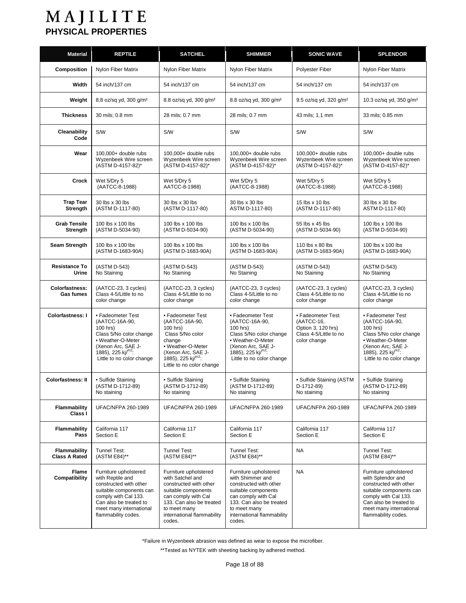| <b>Material</b>                             | <b>REPTILE</b>                                                                                                                                                                                     | <b>SATCHEL</b>                                                                                                                                                                                        | <b>SHIMMER</b>                                                                                                                                                                                        | <b>SONIC WAVE</b>                                                                               | <b>SPLENDOR</b>                                                                                                                                                                                     |
|---------------------------------------------|----------------------------------------------------------------------------------------------------------------------------------------------------------------------------------------------------|-------------------------------------------------------------------------------------------------------------------------------------------------------------------------------------------------------|-------------------------------------------------------------------------------------------------------------------------------------------------------------------------------------------------------|-------------------------------------------------------------------------------------------------|-----------------------------------------------------------------------------------------------------------------------------------------------------------------------------------------------------|
| Composition                                 | Nylon Fiber Matrix                                                                                                                                                                                 | Nylon Fiber Matrix                                                                                                                                                                                    | Nylon Fiber Matrix                                                                                                                                                                                    | Polyester Fiber                                                                                 | Nylon Fiber Matrix                                                                                                                                                                                  |
| Width                                       | 54 inch/137 cm                                                                                                                                                                                     | 54 inch/137 cm                                                                                                                                                                                        | 54 inch/137 cm                                                                                                                                                                                        | 54 inch/137 cm                                                                                  | 54 inch/137 cm                                                                                                                                                                                      |
| Weight                                      | 8.8 oz/sq yd, 300 g/m <sup>2</sup>                                                                                                                                                                 | 8.8 oz/sq yd, 300 g/m <sup>2</sup>                                                                                                                                                                    | 8.8 oz/sq yd, 300 g/m <sup>2</sup>                                                                                                                                                                    | 9.5 oz/sq yd, 320 q/m <sup>2</sup>                                                              | 10.3 oz/sq yd, 350 g/m <sup>2</sup>                                                                                                                                                                 |
| <b>Thickness</b>                            | 30 mils; 0.8 mm                                                                                                                                                                                    | 28 mils; 0.7 mm                                                                                                                                                                                       | 28 mils; 0.7 mm                                                                                                                                                                                       | 43 mils; 1.1 mm                                                                                 | 33 mils; 0.85 mm                                                                                                                                                                                    |
| Cleanability<br>Code                        | <b>S/W</b>                                                                                                                                                                                         | <b>S/W</b>                                                                                                                                                                                            | <b>S/W</b>                                                                                                                                                                                            | S/W                                                                                             | <b>S/W</b>                                                                                                                                                                                          |
| Wear                                        | $100.000+$ double rubs<br>Wyzenbeek Wire screen<br>(ASTM D-4157-82)*                                                                                                                               | $100.000+$ double rubs<br>Wyzenbeek Wire screen<br>(ASTM D-4157-82)*                                                                                                                                  | 100,000+ double rubs<br>Wyzenbeek Wire screen<br>(ASTM D-4157-82)*                                                                                                                                    | 100,000+ double rubs<br>Wyzenbeek Wire screen<br>(ASTM D-4157-82)*                              | 100,000+ double rubs<br>Wyzenbeek Wire screen<br>(ASTM D-4157-82)*                                                                                                                                  |
| Crock                                       | Wet 5/Dry 5<br>(AATCC-8-1988)                                                                                                                                                                      | Wet 5/Dry 5<br>AATCC-8-1988)                                                                                                                                                                          | Wet 5/Dry 5<br>(AATCC-8-1988)                                                                                                                                                                         | Wet 5/Dry 5<br>(AATCC-8-1988)                                                                   | Wet 5/Dry 5<br>(AATCC-8-1988)                                                                                                                                                                       |
| <b>Trap Tear</b><br><b>Strength</b>         | 30 lbs x 30 lbs<br>(ASTM D-1117-80)                                                                                                                                                                | 30 lbs x 30 lbs<br>(ASTM D-1117-80)                                                                                                                                                                   | 30 lbs x 30 lbs<br>ASTM D-1117-80)                                                                                                                                                                    | 15 lbs x 10 lbs<br>(ASTM D-1117-80)                                                             | 30 lbs x 30 lbs<br>ASTM D-1117-80)                                                                                                                                                                  |
| <b>Grab Tensile</b><br>Strength             | 100 lbs x 100 lbs<br>(ASTM D-5034-90)                                                                                                                                                              | 100 lbs x 100 lbs<br>(ASTM D-5034-90)                                                                                                                                                                 | 100 lbs x 100 lbs<br>(ASTM D-5034-90)                                                                                                                                                                 | 55 lbs x 45 lbs<br>(ASTM D-5034-90)                                                             | 100 lbs x 100 lbs<br>(ASTM D-5034-90)                                                                                                                                                               |
| Seam Strength                               | 100 lbs x 100 lbs<br>(ASTM D-1683-90A)                                                                                                                                                             | 100 lbs x 100 lbs<br>(ASTM D-1683-90A)                                                                                                                                                                | 100 lbs x 100 lbs<br>(ASTM D-1683-90A)                                                                                                                                                                | 110 lbs x 80 lbs<br>(ASTM D-1683-90A)                                                           | 100 lbs x 100 lbs<br>(ASTM D-1683-90A)                                                                                                                                                              |
| <b>Resistance To</b><br>Urine               | (ASTM D-543)<br>No Staining                                                                                                                                                                        | (ASTM D-543)<br>No Staining                                                                                                                                                                           | (ASTM D-543)<br>No Staining                                                                                                                                                                           | (ASTM D-543)<br>No Staining                                                                     | (ASTM D-543)<br>No Staining                                                                                                                                                                         |
| <b>Colorfastness:</b><br><b>Gas fumes</b>   | (AATCC-23, 3 cycles)<br>Class 4-5/Little to no<br>color change                                                                                                                                     | (AATCC-23, 3 cycles)<br>Class 4-5/Little to no<br>color change                                                                                                                                        | (AATCC-23, 3 cycles)<br>Class 4-5/Little to no<br>color change                                                                                                                                        | (AATCC-23, 3 cycles)<br>Class 4-5/Little to no<br>color change                                  | (AATCC-23, 3 cycles)<br>Class 4-5/Little to no<br>color change                                                                                                                                      |
| <b>Colorfastness: I</b>                     | • Fadeometer Test<br>(AATCC-16A-90,<br>100 hrs)<br>Class 5/No color change<br>• Weather-O-Meter<br>(Xenon Arc, SAE J-<br>1885), 225 kj/ $m^2$ :<br>Little to no color change                       | • Fadeometer Test<br>(AATCC-16A-90,<br>100 hrs)<br>Class 5/No color<br>change<br>• Weather-O-Meter<br>(Xenon Arc, SAE J-<br>1885), 225 kj/ $m^2$ :<br>Little to no color change                       | • Fadeometer Test<br>(AATCC-16A-90,<br>100 hrs)<br>Class 5/No color change<br>• Weather-O-Meter<br>(Xenon Arc, SAE J-<br>1885), 225 kj/ $m^2$ :<br>Little to no color change                          | • Fadeometer Test<br>(AATCC-16,<br>Option 3, 120 hrs)<br>Class 4-5/Little to no<br>color change | • Fadeometer Test<br>(AATCC-16A-90,<br>100 hrs)<br>Class 5/No color change<br>• Weather-O-Meter<br>(Xenon Arc, SAE J-<br>1885), 225 kj/ $m^2$ :<br>Little to no color change                        |
| <b>Colorfastness: II</b>                    | • Sulfide Staining<br>(ASTM D-1712-89)<br>No staining                                                                                                                                              | • Sulfide Staining<br>(ASTM D-1712-89)<br>No staining                                                                                                                                                 | • Sulfide Staining<br>(ASTM D-1712-89)<br>No staining                                                                                                                                                 | • Sulfide Staining (ASTM<br>D-1712-89)<br>No staining                                           | · Sulfide Staining<br>(ASTM D-1712-89)<br>No staining                                                                                                                                               |
| <b>Flammability</b><br>Class I              | <b>UFAC/NFPA 260-1989</b>                                                                                                                                                                          | <b>UFAC/NFPA 260-1989</b>                                                                                                                                                                             | <b>UFAC/NFPA 260-1989</b>                                                                                                                                                                             | <b>UFAC/NFPA 260-1989</b>                                                                       | <b>UFAC/NFPA 260-1989</b>                                                                                                                                                                           |
| <b>Flammability</b><br>Pass                 | California 117<br>Section E                                                                                                                                                                        | California 117<br>Section E                                                                                                                                                                           | California 117<br>Section E                                                                                                                                                                           | California 117<br>Section E                                                                     | California 117<br>Section E                                                                                                                                                                         |
| <b>Flammability</b><br><b>Class A Rated</b> | Tunnel Test:<br>(ASTM E84)**                                                                                                                                                                       | Tunnel Test:<br>(ASTM E84)**                                                                                                                                                                          | Tunnel Test:<br>(ASTM E84)**                                                                                                                                                                          | <b>NA</b>                                                                                       | Tunnel Test:<br>(ASTM E84)**                                                                                                                                                                        |
| Flame<br>Compatibility                      | Furniture upholstered<br>with Reptile and<br>constructed with other<br>suitable components can<br>comply with Cal 133.<br>Can also be treated to<br>meet many international<br>flammability codes. | Furniture upholstered<br>with Satchel and<br>constructed with other<br>suitable components<br>can comply with Cal<br>133. Can also be treated<br>to meet many<br>international flammability<br>codes. | Furniture upholstered<br>with Shimmer and<br>constructed with other<br>suitable components<br>can comply with Cal<br>133. Can also be treated<br>to meet many<br>international flammability<br>codes. | <b>NA</b>                                                                                       | Furniture upholstered<br>with Splendor and<br>constructed with other<br>suitable components can<br>comply with Cal 133.<br>Can also be treated to<br>meet many international<br>flammability codes. |

\*Failure in Wyzenbeek abrasion was defined as wear to expose the microfiber.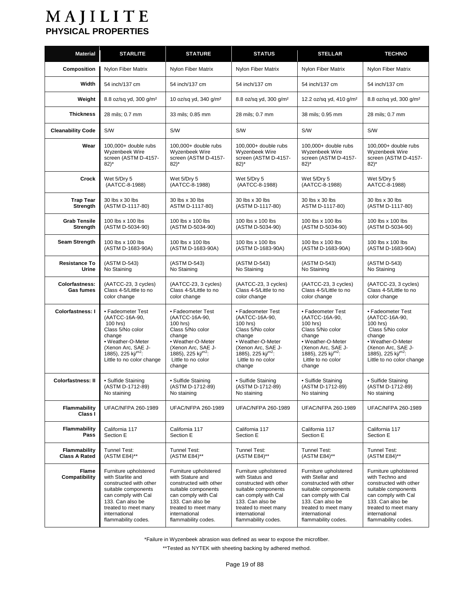| <b>Material</b>                             | <b>STARLITE</b>                                                                                                                                                                                        | <b>STATURE</b>                                                                                                                                                                                        | <b>STATUS</b>                                                                                                                                                                                        | <b>STELLAR</b>                                                                                                                                                                                        | <b>TECHNO</b>                                                                                                                                                                                        |
|---------------------------------------------|--------------------------------------------------------------------------------------------------------------------------------------------------------------------------------------------------------|-------------------------------------------------------------------------------------------------------------------------------------------------------------------------------------------------------|------------------------------------------------------------------------------------------------------------------------------------------------------------------------------------------------------|-------------------------------------------------------------------------------------------------------------------------------------------------------------------------------------------------------|------------------------------------------------------------------------------------------------------------------------------------------------------------------------------------------------------|
| <b>Composition</b>                          | Nylon Fiber Matrix                                                                                                                                                                                     | Nylon Fiber Matrix                                                                                                                                                                                    | Nylon Fiber Matrix                                                                                                                                                                                   | Nylon Fiber Matrix                                                                                                                                                                                    | Nylon Fiber Matrix                                                                                                                                                                                   |
| Width                                       | 54 inch/137 cm                                                                                                                                                                                         | 54 inch/137 cm                                                                                                                                                                                        | 54 inch/137 cm                                                                                                                                                                                       | 54 inch/137 cm                                                                                                                                                                                        | 54 inch/137 cm                                                                                                                                                                                       |
| Weight                                      | 8.8 oz/sq yd, 300 g/m <sup>2</sup>                                                                                                                                                                     | 10 oz/sq yd, 340 g/m <sup>2</sup>                                                                                                                                                                     | 8.8 oz/sq yd, 300 g/m <sup>2</sup>                                                                                                                                                                   | 12.2 oz/sq yd, 410 g/m <sup>2</sup>                                                                                                                                                                   | 8.8 oz/sq yd, 300 g/m <sup>2</sup>                                                                                                                                                                   |
| <b>Thickness</b>                            | 28 mils; 0.7 mm                                                                                                                                                                                        | 33 mils; 0.85 mm                                                                                                                                                                                      | 28 mils; 0.7 mm                                                                                                                                                                                      | 38 mils; 0.95 mm                                                                                                                                                                                      | 28 mils; 0.7 mm                                                                                                                                                                                      |
| <b>Cleanability Code</b>                    | <b>S/W</b>                                                                                                                                                                                             | S/W                                                                                                                                                                                                   | S/W                                                                                                                                                                                                  | S/W                                                                                                                                                                                                   | S/W                                                                                                                                                                                                  |
| Wear                                        | 100,000+ double rubs<br>Wyzenbeek Wire<br>screen (ASTM D-4157-<br>$82)^*$                                                                                                                              | 100,000+ double rubs<br>Wyzenbeek Wire<br>screen (ASTM D-4157-<br>$82)^*$                                                                                                                             | 100,000+ double rubs<br>Wyzenbeek Wire<br>screen (ASTM D-4157-<br>$82)^*$                                                                                                                            | 100,000+ double rubs<br>Wyzenbeek Wire<br>screen (ASTM D-4157-<br>$82$ <sup>*</sup>                                                                                                                   | 100,000+ double rubs<br>Wyzenbeek Wire<br>screen (ASTM D-4157-<br>$82$ <sup>*</sup>                                                                                                                  |
| Crock                                       | Wet 5/Dry 5<br>(AATCC-8-1988)                                                                                                                                                                          | Wet 5/Dry 5<br>(AATCC-8-1988)                                                                                                                                                                         | Wet 5/Dry 5<br>(AATCC-8-1988)                                                                                                                                                                        | Wet 5/Dry 5<br>(AATCC-8-1988)                                                                                                                                                                         | Wet 5/Dry 5<br>AATCC-8-1988)                                                                                                                                                                         |
| <b>Trap Tear</b><br>Strength                | 30 lbs x 30 lbs<br>(ASTM D-1117-80)                                                                                                                                                                    | 30 lbs x 30 lbs<br>ASTM D-1117-80)                                                                                                                                                                    | 30 lbs x 30 lbs<br>(ASTM D-1117-80)                                                                                                                                                                  | 30 lbs x 30 lbs<br>ASTM D-1117-80)                                                                                                                                                                    | 30 lbs x 30 lbs<br>(ASTM D-1117-80)                                                                                                                                                                  |
| <b>Grab Tensile</b><br>Strength             | 100 lbs x 100 lbs<br>(ASTM D-5034-90)                                                                                                                                                                  | 100 lbs x 100 lbs<br>(ASTM D-5034-90)                                                                                                                                                                 | 100 lbs x 100 lbs<br>(ASTM D-5034-90)                                                                                                                                                                | 100 lbs x 100 lbs<br>(ASTM D-5034-90)                                                                                                                                                                 | 100 lbs x 100 lbs<br>(ASTM D-5034-90)                                                                                                                                                                |
| Seam Strength                               | 100 lbs x 100 lbs<br>(ASTM D-1683-90A)                                                                                                                                                                 | 100 lbs x 100 lbs<br>(ASTM D-1683-90A)                                                                                                                                                                | 100 lbs x 100 lbs<br>(ASTM D-1683-90A)                                                                                                                                                               | 100 lbs x 100 lbs<br>(ASTM D-1683-90A)                                                                                                                                                                | 100 lbs x 100 lbs<br>(ASTM D-1683-90A)                                                                                                                                                               |
| <b>Resistance To</b><br>Urine               | (ASTM D-543)<br>No Staining                                                                                                                                                                            | (ASTM D-543)<br>No Staining                                                                                                                                                                           | (ASTM D-543)<br>No Staining                                                                                                                                                                          | (ASTM D-543)<br>No Staining                                                                                                                                                                           | (ASTM D-543)<br>No Staining                                                                                                                                                                          |
| <b>Colorfastness:</b><br><b>Gas fumes</b>   | (AATCC-23, 3 cycles)<br>Class 4-5/Little to no<br>color change                                                                                                                                         | (AATCC-23, 3 cycles)<br>Class 4-5/Little to no<br>color change                                                                                                                                        | (AATCC-23, 3 cycles)<br>Class 4-5/Little to no<br>color change                                                                                                                                       | (AATCC-23, 3 cycles)<br>Class 4-5/Little to no<br>color change                                                                                                                                        | (AATCC-23, 3 cycles)<br>Class 4-5/Little to no<br>color change                                                                                                                                       |
| <b>Colorfastness: I</b>                     | • Fadeometer Test<br>(AATCC-16A-90,<br>100 hrs)<br>Class 5/No color<br>change<br>• Weather-O-Meter<br>(Xenon Arc, SAE J-<br>1885), 225 kj/ $m^2$ :<br>Little to no color change                        | • Fadeometer Test<br>(AATCC-16A-90,<br>100 hrs)<br>Class 5/No color<br>change<br>• Weather-O-Meter<br>(Xenon Arc, SAE J-<br>1885), 225 kj/ $m^2$ :<br>Little to no color<br>change                    | • Fadeometer Test<br>(AATCC-16A-90,<br>100 hrs)<br>Class 5/No color<br>change<br>• Weather-O-Meter<br>(Xenon Arc, SAE J-<br>1885), 225 kj/ $m^2$ :<br>Little to no color<br>change                   | • Fadeometer Test<br>(AATCC-16A-90,<br>100 hrs)<br>Class 5/No color<br>change<br>• Weather-O-Meter<br>(Xenon Arc, SAE J-<br>1885), 225 kj/ $m^2$ :<br>Little to no color<br>change                    | • Fadeometer Test<br>(AATCC-16A-90,<br>100 hrs)<br>Class 5/No color<br>change<br>• Weather-O-Meter<br>(Xenon Arc, SAE J-<br>1885), 225 kj/ $m^2$ :<br>Little to no color change                      |
| <b>Colorfastness: II</b>                    | • Sulfide Staining<br>(ASTM D-1712-89)<br>No staining                                                                                                                                                  | · Sulfide Staining<br>(ASTM D-1712-89)<br>No staining                                                                                                                                                 | • Sulfide Staining<br>(ASTM D-1712-89)<br>No staining                                                                                                                                                | • Sulfide Staining<br>(ASTM D-1712-89)<br>No staining                                                                                                                                                 | • Sulfide Staining<br>(ASTM D-1712-89)<br>No staining                                                                                                                                                |
| <b>Flammability</b><br>Class I              | <b>UFAC/NFPA 260-1989</b>                                                                                                                                                                              | <b>UFAC/NFPA 260-1989</b>                                                                                                                                                                             | <b>UFAC/NFPA 260-1989</b>                                                                                                                                                                            | <b>UFAC/NFPA 260-1989</b>                                                                                                                                                                             | <b>UFAC/NFPA 260-1989</b>                                                                                                                                                                            |
| <b>Flammability</b><br>Pass                 | California 117<br>Section E                                                                                                                                                                            | California 117<br>Section E                                                                                                                                                                           | California 117<br>Section E                                                                                                                                                                          | California 117<br>Section E                                                                                                                                                                           | California 117<br>Section E                                                                                                                                                                          |
| <b>Flammability</b><br><b>Class A Rated</b> | Tunnel Test:<br>(ASTM E84)**                                                                                                                                                                           | Tunnel Test:<br>(ASTM E84)**                                                                                                                                                                          | <b>Tunnel Test:</b><br>(ASTM E84)**                                                                                                                                                                  | Tunnel Test:<br>(ASTM E84)**                                                                                                                                                                          | Tunnel Test:<br>(ASTM E84)**                                                                                                                                                                         |
| <b>Flame</b><br>Compatibility               | Furniture upholstered<br>with Starlite and<br>constructed with other<br>suitable components<br>can comply with Cal<br>133. Can also be<br>treated to meet many<br>international<br>flammability codes. | Furniture upholstered<br>with Stature and<br>constructed with other<br>suitable components<br>can comply with Cal<br>133. Can also be<br>treated to meet many<br>international<br>flammability codes. | Furniture upholstered<br>with Status and<br>constructed with other<br>suitable components<br>can comply with Cal<br>133. Can also be<br>treated to meet many<br>international<br>flammability codes. | Furniture upholstered<br>with Stellar and<br>constructed with other<br>suitable components<br>can comply with Cal<br>133. Can also be<br>treated to meet many<br>international<br>flammability codes. | Furniture upholstered<br>with Techno and<br>constructed with other<br>suitable components<br>can comply with Cal<br>133. Can also be<br>treated to meet many<br>international<br>flammability codes. |

\*Failure in Wyzenbeek abrasion was defined as wear to expose the microfiber.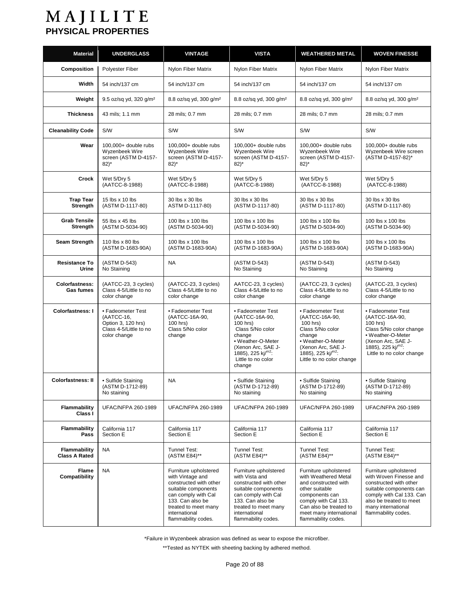| <b>Material</b>                             | <b>UNDERGLASS</b>                                                                               | <b>VINTAGE</b>                                                                                                                                                                                        | <b>VISTA</b>                                                                                                                                                                                        | <b>WEATHERED METAL</b>                                                                                                                                                                                        | <b>WOVEN FINESSE</b>                                                                                                                                                                                     |
|---------------------------------------------|-------------------------------------------------------------------------------------------------|-------------------------------------------------------------------------------------------------------------------------------------------------------------------------------------------------------|-----------------------------------------------------------------------------------------------------------------------------------------------------------------------------------------------------|---------------------------------------------------------------------------------------------------------------------------------------------------------------------------------------------------------------|----------------------------------------------------------------------------------------------------------------------------------------------------------------------------------------------------------|
| <b>Composition</b>                          | Polyester Fiber                                                                                 | Nylon Fiber Matrix                                                                                                                                                                                    | Nylon Fiber Matrix                                                                                                                                                                                  | Nylon Fiber Matrix                                                                                                                                                                                            | Nylon Fiber Matrix                                                                                                                                                                                       |
| Width                                       | 54 inch/137 cm                                                                                  | 54 inch/137 cm                                                                                                                                                                                        | 54 inch/137 cm                                                                                                                                                                                      | 54 inch/137 cm                                                                                                                                                                                                | 54 inch/137 cm                                                                                                                                                                                           |
| Weight                                      | 9.5 oz/sq yd, 320 g/m <sup>2</sup>                                                              | 8.8 oz/sq yd, 300 q/m <sup>2</sup>                                                                                                                                                                    | 8.8 oz/sq yd, 300 g/m <sup>2</sup>                                                                                                                                                                  | 8.8 oz/sq yd, 300 g/m <sup>2</sup>                                                                                                                                                                            | 8.8 oz/sq yd, 300 q/m <sup>2</sup>                                                                                                                                                                       |
| <b>Thickness</b>                            | 43 mils; 1.1 mm                                                                                 | 28 mils; 0.7 mm                                                                                                                                                                                       | 28 mils; 0.7 mm                                                                                                                                                                                     | 28 mils; 0.7 mm                                                                                                                                                                                               | 28 mils; 0.7 mm                                                                                                                                                                                          |
| <b>Cleanability Code</b>                    | S/W                                                                                             | <b>S/W</b>                                                                                                                                                                                            | S/W                                                                                                                                                                                                 | S/W                                                                                                                                                                                                           | S/W                                                                                                                                                                                                      |
| Wear                                        | 100,000+ double rubs<br>Wyzenbeek Wire<br>screen (ASTM D-4157-<br>$82)^*$                       | 100,000+ double rubs<br>Wyzenbeek Wire<br>screen (ASTM D-4157-<br>$82)^*$                                                                                                                             | 100,000+ double rubs<br>Wyzenbeek Wire<br>screen (ASTM D-4157-<br>$82$ <sup>*</sup>                                                                                                                 | $100,000+$ double rubs<br>Wyzenbeek Wire<br>screen (ASTM D-4157-<br>$82)^*$                                                                                                                                   | $100.000+$ double rubs<br>Wyzenbeek Wire screen<br>(ASTM D-4157-82)*                                                                                                                                     |
| Crock                                       | Wet 5/Dry 5<br>(AATCC-8-1988)                                                                   | Wet 5/Dry 5<br>(AATCC-8-1988)                                                                                                                                                                         | Wet 5/Dry 5<br>(AATCC-8-1988)                                                                                                                                                                       | Wet 5/Dry 5<br>(AATCC-8-1988)                                                                                                                                                                                 | Wet 5/Dry 5<br>(AATCC-8-1988)                                                                                                                                                                            |
| <b>Trap Tear</b><br>Strength                | 15 lbs x 10 lbs<br>(ASTM D-1117-80)                                                             | 30 lbs x 30 lbs<br>ASTM D-1117-80)                                                                                                                                                                    | 30 lbs x 30 lbs<br>(ASTM D-1117-80)                                                                                                                                                                 | 30 lbs x 30 lbs<br>(ASTM D-1117-80)                                                                                                                                                                           | 30 lbs x 30 lbs<br>(ASTM D-1117-80)                                                                                                                                                                      |
| <b>Grab Tensile</b><br>Strength             | 55 lbs x 45 lbs<br>(ASTM D-5034-90)                                                             | 100 lbs x 100 lbs<br>(ASTM D-5034-90)                                                                                                                                                                 | 100 lbs x 100 lbs<br>(ASTM D-5034-90)                                                                                                                                                               | 100 lbs x 100 lbs<br>(ASTM D-5034-90)                                                                                                                                                                         | 100 lbs x 100 lbs<br>(ASTM D-5034-90)                                                                                                                                                                    |
| <b>Seam Strength</b>                        | 110 lbs x 80 lbs<br>(ASTM D-1683-90A)                                                           | 100 lbs x 100 lbs<br>(ASTM D-1683-90A)                                                                                                                                                                | 100 lbs x 100 lbs<br>(ASTM D-1683-90A)                                                                                                                                                              | 100 lbs x 100 lbs<br>(ASTM D-1683-90A)                                                                                                                                                                        | 100 lbs x 100 lbs<br>(ASTM D-1683-90A)                                                                                                                                                                   |
| <b>Resistance To</b><br>Urine               | (ASTM D-543)<br>No Staining                                                                     | <b>NA</b>                                                                                                                                                                                             | (ASTM D-543)<br>No Staining                                                                                                                                                                         | (ASTM D-543)<br>No Staining                                                                                                                                                                                   | (ASTM D-543)<br>No Staining                                                                                                                                                                              |
| <b>Colorfastness:</b><br><b>Gas fumes</b>   | (AATCC-23, 3 cycles)<br>Class 4-5/Little to no<br>color change                                  | (AATCC-23, 3 cycles)<br>Class 4-5/Little to no<br>color change                                                                                                                                        | AATCC-23, 3 cycles)<br>Class 4-5/Little to no<br>color change                                                                                                                                       | (AATCC-23, 3 cycles)<br>Class 4-5/Little to no<br>color change                                                                                                                                                | (AATCC-23, 3 cycles)<br>Class 4-5/Little to no<br>color change                                                                                                                                           |
| <b>Colorfastness: I</b>                     | • Fadeometer Test<br>(AATCC-16,<br>Option 3, 120 hrs)<br>Class 4-5/Little to no<br>color change | • Fadeometer Test<br>(AATCC-16A-90,<br>100 hrs)<br>Class 5/No color<br>change                                                                                                                         | • Fadeometer Test<br>(AATCC-16A-90,<br>100 hrs)<br>Class 5/No color<br>change<br>• Weather-O-Meter<br>(Xenon Arc. SAE J-<br>1885), 225 kj/ $m^2$ :<br>Little to no color<br>change                  | • Fadeometer Test<br>(AATCC-16A-90,<br>100 hrs)<br>Class 5/No color<br>change<br>• Weather-O-Meter<br>(Xenon Arc, SAE J-<br>1885), 225 kj/ $m^2$ :<br>Little to no color change                               | • Fadeometer Test<br>(AATCC-16A-90,<br>100 hrs)<br>Class 5/No color change<br>• Weather-O-Meter<br>(Xenon Arc, SAE J-<br>1885), 225 kj/m <sup>2</sup> :<br>Little to no color change                     |
| <b>Colorfastness: II</b>                    | · Sulfide Staining<br>(ASTM D-1712-89)<br>No staining                                           | NA                                                                                                                                                                                                    | • Sulfide Staining<br>(ASTM D-1712-89)<br>No staining                                                                                                                                               | • Sulfide Staining<br>(ASTM D-1712-89)<br>No staining                                                                                                                                                         | • Sulfide Staining<br>(ASTM D-1712-89)<br>No staining                                                                                                                                                    |
| Flammability<br>Class I                     | <b>UFAC/NFPA 260-1989</b>                                                                       | <b>UFAC/NFPA 260-1989</b>                                                                                                                                                                             | <b>UFAC/NFPA 260-1989</b>                                                                                                                                                                           | <b>UFAC/NFPA 260-1989</b>                                                                                                                                                                                     | <b>UFAC/NFPA 260-1989</b>                                                                                                                                                                                |
| <b>Flammability</b><br>Pass                 | California 117<br>Section E                                                                     | California 117<br>Section E                                                                                                                                                                           | California 117<br>Section E                                                                                                                                                                         | California 117<br>Section E                                                                                                                                                                                   | California 117<br>Section E                                                                                                                                                                              |
| <b>Flammability</b><br><b>Class A Rated</b> | NA                                                                                              | Tunnel Test:<br>(ASTM E84)**                                                                                                                                                                          | Tunnel Test:<br>(ASTM E84)**                                                                                                                                                                        | Tunnel Test:<br>(ASTM E84)**                                                                                                                                                                                  | Tunnel Test:<br>(ASTM E84)**                                                                                                                                                                             |
| Flame<br>Compatibility                      | NA                                                                                              | Furniture upholstered<br>with Vintage and<br>constructed with other<br>suitable components<br>can comply with Cal<br>133. Can also be<br>treated to meet many<br>international<br>flammability codes. | Furniture upholstered<br>with Vista and<br>constructed with other<br>suitable components<br>can comply with Cal<br>133. Can also be<br>treated to meet many<br>international<br>flammability codes. | Furniture upholstered<br>with Weathered Metal<br>and constructed with<br>other suitable<br>components can<br>comply with Cal 133.<br>Can also be treated to<br>meet many international<br>flammability codes. | Furniture upholstered<br>with Woven Finesse and<br>constructed with other<br>suitable components can<br>comply with Cal 133. Can<br>also be treated to meet<br>many international<br>flammability codes. |

\*Failure in Wyzenbeek abrasion was defined as wear to expose the microfiber.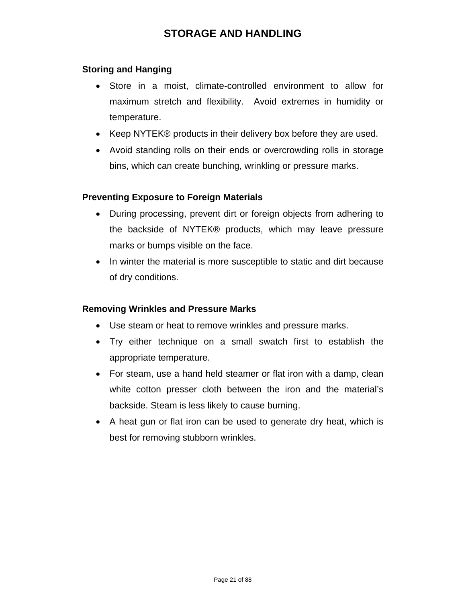# **STORAGE AND HANDLING**

### <span id="page-20-0"></span>**Storing and Hanging**

- Store in a moist, climate-controlled environment to allow for maximum stretch and flexibility. Avoid extremes in humidity or temperature.
- Keep NYTEK® products in their delivery box before they are used.
- Avoid standing rolls on their ends or overcrowding rolls in storage bins, which can create bunching, wrinkling or pressure marks.

### **Preventing Exposure to Foreign Materials**

- During processing, prevent dirt or foreign objects from adhering to the backside of NYTEK® products, which may leave pressure marks or bumps visible on the face.
- In winter the material is more susceptible to static and dirt because of dry conditions.

### **Removing Wrinkles and Pressure Marks**

- Use steam or heat to remove wrinkles and pressure marks.
- Try either technique on a small swatch first to establish the appropriate temperature.
- For steam, use a hand held steamer or flat iron with a damp, clean white cotton presser cloth between the iron and the material's backside. Steam is less likely to cause burning.
- A heat gun or flat iron can be used to generate dry heat, which is best for removing stubborn wrinkles.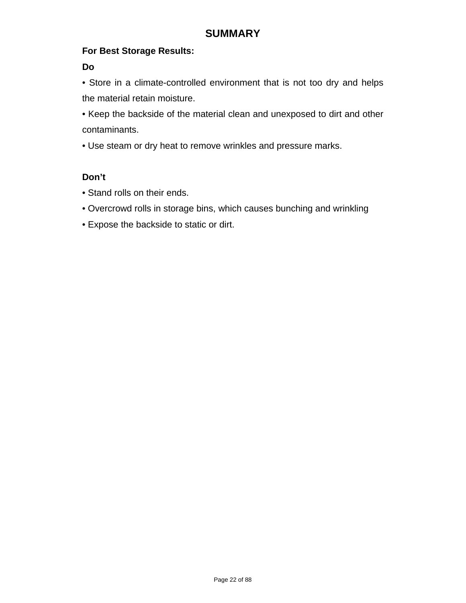## **For Best Storage Results:**

**Do** 

• Store in a climate-controlled environment that is not too dry and helps the material retain moisture.

• Keep the backside of the material clean and unexposed to dirt and other contaminants.

• Use steam or dry heat to remove wrinkles and pressure marks.

# **Don't**

- Stand rolls on their ends.
- Overcrowd rolls in storage bins, which causes bunching and wrinkling
- Expose the backside to static or dirt.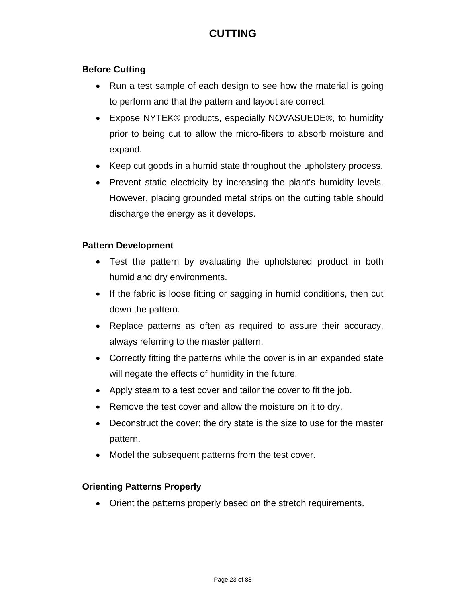# **CUTTING**

# <span id="page-22-0"></span>**Before Cutting**

- Run a test sample of each design to see how the material is going to perform and that the pattern and layout are correct.
- Expose NYTEK® products, especially NOVASUEDE®, to humidity prior to being cut to allow the micro-fibers to absorb moisture and expand.
- Keep cut goods in a humid state throughout the upholstery process.
- Prevent static electricity by increasing the plant's humidity levels. However, placing grounded metal strips on the cutting table should discharge the energy as it develops.

### **Pattern Development**

- Test the pattern by evaluating the upholstered product in both humid and dry environments.
- If the fabric is loose fitting or sagging in humid conditions, then cut down the pattern.
- Replace patterns as often as required to assure their accuracy, always referring to the master pattern.
- Correctly fitting the patterns while the cover is in an expanded state will negate the effects of humidity in the future.
- Apply steam to a test cover and tailor the cover to fit the job.
- Remove the test cover and allow the moisture on it to dry.
- Deconstruct the cover; the dry state is the size to use for the master pattern.
- Model the subsequent patterns from the test cover.

### **Orienting Patterns Properly**

Orient the patterns properly based on the stretch requirements.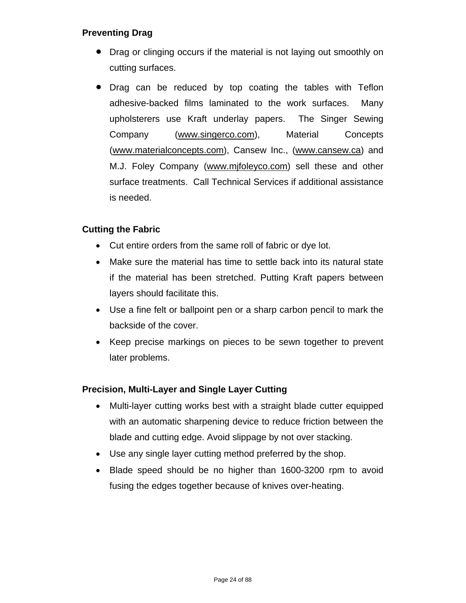# **Preventing Drag**

- Drag or clinging occurs if the material is not laying out smoothly on cutting surfaces.
- Drag can be reduced by top coating the tables with Teflon adhesive-backed films laminated to the work surfaces. Many upholsterers use Kraft underlay papers. The Singer Sewing Company (www.singerco.com), Material Concepts (www.materialconcepts.com), Cansew Inc., (www.cansew.ca) and M.J. Foley Company (www.mjfoleyco.com) sell these and other surface treatments. Call Technical Services if additional assistance is needed.

# **Cutting the Fabric**

- Cut entire orders from the same roll of fabric or dye lot.
- Make sure the material has time to settle back into its natural state if the material has been stretched. Putting Kraft papers between layers should facilitate this.
- Use a fine felt or ballpoint pen or a sharp carbon pencil to mark the backside of the cover.
- Keep precise markings on pieces to be sewn together to prevent later problems.

# **Precision, Multi-Layer and Single Layer Cutting**

- Multi-layer cutting works best with a straight blade cutter equipped with an automatic sharpening device to reduce friction between the blade and cutting edge. Avoid slippage by not over stacking.
- Use any single layer cutting method preferred by the shop.
- Blade speed should be no higher than 1600-3200 rpm to avoid fusing the edges together because of knives over-heating.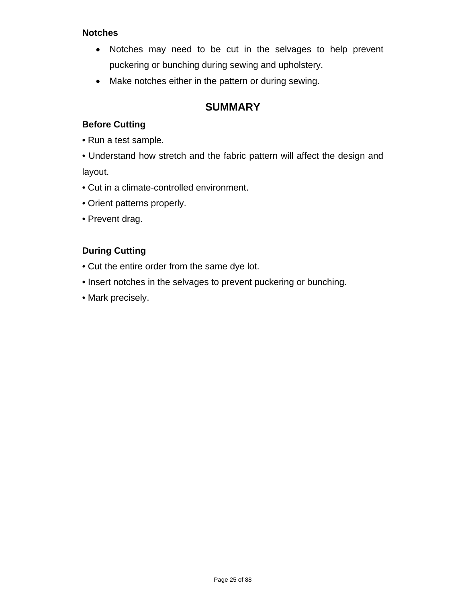# **Notches**

- Notches may need to be cut in the selvages to help prevent puckering or bunching during sewing and upholstery.
- Make notches either in the pattern or during sewing.

# **SUMMARY**

# **Before Cutting**

- Run a test sample.
- Understand how stretch and the fabric pattern will affect the design and layout.
- Cut in a climate-controlled environment.
- Orient patterns properly.
- Prevent drag.

# **During Cutting**

- Cut the entire order from the same dye lot.
- Insert notches in the selvages to prevent puckering or bunching.
- Mark precisely.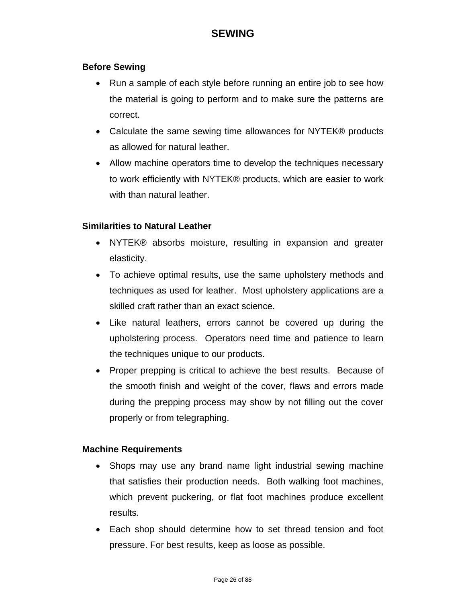# **SEWING**

### <span id="page-25-0"></span>**Before Sewing**

- Run a sample of each style before running an entire job to see how the material is going to perform and to make sure the patterns are correct.
- Calculate the same sewing time allowances for NYTEK® products as allowed for natural leather.
- Allow machine operators time to develop the techniques necessary to work efficiently with NYTEK® products, which are easier to work with than natural leather.

# **Similarities to Natural Leather**

- NYTEK® absorbs moisture, resulting in expansion and greater elasticity.
- To achieve optimal results, use the same upholstery methods and techniques as used for leather. Most upholstery applications are a skilled craft rather than an exact science.
- Like natural leathers, errors cannot be covered up during the upholstering process. Operators need time and patience to learn the techniques unique to our products.
- Proper prepping is critical to achieve the best results. Because of the smooth finish and weight of the cover, flaws and errors made during the prepping process may show by not filling out the cover properly or from telegraphing.

### **Machine Requirements**

- Shops may use any brand name light industrial sewing machine that satisfies their production needs. Both walking foot machines, which prevent puckering, or flat foot machines produce excellent results.
- Each shop should determine how to set thread tension and foot pressure. For best results, keep as loose as possible.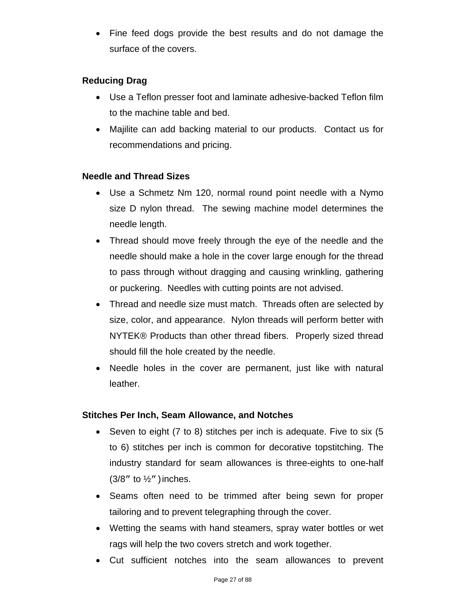Fine feed dogs provide the best results and do not damage the surface of the covers.

# **Reducing Drag**

- Use a Teflon presser foot and laminate adhesive-backed Teflon film to the machine table and bed.
- Majilite can add backing material to our products. Contact us for recommendations and pricing.

# **Needle and Thread Sizes**

- Use a Schmetz Nm 120, normal round point needle with a Nymo size D nylon thread. The sewing machine model determines the needle length.
- Thread should move freely through the eye of the needle and the needle should make a hole in the cover large enough for the thread to pass through without dragging and causing wrinkling, gathering or puckering. Needles with cutting points are not advised.
- Thread and needle size must match. Threads often are selected by size, color, and appearance. Nylon threads will perform better with NYTEK® Products than other thread fibers. Properly sized thread should fill the hole created by the needle.
- Needle holes in the cover are permanent, just like with natural leather.

# **Stitches Per Inch, Seam Allowance, and Notches**

- Seven to eight  $(7 \text{ to } 8)$  stitches per inch is adequate. Five to six  $(5 \text{ to } 10)$ to 6) stitches per inch is common for decorative topstitching. The industry standard for seam allowances is three-eights to one-half  $(3/8"$  to  $\frac{1}{2}"$  ) inches.
- Seams often need to be trimmed after being sewn for proper tailoring and to prevent telegraphing through the cover.
- Wetting the seams with hand steamers, spray water bottles or wet rags will help the two covers stretch and work together.
- Cut sufficient notches into the seam allowances to prevent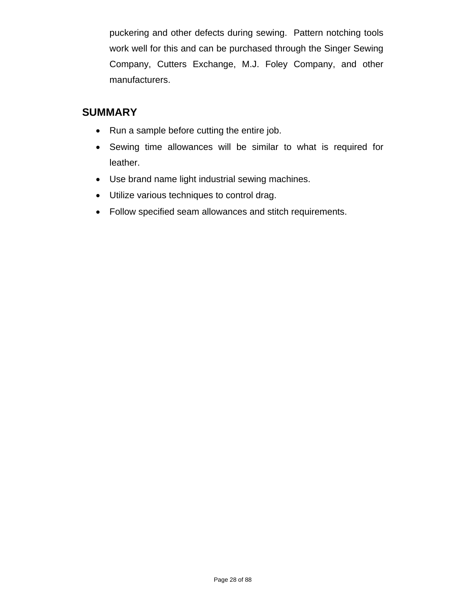puckering and other defects during sewing. Pattern notching tools work well for this and can be purchased through the Singer Sewing Company, Cutters Exchange, M.J. Foley Company, and other manufacturers.

# **SUMMARY**

- Run a sample before cutting the entire job.
- Sewing time allowances will be similar to what is required for leather.
- Use brand name light industrial sewing machines.
- Utilize various techniques to control drag.
- Follow specified seam allowances and stitch requirements.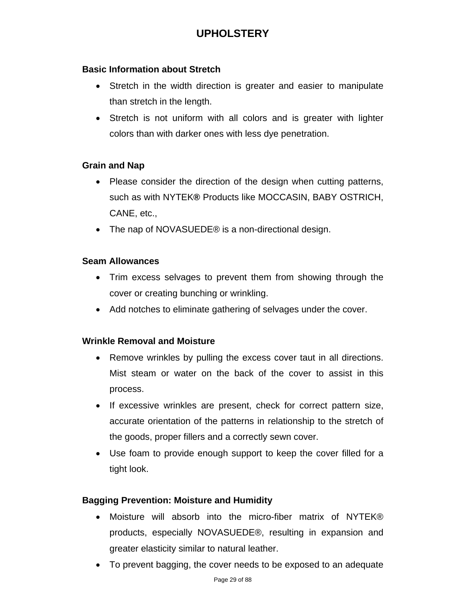# **UPHOLSTERY**

### <span id="page-28-0"></span>**Basic Information about Stretch**

- Stretch in the width direction is greater and easier to manipulate than stretch in the length.
- Stretch is not uniform with all colors and is greater with lighter colors than with darker ones with less dye penetration.

### **Grain and Nap**

- Please consider the direction of the design when cutting patterns, such as with NYTEK**®** Products like MOCCASIN, BABY OSTRICH, CANE, etc.,
- The nap of NOVASUEDE<sup>®</sup> is a non-directional design.

### **Seam Allowances**

- Trim excess selvages to prevent them from showing through the cover or creating bunching or wrinkling.
- Add notches to eliminate gathering of selvages under the cover.

### **Wrinkle Removal and Moisture**

- Remove wrinkles by pulling the excess cover taut in all directions. Mist steam or water on the back of the cover to assist in this process.
- If excessive wrinkles are present, check for correct pattern size, accurate orientation of the patterns in relationship to the stretch of the goods, proper fillers and a correctly sewn cover.
- Use foam to provide enough support to keep the cover filled for a tight look.

### **Bagging Prevention: Moisture and Humidity**

- Moisture will absorb into the micro-fiber matrix of NYTEK® products, especially NOVASUEDE®, resulting in expansion and greater elasticity similar to natural leather.
- To prevent bagging, the cover needs to be exposed to an adequate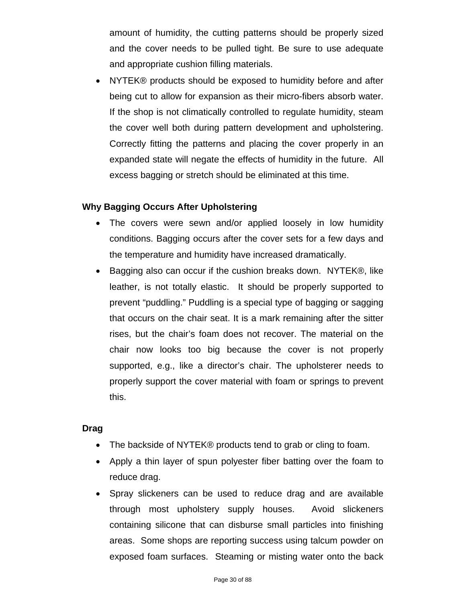amount of humidity, the cutting patterns should be properly sized and the cover needs to be pulled tight. Be sure to use adequate and appropriate cushion filling materials.

 NYTEK® products should be exposed to humidity before and after being cut to allow for expansion as their micro-fibers absorb water. If the shop is not climatically controlled to regulate humidity, steam the cover well both during pattern development and upholstering. Correctly fitting the patterns and placing the cover properly in an expanded state will negate the effects of humidity in the future. All excess bagging or stretch should be eliminated at this time.

# **Why Bagging Occurs After Upholstering**

- The covers were sewn and/or applied loosely in low humidity conditions. Bagging occurs after the cover sets for a few days and the temperature and humidity have increased dramatically.
- Bagging also can occur if the cushion breaks down. NYTEK®, like leather, is not totally elastic. It should be properly supported to prevent "puddling." Puddling is a special type of bagging or sagging that occurs on the chair seat. It is a mark remaining after the sitter rises, but the chair's foam does not recover. The material on the chair now looks too big because the cover is not properly supported, e.g., like a director's chair. The upholsterer needs to properly support the cover material with foam or springs to prevent this.

### **Drag**

- The backside of NYTEK® products tend to grab or cling to foam.
- Apply a thin layer of spun polyester fiber batting over the foam to reduce drag.
- Spray slickeners can be used to reduce drag and are available through most upholstery supply houses. Avoid slickeners containing silicone that can disburse small particles into finishing areas. Some shops are reporting success using talcum powder on exposed foam surfaces. Steaming or misting water onto the back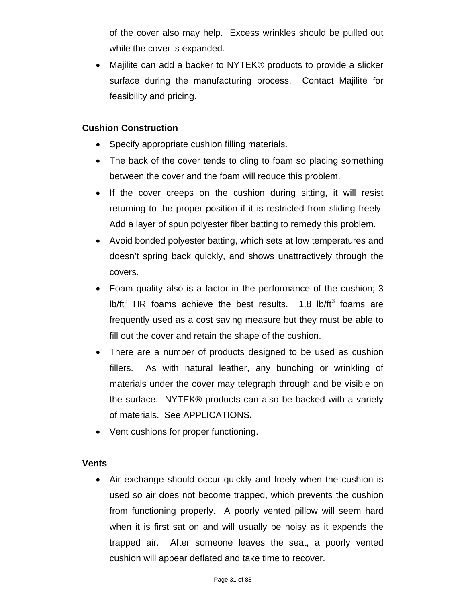of the cover also may help. Excess wrinkles should be pulled out while the cover is expanded.

 Majilite can add a backer to NYTEK® products to provide a slicker surface during the manufacturing process. Contact Majilite for feasibility and pricing.

# **Cushion Construction**

- Specify appropriate cushion filling materials.
- The back of the cover tends to cling to foam so placing something between the cover and the foam will reduce this problem.
- If the cover creeps on the cushion during sitting, it will resist returning to the proper position if it is restricted from sliding freely. Add a layer of spun polyester fiber batting to remedy this problem.
- Avoid bonded polyester batting, which sets at low temperatures and doesn't spring back quickly, and shows unattractively through the covers.
- Foam quality also is a factor in the performance of the cushion; 3 lb/ft<sup>3</sup> HR foams achieve the best results.  $1.8$  lb/ft<sup>3</sup> foams are frequently used as a cost saving measure but they must be able to fill out the cover and retain the shape of the cushion.
- There are a number of products designed to be used as cushion fillers. As with natural leather, any bunching or wrinkling of materials under the cover may telegraph through and be visible on the surface. NYTEK® products can also be backed with a variety of materials. See APPLICATIONS**.**
- Vent cushions for proper functioning.

### **Vents**

 Air exchange should occur quickly and freely when the cushion is used so air does not become trapped, which prevents the cushion from functioning properly. A poorly vented pillow will seem hard when it is first sat on and will usually be noisy as it expends the trapped air. After someone leaves the seat, a poorly vented cushion will appear deflated and take time to recover.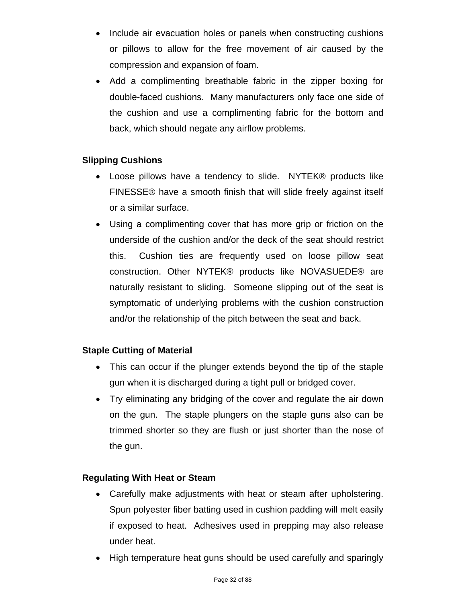- Include air evacuation holes or panels when constructing cushions or pillows to allow for the free movement of air caused by the compression and expansion of foam.
- Add a complimenting breathable fabric in the zipper boxing for double-faced cushions. Many manufacturers only face one side of the cushion and use a complimenting fabric for the bottom and back, which should negate any airflow problems.

# **Slipping Cushions**

- Loose pillows have a tendency to slide. NYTEK® products like FINESSE® have a smooth finish that will slide freely against itself or a similar surface.
- Using a complimenting cover that has more grip or friction on the underside of the cushion and/or the deck of the seat should restrict this. Cushion ties are frequently used on loose pillow seat construction. Other NYTEK® products like NOVASUEDE® are naturally resistant to sliding. Someone slipping out of the seat is symptomatic of underlying problems with the cushion construction and/or the relationship of the pitch between the seat and back.

# **Staple Cutting of Material**

- This can occur if the plunger extends beyond the tip of the staple gun when it is discharged during a tight pull or bridged cover.
- Try eliminating any bridging of the cover and regulate the air down on the gun. The staple plungers on the staple guns also can be trimmed shorter so they are flush or just shorter than the nose of the gun.

# **Regulating With Heat or Steam**

- Carefully make adjustments with heat or steam after upholstering. Spun polyester fiber batting used in cushion padding will melt easily if exposed to heat. Adhesives used in prepping may also release under heat.
- High temperature heat guns should be used carefully and sparingly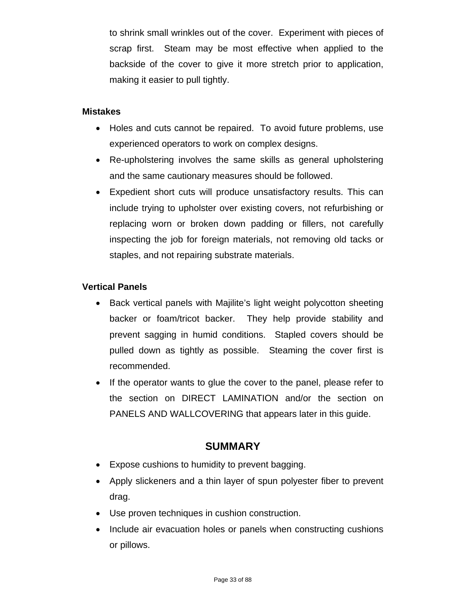to shrink small wrinkles out of the cover. Experiment with pieces of scrap first. Steam may be most effective when applied to the backside of the cover to give it more stretch prior to application, making it easier to pull tightly.

#### **Mistakes**

- Holes and cuts cannot be repaired. To avoid future problems, use experienced operators to work on complex designs.
- Re-upholstering involves the same skills as general upholstering and the same cautionary measures should be followed.
- Expedient short cuts will produce unsatisfactory results. This can include trying to upholster over existing covers, not refurbishing or replacing worn or broken down padding or fillers, not carefully inspecting the job for foreign materials, not removing old tacks or staples, and not repairing substrate materials.

### **Vertical Panels**

- Back vertical panels with Majilite's light weight polycotton sheeting backer or foam/tricot backer. They help provide stability and prevent sagging in humid conditions. Stapled covers should be pulled down as tightly as possible. Steaming the cover first is recommended.
- If the operator wants to glue the cover to the panel, please refer to the section on DIRECT LAMINATION and/or the section on PANELS AND WALLCOVERING that appears later in this guide.

# **SUMMARY**

- Expose cushions to humidity to prevent bagging.
- Apply slickeners and a thin layer of spun polyester fiber to prevent drag.
- Use proven techniques in cushion construction.
- Include air evacuation holes or panels when constructing cushions or pillows.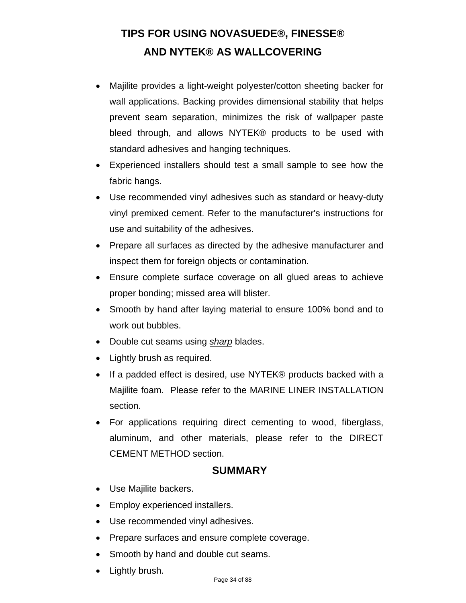# <span id="page-33-0"></span>**TIPS FOR USING NOVASUEDE®, FINESSE® AND NYTEK® AS WALLCOVERING**

- Majilite provides a light-weight polyester/cotton sheeting backer for wall applications. Backing provides dimensional stability that helps prevent seam separation, minimizes the risk of wallpaper paste bleed through, and allows NYTEK® products to be used with standard adhesives and hanging techniques.
- Experienced installers should test a small sample to see how the fabric hangs.
- Use recommended vinyl adhesives such as standard or heavy-duty vinyl premixed cement. Refer to the manufacturer's instructions for use and suitability of the adhesives.
- Prepare all surfaces as directed by the adhesive manufacturer and inspect them for foreign objects or contamination.
- Ensure complete surface coverage on all glued areas to achieve proper bonding; missed area will blister.
- Smooth by hand after laying material to ensure 100% bond and to work out bubbles.
- Double cut seams using **sharp** blades.
- Lightly brush as required.
- If a padded effect is desired, use NYTEK® products backed with a Majilite foam. Please refer to the MARINE LINER INSTALLATION section.
- For applications requiring direct cementing to wood, fiberglass, aluminum, and other materials, please refer to the DIRECT CEMENT METHOD section.

# **SUMMARY**

- Use Majilite backers.
- Employ experienced installers.
- Use recommended vinyl adhesives.
- Prepare surfaces and ensure complete coverage.
- Smooth by hand and double cut seams.
- Lightly brush.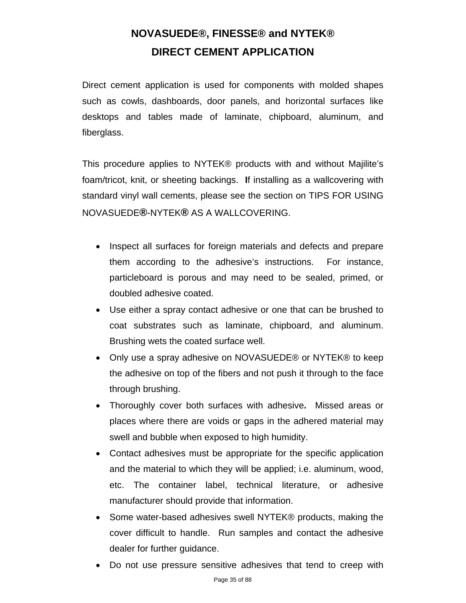# **NOVASUEDE®, FINESSE® and NYTEK® DIRECT CEMENT APPLICATION**

<span id="page-34-0"></span>Direct cement application is used for components with molded shapes such as cowls, dashboards, door panels, and horizontal surfaces like desktops and tables made of laminate, chipboard, aluminum, and fiberglass.

This procedure applies to NYTEK® products with and without Majilite's foam/tricot, knit, or sheeting backings. **I**f installing as a wallcovering with standard vinyl wall cements, please see the section on TIPS FOR USING NOVASUEDE**®**-NYTEK**®** AS A WALLCOVERING.

- Inspect all surfaces for foreign materials and defects and prepare them according to the adhesive's instructions. For instance, particleboard is porous and may need to be sealed, primed, or doubled adhesive coated.
- Use either a spray contact adhesive or one that can be brushed to coat substrates such as laminate, chipboard, and aluminum. Brushing wets the coated surface well.
- Only use a spray adhesive on NOVASUEDE® or NYTEK® to keep the adhesive on top of the fibers and not push it through to the face through brushing.
- Thoroughly cover both surfaces with adhesive**.** Missed areas or places where there are voids or gaps in the adhered material may swell and bubble when exposed to high humidity.
- Contact adhesives must be appropriate for the specific application and the material to which they will be applied; i.e. aluminum, wood, etc. The container label, technical literature, or adhesive manufacturer should provide that information.
- Some water-based adhesives swell NYTEK® products, making the cover difficult to handle. Run samples and contact the adhesive dealer for further guidance.
- Do not use pressure sensitive adhesives that tend to creep with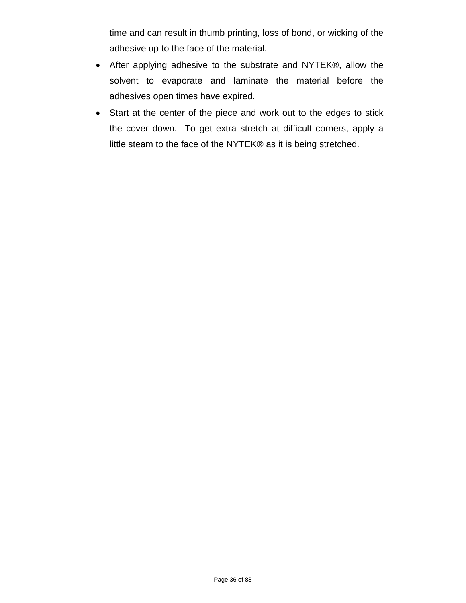time and can result in thumb printing, loss of bond, or wicking of the adhesive up to the face of the material.

- After applying adhesive to the substrate and NYTEK®, allow the solvent to evaporate and laminate the material before the adhesives open times have expired.
- Start at the center of the piece and work out to the edges to stick the cover down. To get extra stretch at difficult corners, apply a little steam to the face of the NYTEK® as it is being stretched.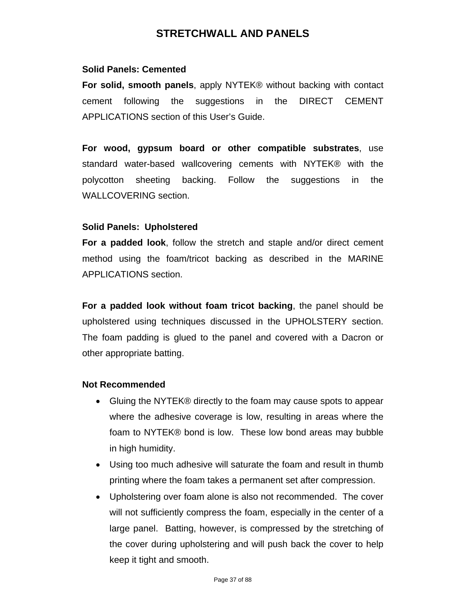## **STRETCHWALL AND PANELS**

### **Solid Panels: Cemented**

**For solid, smooth panels**, apply NYTEK® without backing with contact cement following the suggestions in the DIRECT CEMENT APPLICATIONS section of this User's Guide.

**For wood, gypsum board or other compatible substrates**, use standard water-based wallcovering cements with NYTEK® with the polycotton sheeting backing. Follow the suggestions in the WALLCOVERING section.

### **Solid Panels: Upholstered**

**For a padded look**, follow the stretch and staple and/or direct cement method using the foam/tricot backing as described in the MARINE APPLICATIONS section.

**For a padded look without foam tricot backing**, the panel should be upholstered using techniques discussed in the UPHOLSTERY section. The foam padding is glued to the panel and covered with a Dacron or other appropriate batting.

### **Not Recommended**

- Gluing the NYTEK® directly to the foam may cause spots to appear where the adhesive coverage is low, resulting in areas where the foam to NYTEK® bond is low. These low bond areas may bubble in high humidity.
- Using too much adhesive will saturate the foam and result in thumb printing where the foam takes a permanent set after compression.
- Upholstering over foam alone is also not recommended. The cover will not sufficiently compress the foam, especially in the center of a large panel. Batting, however, is compressed by the stretching of the cover during upholstering and will push back the cover to help keep it tight and smooth.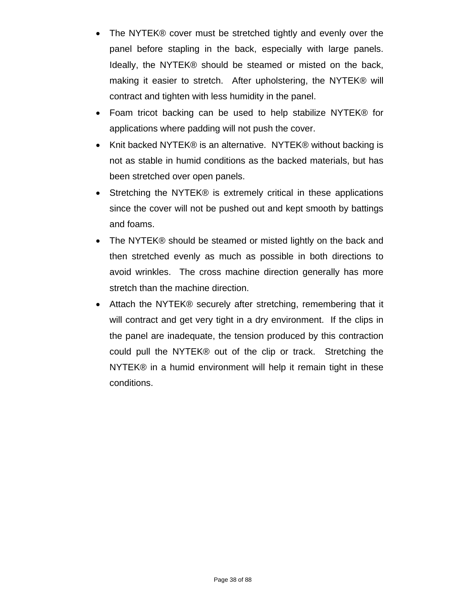- The NYTEK® cover must be stretched tightly and evenly over the panel before stapling in the back, especially with large panels. Ideally, the NYTEK® should be steamed or misted on the back, making it easier to stretch. After upholstering, the NYTEK® will contract and tighten with less humidity in the panel.
- Foam tricot backing can be used to help stabilize NYTEK® for applications where padding will not push the cover.
- Knit backed NYTEK® is an alternative. NYTEK® without backing is not as stable in humid conditions as the backed materials, but has been stretched over open panels.
- Stretching the NYTEK® is extremely critical in these applications since the cover will not be pushed out and kept smooth by battings and foams.
- The NYTEK® should be steamed or misted lightly on the back and then stretched evenly as much as possible in both directions to avoid wrinkles. The cross machine direction generally has more stretch than the machine direction.
- Attach the NYTEK® securely after stretching, remembering that it will contract and get very tight in a dry environment. If the clips in the panel are inadequate, the tension produced by this contraction could pull the NYTEK® out of the clip or track. Stretching the NYTEK® in a humid environment will help it remain tight in these conditions.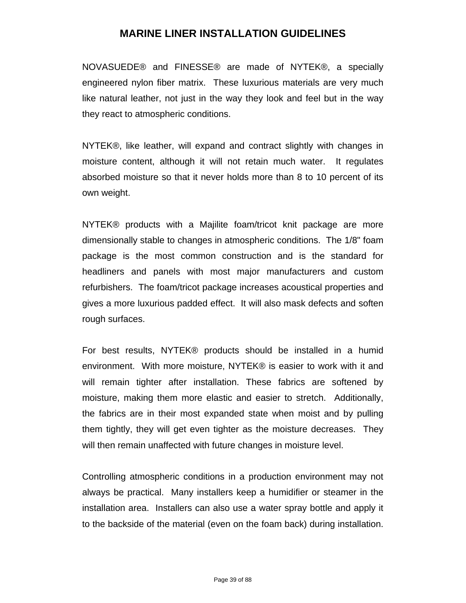## **MARINE LINER INSTALLATION GUIDELINES**

NOVASUEDE® and FINESSE® are made of NYTEK®, a specially engineered nylon fiber matrix. These luxurious materials are very much like natural leather, not just in the way they look and feel but in the way they react to atmospheric conditions.

NYTEK®, like leather, will expand and contract slightly with changes in moisture content, although it will not retain much water. It regulates absorbed moisture so that it never holds more than 8 to 10 percent of its own weight.

NYTEK® products with a Majilite foam/tricot knit package are more dimensionally stable to changes in atmospheric conditions. The 1/8" foam package is the most common construction and is the standard for headliners and panels with most major manufacturers and custom refurbishers. The foam/tricot package increases acoustical properties and gives a more luxurious padded effect. It will also mask defects and soften rough surfaces.

For best results, NYTEK® products should be installed in a humid environment. With more moisture, NYTEK® is easier to work with it and will remain tighter after installation. These fabrics are softened by moisture, making them more elastic and easier to stretch. Additionally, the fabrics are in their most expanded state when moist and by pulling them tightly, they will get even tighter as the moisture decreases. They will then remain unaffected with future changes in moisture level.

Controlling atmospheric conditions in a production environment may not always be practical. Many installers keep a humidifier or steamer in the installation area. Installers can also use a water spray bottle and apply it to the backside of the material (even on the foam back) during installation.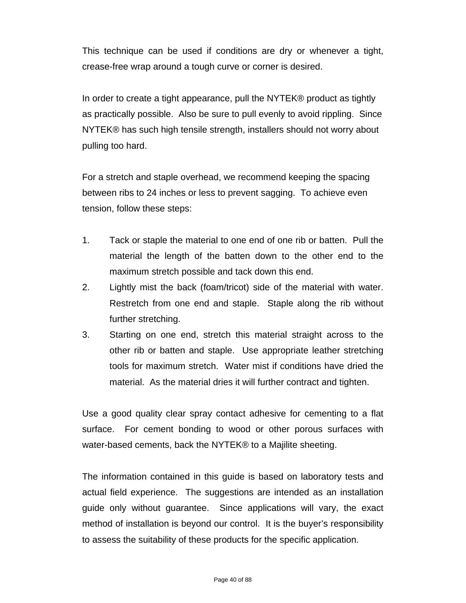This technique can be used if conditions are dry or whenever a tight, crease-free wrap around a tough curve or corner is desired.

In order to create a tight appearance, pull the NYTEK® product as tightly as practically possible. Also be sure to pull evenly to avoid rippling. Since NYTEK® has such high tensile strength, installers should not worry about pulling too hard.

For a stretch and staple overhead, we recommend keeping the spacing between ribs to 24 inches or less to prevent sagging. To achieve even tension, follow these steps:

- 1. Tack or staple the material to one end of one rib or batten. Pull the material the length of the batten down to the other end to the maximum stretch possible and tack down this end.
- 2. Lightly mist the back (foam/tricot) side of the material with water. Restretch from one end and staple. Staple along the rib without further stretching.
- 3. Starting on one end, stretch this material straight across to the other rib or batten and staple. Use appropriate leather stretching tools for maximum stretch. Water mist if conditions have dried the material. As the material dries it will further contract and tighten.

Use a good quality clear spray contact adhesive for cementing to a flat surface. For cement bonding to wood or other porous surfaces with water-based cements, back the NYTEK® to a Majilite sheeting.

The information contained in this guide is based on laboratory tests and actual field experience. The suggestions are intended as an installation guide only without guarantee. Since applications will vary, the exact method of installation is beyond our control. It is the buyer's responsibility to assess the suitability of these products for the specific application.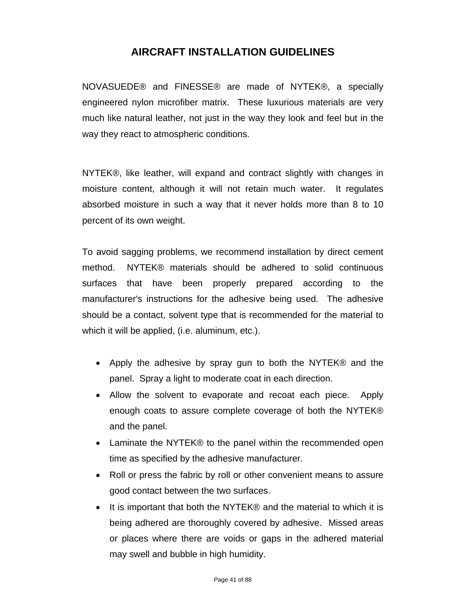## **AIRCRAFT INSTALLATION GUIDELINES**

NOVASUEDE® and FINESSE® are made of NYTEK®, a specially engineered nylon microfiber matrix. These luxurious materials are very much like natural leather, not just in the way they look and feel but in the way they react to atmospheric conditions.

NYTEK®, like leather, will expand and contract slightly with changes in moisture content, although it will not retain much water. It regulates absorbed moisture in such a way that it never holds more than 8 to 10 percent of its own weight.

To avoid sagging problems, we recommend installation by direct cement method. NYTEK® materials should be adhered to solid continuous surfaces that have been properly prepared according to the manufacturer's instructions for the adhesive being used. The adhesive should be a contact, solvent type that is recommended for the material to which it will be applied, (i.e. aluminum, etc.).

- Apply the adhesive by spray gun to both the NYTEK® and the panel. Spray a light to moderate coat in each direction.
- Allow the solvent to evaporate and recoat each piece. Apply enough coats to assure complete coverage of both the NYTEK® and the panel.
- Laminate the NYTEK® to the panel within the recommended open time as specified by the adhesive manufacturer.
- Roll or press the fabric by roll or other convenient means to assure good contact between the two surfaces.
- It is important that both the NYTEK® and the material to which it is being adhered are thoroughly covered by adhesive. Missed areas or places where there are voids or gaps in the adhered material may swell and bubble in high humidity.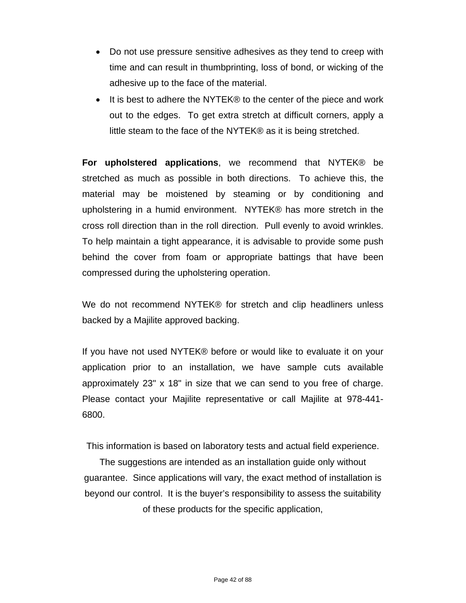- Do not use pressure sensitive adhesives as they tend to creep with time and can result in thumbprinting, loss of bond, or wicking of the adhesive up to the face of the material.
- It is best to adhere the NYTEK® to the center of the piece and work out to the edges. To get extra stretch at difficult corners, apply a little steam to the face of the NYTEK® as it is being stretched.

**For upholstered applications**, we recommend that NYTEK® be stretched as much as possible in both directions. To achieve this, the material may be moistened by steaming or by conditioning and upholstering in a humid environment. NYTEK® has more stretch in the cross roll direction than in the roll direction. Pull evenly to avoid wrinkles. To help maintain a tight appearance, it is advisable to provide some push behind the cover from foam or appropriate battings that have been compressed during the upholstering operation.

We do not recommend NYTEK® for stretch and clip headliners unless backed by a Majilite approved backing.

If you have not used NYTEK® before or would like to evaluate it on your application prior to an installation, we have sample cuts available approximately 23" x 18" in size that we can send to you free of charge. Please contact your Majilite representative or call Majilite at 978-441- 6800.

This information is based on laboratory tests and actual field experience.

The suggestions are intended as an installation guide only without guarantee. Since applications will vary, the exact method of installation is beyond our control. It is the buyer's responsibility to assess the suitability of these products for the specific application,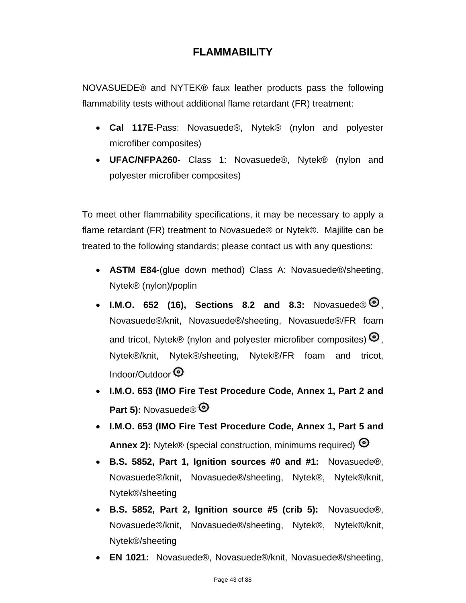# **FLAMMABILITY**

NOVASUEDE® and NYTEK® faux leather products pass the following flammability tests without additional flame retardant (FR) treatment:

- **Cal 117E**-Pass: Novasuede®, Nytek® (nylon and polyester microfiber composites)
- **UFAC/NFPA260** Class 1: Novasuede®, Nytek® (nylon and polyester microfiber composites)

To meet other flammability specifications, it may be necessary to apply a flame retardant (FR) treatment to Novasuede® or Nytek®. Majilite can be treated to the following standards; please contact us with any questions:

- **ASTM E84**-(glue down method) Class A: Novasuede®/sheeting, Nytek® (nylon)/poplin
- I.M.O. 652 (16), Sections 8.2 and 8.3: Novasuede®  $\mathcal{O}$ , Novasuede®/knit, Novasuede®/sheeting, Novasuede®/FR foam and tricot, Nytek® (nylon and polyester microfiber composites)  $\mathbf{\Theta}$ . Nytek®/knit, Nytek®/sheeting, Nytek®/FR foam and tricot, Indoor/Outdoor
- **I.M.O. 653 (IMO Fire Test Procedure Code, Annex 1, Part 2 and**  Part 5): Novasuede<sup>®</sup>
- **I.M.O. 653 (IMO Fire Test Procedure Code, Annex 1, Part 5 and Annex 2):** Nytek® (special construction, minimums required) <sup>©</sup>
- **B.S. 5852, Part 1, Ignition sources #0 and #1:** Novasuede®, Novasuede®/knit, Novasuede®/sheeting, Nytek®, Nytek®/knit, Nytek®/sheeting
- **B.S. 5852, Part 2, Ignition source #5 (crib 5):** Novasuede®, Novasuede®/knit, Novasuede®/sheeting, Nytek®, Nytek®/knit, Nytek®/sheeting
- **EN 1021:** Novasuede®, Novasuede®/knit, Novasuede®/sheeting,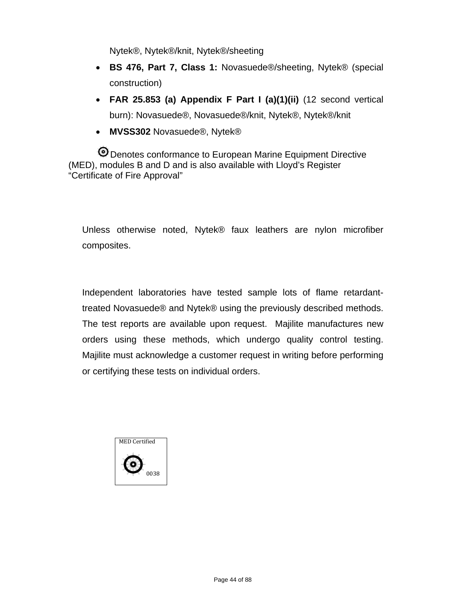Nytek®, Nytek®/knit, Nytek®/sheeting

- **BS 476, Part 7, Class 1:** Novasuede®/sheeting, Nytek® (special construction)
- **FAR 25.853 (a) Appendix F Part I (a)(1)(ii)** (12 second vertical burn): Novasuede®, Novasuede®/knit, Nytek®, Nytek®/knit
- **MVSS302** Novasuede®, Nytek®

Denotes conformance to European Marine Equipment Directive (MED), modules B and D and is also available with Lloyd's Register "Certificate of Fire Approval"

Unless otherwise noted, Nytek® faux leathers are nylon microfiber composites.

Independent laboratories have tested sample lots of flame retardanttreated Novasuede® and Nytek® using the previously described methods. The test reports are available upon request. Majilite manufactures new orders using these methods, which undergo quality control testing. Majilite must acknowledge a customer request in writing before performing or certifying these tests on individual orders.

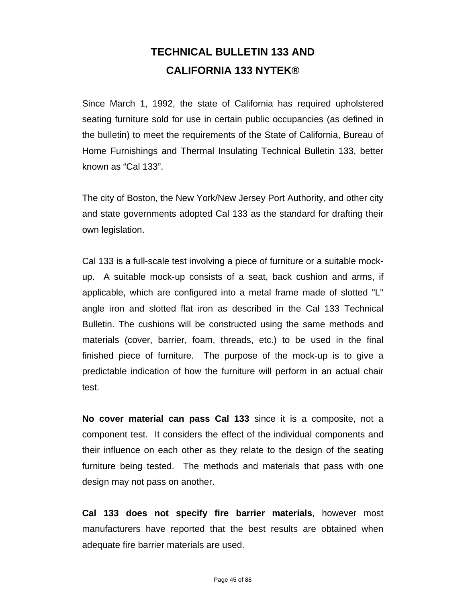# **TECHNICAL BULLETIN 133 AND CALIFORNIA 133 NYTEK®**

Since March 1, 1992, the state of California has required upholstered seating furniture sold for use in certain public occupancies (as defined in the bulletin) to meet the requirements of the State of California, Bureau of Home Furnishings and Thermal Insulating Technical Bulletin 133, better known as "Cal 133".

The city of Boston, the New York/New Jersey Port Authority, and other city and state governments adopted Cal 133 as the standard for drafting their own legislation.

Cal 133 is a full-scale test involving a piece of furniture or a suitable mockup. A suitable mock-up consists of a seat, back cushion and arms, if applicable, which are configured into a metal frame made of slotted "L" angle iron and slotted flat iron as described in the Cal 133 Technical Bulletin. The cushions will be constructed using the same methods and materials (cover, barrier, foam, threads, etc.) to be used in the final finished piece of furniture. The purpose of the mock-up is to give a predictable indication of how the furniture will perform in an actual chair test.

**No cover material can pass Cal 133** since it is a composite, not a component test. It considers the effect of the individual components and their influence on each other as they relate to the design of the seating furniture being tested. The methods and materials that pass with one design may not pass on another.

**Cal 133 does not specify fire barrier materials**, however most manufacturers have reported that the best results are obtained when adequate fire barrier materials are used.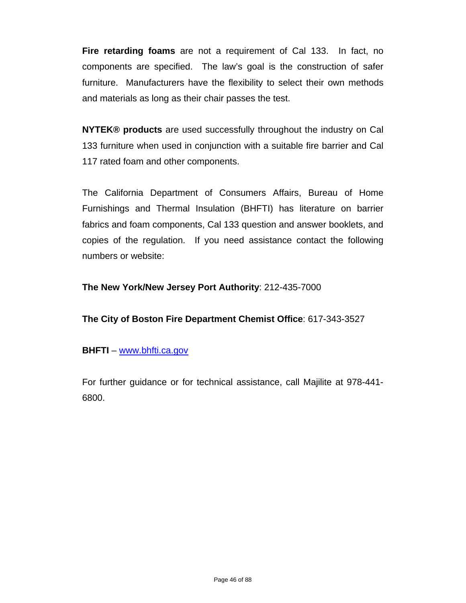**Fire retarding foams** are not a requirement of Cal 133. In fact, no components are specified. The law's goal is the construction of safer furniture. Manufacturers have the flexibility to select their own methods and materials as long as their chair passes the test.

**NYTEK® products** are used successfully throughout the industry on Cal 133 furniture when used in conjunction with a suitable fire barrier and Cal 117 rated foam and other components.

The California Department of Consumers Affairs, Bureau of Home Furnishings and Thermal Insulation (BHFTI) has literature on barrier fabrics and foam components, Cal 133 question and answer booklets, and copies of the regulation. If you need assistance contact the following numbers or website:

**The New York/New Jersey Port Authority**: 212-435-7000

**The City of Boston Fire Department Chemist Office**: 617-343-3527

### **BHFTI** – www.bhfti.ca.gov

For further guidance or for technical assistance, call Majilite at 978-441- 6800.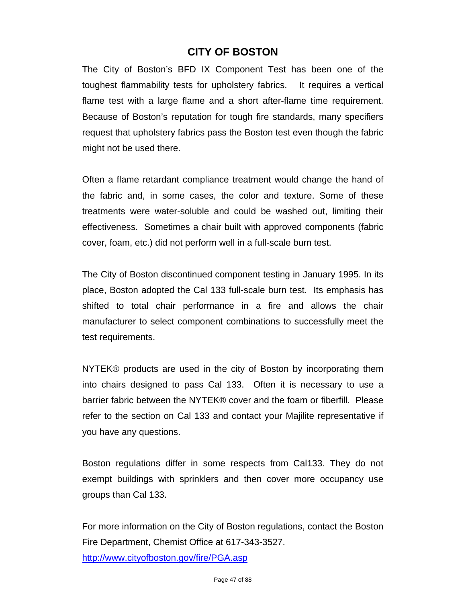# **CITY OF BOSTON**

The City of Boston's BFD IX Component Test has been one of the toughest flammability tests for upholstery fabrics. It requires a vertical flame test with a large flame and a short after-flame time requirement. Because of Boston's reputation for tough fire standards, many specifiers request that upholstery fabrics pass the Boston test even though the fabric might not be used there.

Often a flame retardant compliance treatment would change the hand of the fabric and, in some cases, the color and texture. Some of these treatments were water-soluble and could be washed out, limiting their effectiveness. Sometimes a chair built with approved components (fabric cover, foam, etc.) did not perform well in a full-scale burn test.

The City of Boston discontinued component testing in January 1995. In its place, Boston adopted the Cal 133 full-scale burn test. Its emphasis has shifted to total chair performance in a fire and allows the chair manufacturer to select component combinations to successfully meet the test requirements.

NYTEK® products are used in the city of Boston by incorporating them into chairs designed to pass Cal 133. Often it is necessary to use a barrier fabric between the NYTEK® cover and the foam or fiberfill. Please refer to the section on Cal 133 and contact your Majilite representative if you have any questions.

Boston regulations differ in some respects from Cal133. They do not exempt buildings with sprinklers and then cover more occupancy use groups than Cal 133.

For more information on the City of Boston regulations, contact the Boston Fire Department, Chemist Office at 617-343-3527. http://www.cityofboston.gov/fire/PGA.asp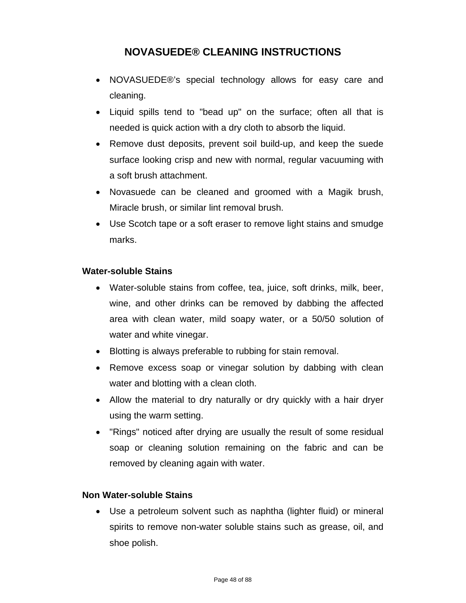# **NOVASUEDE® CLEANING INSTRUCTIONS**

- NOVASUEDE®'s special technology allows for easy care and cleaning.
- Liquid spills tend to "bead up" on the surface; often all that is needed is quick action with a dry cloth to absorb the liquid.
- Remove dust deposits, prevent soil build-up, and keep the suede surface looking crisp and new with normal, regular vacuuming with a soft brush attachment.
- Novasuede can be cleaned and groomed with a Magik brush, Miracle brush, or similar lint removal brush.
- Use Scotch tape or a soft eraser to remove light stains and smudge marks.

### **Water-soluble Stains**

- Water-soluble stains from coffee, tea, juice, soft drinks, milk, beer, wine, and other drinks can be removed by dabbing the affected area with clean water, mild soapy water, or a 50/50 solution of water and white vinegar.
- Blotting is always preferable to rubbing for stain removal.
- Remove excess soap or vinegar solution by dabbing with clean water and blotting with a clean cloth.
- Allow the material to dry naturally or dry quickly with a hair dryer using the warm setting.
- "Rings" noticed after drying are usually the result of some residual soap or cleaning solution remaining on the fabric and can be removed by cleaning again with water.

### **Non Water-soluble Stains**

 Use a petroleum solvent such as naphtha (lighter fluid) or mineral spirits to remove non-water soluble stains such as grease, oil, and shoe polish.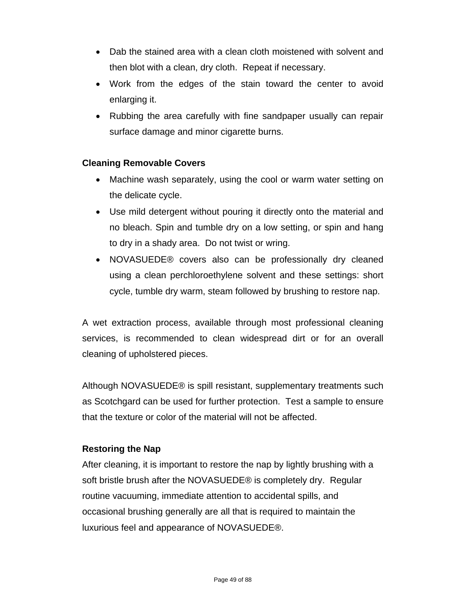- Dab the stained area with a clean cloth moistened with solvent and then blot with a clean, dry cloth. Repeat if necessary.
- Work from the edges of the stain toward the center to avoid enlarging it.
- Rubbing the area carefully with fine sandpaper usually can repair surface damage and minor cigarette burns.

### **Cleaning Removable Covers**

- Machine wash separately, using the cool or warm water setting on the delicate cycle.
- Use mild detergent without pouring it directly onto the material and no bleach. Spin and tumble dry on a low setting, or spin and hang to dry in a shady area. Do not twist or wring.
- NOVASUEDE® covers also can be professionally dry cleaned using a clean perchloroethylene solvent and these settings: short cycle, tumble dry warm, steam followed by brushing to restore nap.

A wet extraction process, available through most professional cleaning services, is recommended to clean widespread dirt or for an overall cleaning of upholstered pieces.

Although NOVASUEDE® is spill resistant, supplementary treatments such as Scotchgard can be used for further protection. Test a sample to ensure that the texture or color of the material will not be affected.

### **Restoring the Nap**

After cleaning, it is important to restore the nap by lightly brushing with a soft bristle brush after the NOVASUEDE® is completely dry. Regular routine vacuuming, immediate attention to accidental spills, and occasional brushing generally are all that is required to maintain the luxurious feel and appearance of NOVASUEDE®.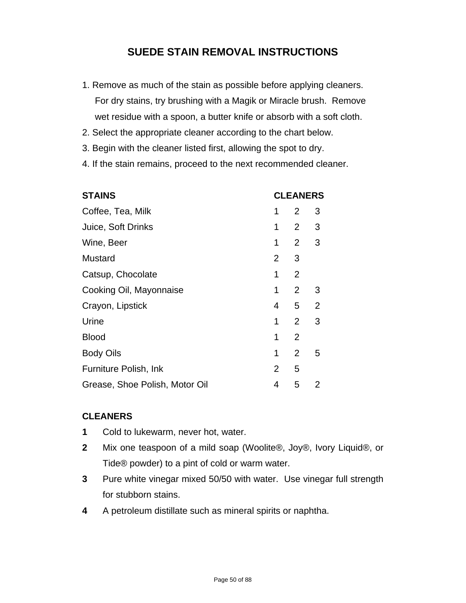# **SUEDE STAIN REMOVAL INSTRUCTIONS**

- 1. Remove as much of the stain as possible before applying cleaners. For dry stains, try brushing with a Magik or Miracle brush. Remove wet residue with a spoon, a butter knife or absorb with a soft cloth.
- 2. Select the appropriate cleaner according to the chart below.
- 3. Begin with the cleaner listed first, allowing the spot to dry.
- 4. If the stain remains, proceed to the next recommended cleaner.

| <b>STAINS</b>                  | <b>CLEANERS</b> |                |   |
|--------------------------------|-----------------|----------------|---|
| Coffee, Tea, Milk              | 1               | 2              | 3 |
| Juice, Soft Drinks             | 1               | $2^{\circ}$    | 3 |
| Wine, Beer                     | 1               | $2 \quad 3$    |   |
| Mustard                        | $\overline{2}$  | 3              |   |
| Catsup, Chocolate              | 1               | $\overline{2}$ |   |
| Cooking Oil, Mayonnaise        | 1               | $\overline{2}$ | 3 |
| Crayon, Lipstick               | 4               | 5 <sub>2</sub> |   |
| Urine                          | 1               | $\overline{2}$ | 3 |
| <b>Blood</b>                   | 1               | $\overline{2}$ |   |
| <b>Body Oils</b>               | 1               | 2              | 5 |
| Furniture Polish, Ink          | $\overline{2}$  | 5              |   |
| Grease, Shoe Polish, Motor Oil | 4               | 5              | 2 |

### **CLEANERS**

- **1** Cold to lukewarm, never hot, water.
- **2** Mix one teaspoon of a mild soap (Woolite®, Joy®, Ivory Liquid®, or Tide® powder) to a pint of cold or warm water.
- **3** Pure white vinegar mixed 50/50 with water. Use vinegar full strength for stubborn stains.
- **4** A petroleum distillate such as mineral spirits or naphtha.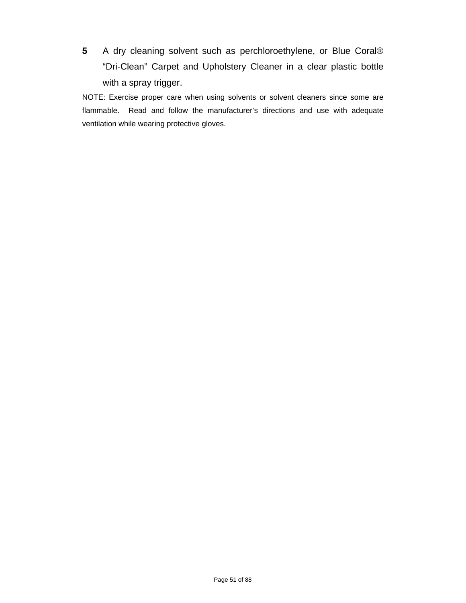**5** A dry cleaning solvent such as perchloroethylene, or Blue Coral® "Dri-Clean" Carpet and Upholstery Cleaner in a clear plastic bottle with a spray trigger.

NOTE: Exercise proper care when using solvents or solvent cleaners since some are flammable. Read and follow the manufacturer's directions and use with adequate ventilation while wearing protective gloves.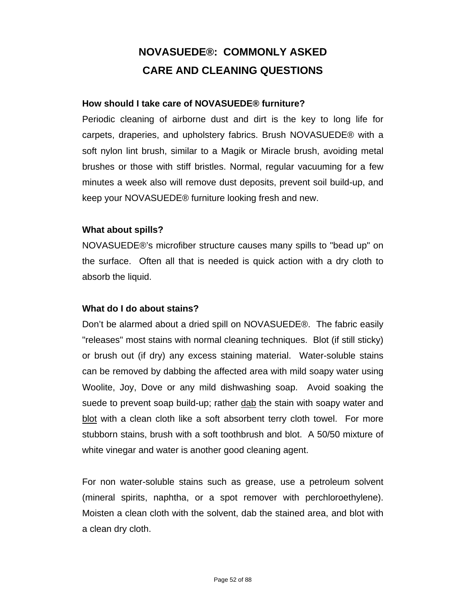# **NOVASUEDE®: COMMONLY ASKED CARE AND CLEANING QUESTIONS**

### **How should I take care of NOVASUEDE® furniture?**

Periodic cleaning of airborne dust and dirt is the key to long life for carpets, draperies, and upholstery fabrics. Brush NOVASUEDE® with a soft nylon lint brush, similar to a Magik or Miracle brush, avoiding metal brushes or those with stiff bristles. Normal, regular vacuuming for a few minutes a week also will remove dust deposits, prevent soil build-up, and keep your NOVASUEDE® furniture looking fresh and new.

### **What about spills?**

NOVASUEDE®'s microfiber structure causes many spills to "bead up" on the surface. Often all that is needed is quick action with a dry cloth to absorb the liquid.

### **What do I do about stains?**

Don't be alarmed about a dried spill on NOVASUEDE®. The fabric easily "releases" most stains with normal cleaning techniques. Blot (if still sticky) or brush out (if dry) any excess staining material. Water-soluble stains can be removed by dabbing the affected area with mild soapy water using Woolite, Joy, Dove or any mild dishwashing soap. Avoid soaking the suede to prevent soap build-up; rather dab the stain with soapy water and blot with a clean cloth like a soft absorbent terry cloth towel. For more stubborn stains, brush with a soft toothbrush and blot. A 50/50 mixture of white vinegar and water is another good cleaning agent.

For non water-soluble stains such as grease, use a petroleum solvent (mineral spirits, naphtha, or a spot remover with perchloroethylene). Moisten a clean cloth with the solvent, dab the stained area, and blot with a clean dry cloth.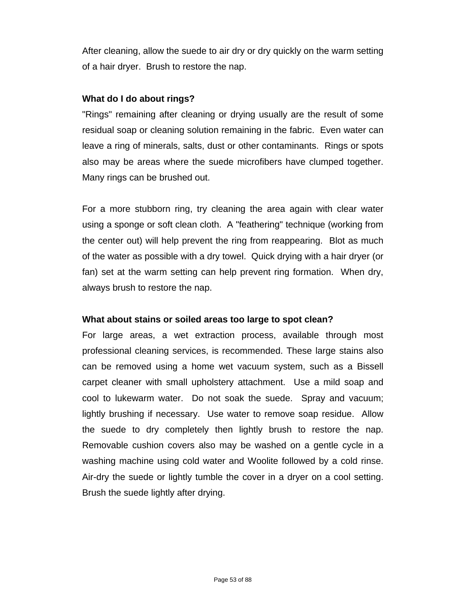After cleaning, allow the suede to air dry or dry quickly on the warm setting of a hair dryer. Brush to restore the nap.

### **What do I do about rings?**

"Rings" remaining after cleaning or drying usually are the result of some residual soap or cleaning solution remaining in the fabric. Even water can leave a ring of minerals, salts, dust or other contaminants. Rings or spots also may be areas where the suede microfibers have clumped together. Many rings can be brushed out.

For a more stubborn ring, try cleaning the area again with clear water using a sponge or soft clean cloth. A "feathering" technique (working from the center out) will help prevent the ring from reappearing. Blot as much of the water as possible with a dry towel. Quick drying with a hair dryer (or fan) set at the warm setting can help prevent ring formation. When dry, always brush to restore the nap.

### **What about stains or soiled areas too large to spot clean?**

For large areas, a wet extraction process, available through most professional cleaning services, is recommended. These large stains also can be removed using a home wet vacuum system, such as a Bissell carpet cleaner with small upholstery attachment. Use a mild soap and cool to lukewarm water. Do not soak the suede. Spray and vacuum; lightly brushing if necessary. Use water to remove soap residue. Allow the suede to dry completely then lightly brush to restore the nap. Removable cushion covers also may be washed on a gentle cycle in a washing machine using cold water and Woolite followed by a cold rinse. Air-dry the suede or lightly tumble the cover in a dryer on a cool setting. Brush the suede lightly after drying.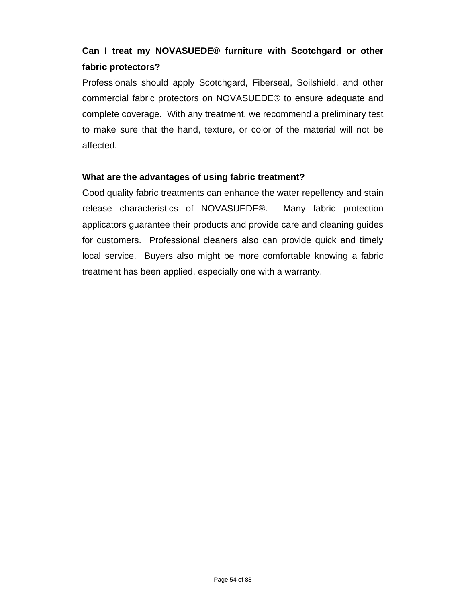# **Can I treat my NOVASUEDE® furniture with Scotchgard or other fabric protectors?**

Professionals should apply Scotchgard, Fiberseal, Soilshield, and other commercial fabric protectors on NOVASUEDE® to ensure adequate and complete coverage. With any treatment, we recommend a preliminary test to make sure that the hand, texture, or color of the material will not be affected.

### **What are the advantages of using fabric treatment?**

Good quality fabric treatments can enhance the water repellency and stain release characteristics of NOVASUEDE®. Many fabric protection applicators guarantee their products and provide care and cleaning guides for customers. Professional cleaners also can provide quick and timely local service. Buyers also might be more comfortable knowing a fabric treatment has been applied, especially one with a warranty.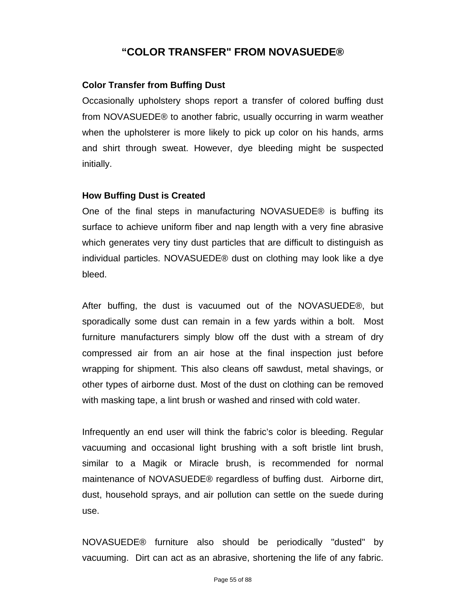## **"COLOR TRANSFER" FROM NOVASUEDE®**

#### **Color Transfer from Buffing Dust**

Occasionally upholstery shops report a transfer of colored buffing dust from NOVASUEDE® to another fabric, usually occurring in warm weather when the upholsterer is more likely to pick up color on his hands, arms and shirt through sweat. However, dye bleeding might be suspected initially.

#### **How Buffing Dust is Created**

One of the final steps in manufacturing NOVASUEDE® is buffing its surface to achieve uniform fiber and nap length with a very fine abrasive which generates very tiny dust particles that are difficult to distinguish as individual particles. NOVASUEDE® dust on clothing may look like a dye bleed.

After buffing, the dust is vacuumed out of the NOVASUEDE®, but sporadically some dust can remain in a few yards within a bolt. Most furniture manufacturers simply blow off the dust with a stream of dry compressed air from an air hose at the final inspection just before wrapping for shipment. This also cleans off sawdust, metal shavings, or other types of airborne dust. Most of the dust on clothing can be removed with masking tape, a lint brush or washed and rinsed with cold water.

Infrequently an end user will think the fabric's color is bleeding. Regular vacuuming and occasional light brushing with a soft bristle lint brush, similar to a Magik or Miracle brush, is recommended for normal maintenance of NOVASUEDE® regardless of buffing dust. Airborne dirt, dust, household sprays, and air pollution can settle on the suede during use.

NOVASUEDE® furniture also should be periodically "dusted" by vacuuming. Dirt can act as an abrasive, shortening the life of any fabric.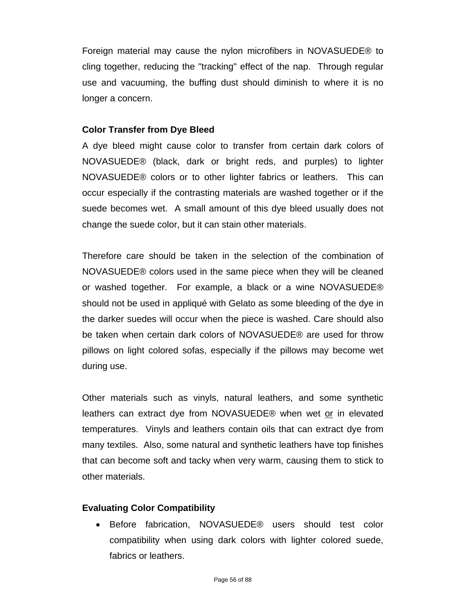Foreign material may cause the nylon microfibers in NOVASUEDE® to cling together, reducing the "tracking" effect of the nap. Through regular use and vacuuming, the buffing dust should diminish to where it is no longer a concern.

### **Color Transfer from Dye Bleed**

A dye bleed might cause color to transfer from certain dark colors of NOVASUEDE® (black, dark or bright reds, and purples) to lighter NOVASUEDE® colors or to other lighter fabrics or leathers. This can occur especially if the contrasting materials are washed together or if the suede becomes wet. A small amount of this dye bleed usually does not change the suede color, but it can stain other materials.

Therefore care should be taken in the selection of the combination of NOVASUEDE® colors used in the same piece when they will be cleaned or washed together. For example, a black or a wine NOVASUEDE® should not be used in appliqué with Gelato as some bleeding of the dye in the darker suedes will occur when the piece is washed. Care should also be taken when certain dark colors of NOVASUEDE® are used for throw pillows on light colored sofas, especially if the pillows may become wet during use.

Other materials such as vinyls, natural leathers, and some synthetic leathers can extract dye from NOVASUEDE® when wet or in elevated temperatures. Vinyls and leathers contain oils that can extract dye from many textiles. Also, some natural and synthetic leathers have top finishes that can become soft and tacky when very warm, causing them to stick to other materials.

### **Evaluating Color Compatibility**

 Before fabrication, NOVASUEDE® users should test color compatibility when using dark colors with lighter colored suede, fabrics or leathers.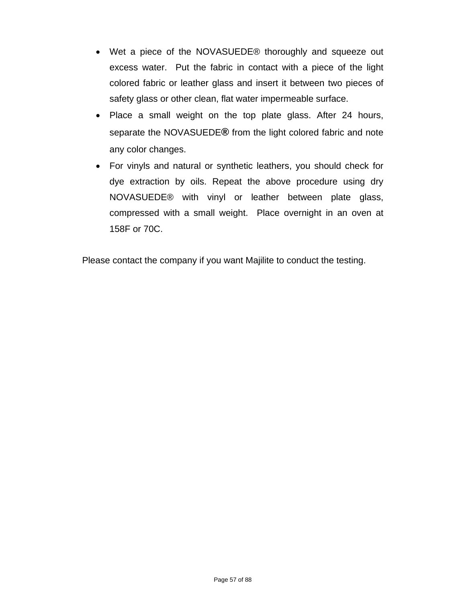- Wet a piece of the NOVASUEDE® thoroughly and squeeze out excess water. Put the fabric in contact with a piece of the light colored fabric or leather glass and insert it between two pieces of safety glass or other clean, flat water impermeable surface.
- Place a small weight on the top plate glass. After 24 hours, separate the NOVASUEDE**®** from the light colored fabric and note any color changes.
- For vinyls and natural or synthetic leathers, you should check for dye extraction by oils. Repeat the above procedure using dry NOVASUEDE® with vinyl or leather between plate glass, compressed with a small weight. Place overnight in an oven at 158F or 70C.

Please contact the company if you want Majilite to conduct the testing.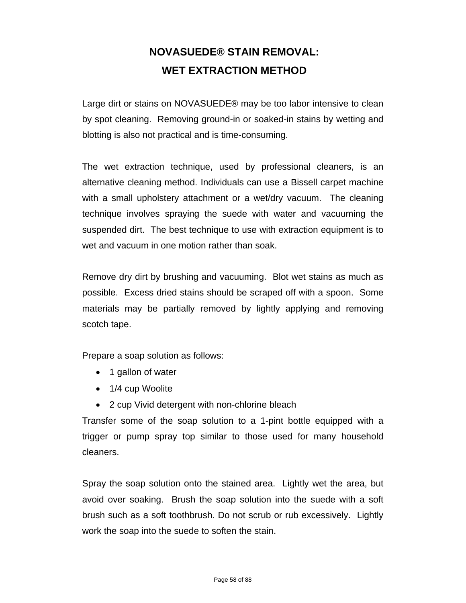# **NOVASUEDE® STAIN REMOVAL: WET EXTRACTION METHOD**

Large dirt or stains on NOVASUEDE® may be too labor intensive to clean by spot cleaning. Removing ground-in or soaked-in stains by wetting and blotting is also not practical and is time-consuming.

The wet extraction technique, used by professional cleaners, is an alternative cleaning method. Individuals can use a Bissell carpet machine with a small upholstery attachment or a wet/dry vacuum. The cleaning technique involves spraying the suede with water and vacuuming the suspended dirt. The best technique to use with extraction equipment is to wet and vacuum in one motion rather than soak.

Remove dry dirt by brushing and vacuuming. Blot wet stains as much as possible. Excess dried stains should be scraped off with a spoon. Some materials may be partially removed by lightly applying and removing scotch tape.

Prepare a soap solution as follows:

- 1 gallon of water
- 1/4 cup Woolite
- 2 cup Vivid detergent with non-chlorine bleach

Transfer some of the soap solution to a 1-pint bottle equipped with a trigger or pump spray top similar to those used for many household cleaners.

Spray the soap solution onto the stained area. Lightly wet the area, but avoid over soaking. Brush the soap solution into the suede with a soft brush such as a soft toothbrush. Do not scrub or rub excessively. Lightly work the soap into the suede to soften the stain.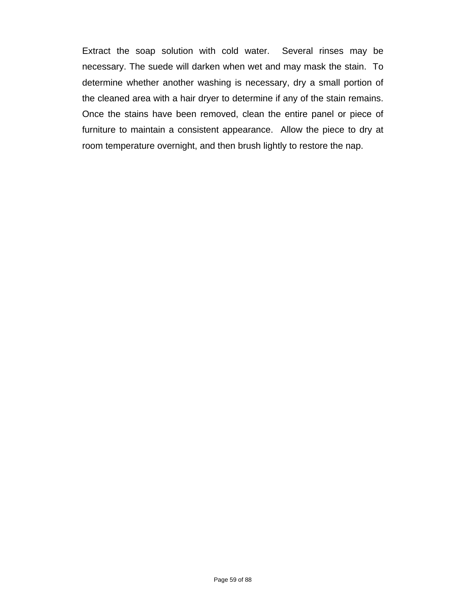Extract the soap solution with cold water. Several rinses may be necessary. The suede will darken when wet and may mask the stain. To determine whether another washing is necessary, dry a small portion of the cleaned area with a hair dryer to determine if any of the stain remains. Once the stains have been removed, clean the entire panel or piece of furniture to maintain a consistent appearance. Allow the piece to dry at room temperature overnight, and then brush lightly to restore the nap.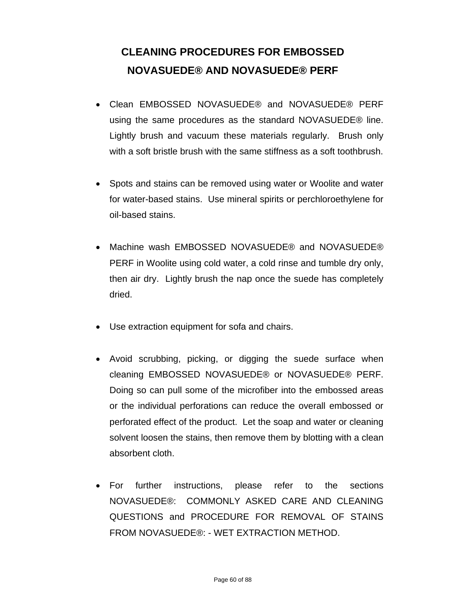# **CLEANING PROCEDURES FOR EMBOSSED NOVASUEDE® AND NOVASUEDE® PERF**

- Clean EMBOSSED NOVASUEDE® and NOVASUEDE® PERF using the same procedures as the standard NOVASUEDE® line. Lightly brush and vacuum these materials regularly. Brush only with a soft bristle brush with the same stiffness as a soft toothbrush.
- Spots and stains can be removed using water or Woolite and water for water-based stains. Use mineral spirits or perchloroethylene for oil-based stains.
- Machine wash EMBOSSED NOVASUEDE® and NOVASUEDE® PERF in Woolite using cold water, a cold rinse and tumble dry only, then air dry. Lightly brush the nap once the suede has completely dried.
- Use extraction equipment for sofa and chairs.
- Avoid scrubbing, picking, or digging the suede surface when cleaning EMBOSSED NOVASUEDE® or NOVASUEDE® PERF. Doing so can pull some of the microfiber into the embossed areas or the individual perforations can reduce the overall embossed or perforated effect of the product. Let the soap and water or cleaning solvent loosen the stains, then remove them by blotting with a clean absorbent cloth.
- For further instructions, please refer to the sections NOVASUEDE®: COMMONLY ASKED CARE AND CLEANING QUESTIONS and PROCEDURE FOR REMOVAL OF STAINS FROM NOVASUEDE®: - WET EXTRACTION METHOD.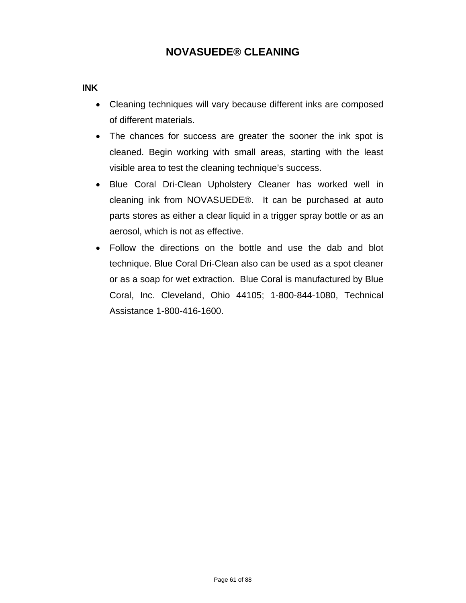### **INK**

- Cleaning techniques will vary because different inks are composed of different materials.
- The chances for success are greater the sooner the ink spot is cleaned. Begin working with small areas, starting with the least visible area to test the cleaning technique's success.
- Blue Coral Dri-Clean Upholstery Cleaner has worked well in cleaning ink from NOVASUEDE®. It can be purchased at auto parts stores as either a clear liquid in a trigger spray bottle or as an aerosol, which is not as effective.
- Follow the directions on the bottle and use the dab and blot technique. Blue Coral Dri-Clean also can be used as a spot cleaner or as a soap for wet extraction. Blue Coral is manufactured by Blue Coral, Inc. Cleveland, Ohio 44105; 1-800-844-1080, Technical Assistance 1-800-416-1600.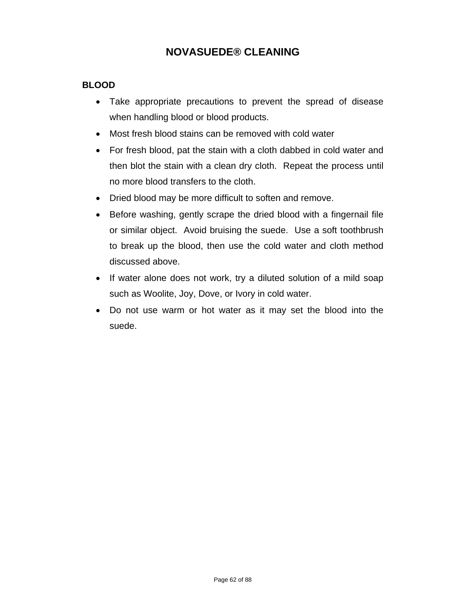### **BLOOD**

- Take appropriate precautions to prevent the spread of disease when handling blood or blood products.
- Most fresh blood stains can be removed with cold water
- For fresh blood, pat the stain with a cloth dabbed in cold water and then blot the stain with a clean dry cloth. Repeat the process until no more blood transfers to the cloth.
- Dried blood may be more difficult to soften and remove.
- Before washing, gently scrape the dried blood with a fingernail file or similar object. Avoid bruising the suede. Use a soft toothbrush to break up the blood, then use the cold water and cloth method discussed above.
- If water alone does not work, try a diluted solution of a mild soap such as Woolite, Joy, Dove, or Ivory in cold water.
- Do not use warm or hot water as it may set the blood into the suede.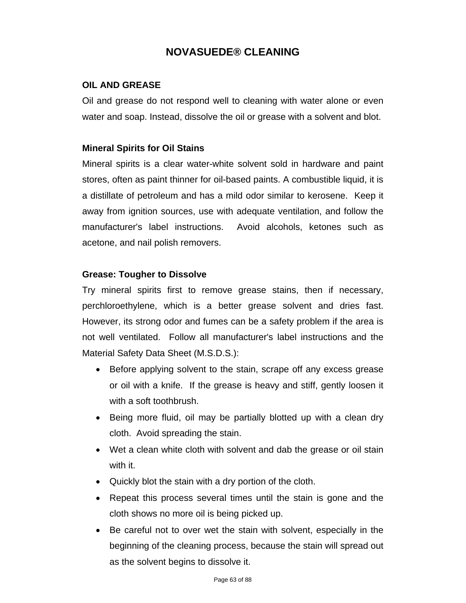### **OIL AND GREASE**

Oil and grease do not respond well to cleaning with water alone or even water and soap. Instead, dissolve the oil or grease with a solvent and blot.

### **Mineral Spirits for Oil Stains**

Mineral spirits is a clear water-white solvent sold in hardware and paint stores, often as paint thinner for oil-based paints. A combustible liquid, it is a distillate of petroleum and has a mild odor similar to kerosene. Keep it away from ignition sources, use with adequate ventilation, and follow the manufacturer's label instructions. Avoid alcohols, ketones such as acetone, and nail polish removers.

### **Grease: Tougher to Dissolve**

Try mineral spirits first to remove grease stains, then if necessary, perchloroethylene, which is a better grease solvent and dries fast. However, its strong odor and fumes can be a safety problem if the area is not well ventilated. Follow all manufacturer's label instructions and the Material Safety Data Sheet (M.S.D.S.):

- Before applying solvent to the stain, scrape off any excess grease or oil with a knife. If the grease is heavy and stiff, gently loosen it with a soft toothbrush.
- Being more fluid, oil may be partially blotted up with a clean dry cloth. Avoid spreading the stain.
- Wet a clean white cloth with solvent and dab the grease or oil stain with it.
- Quickly blot the stain with a dry portion of the cloth.
- Repeat this process several times until the stain is gone and the cloth shows no more oil is being picked up.
- Be careful not to over wet the stain with solvent, especially in the beginning of the cleaning process, because the stain will spread out as the solvent begins to dissolve it.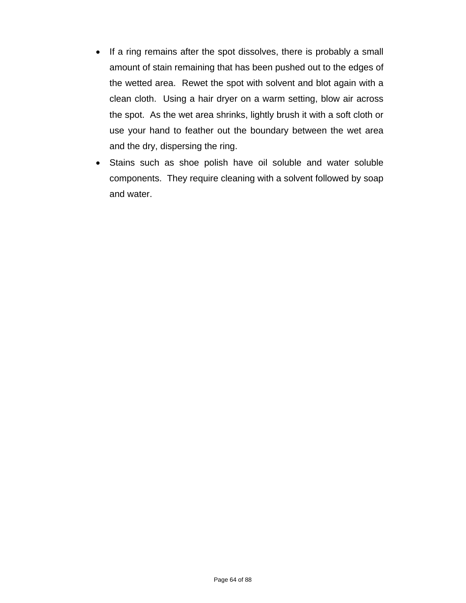- If a ring remains after the spot dissolves, there is probably a small amount of stain remaining that has been pushed out to the edges of the wetted area. Rewet the spot with solvent and blot again with a clean cloth. Using a hair dryer on a warm setting, blow air across the spot. As the wet area shrinks, lightly brush it with a soft cloth or use your hand to feather out the boundary between the wet area and the dry, dispersing the ring.
- Stains such as shoe polish have oil soluble and water soluble components. They require cleaning with a solvent followed by soap and water.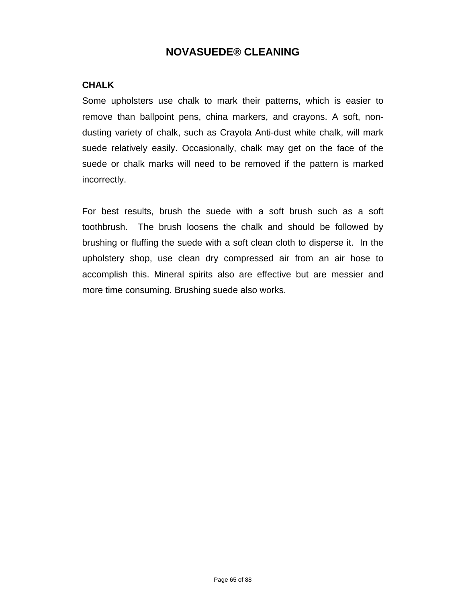### **CHALK**

Some upholsters use chalk to mark their patterns, which is easier to remove than ballpoint pens, china markers, and crayons. A soft, nondusting variety of chalk, such as Crayola Anti-dust white chalk, will mark suede relatively easily. Occasionally, chalk may get on the face of the suede or chalk marks will need to be removed if the pattern is marked incorrectly.

For best results, brush the suede with a soft brush such as a soft toothbrush. The brush loosens the chalk and should be followed by brushing or fluffing the suede with a soft clean cloth to disperse it. In the upholstery shop, use clean dry compressed air from an air hose to accomplish this. Mineral spirits also are effective but are messier and more time consuming. Brushing suede also works.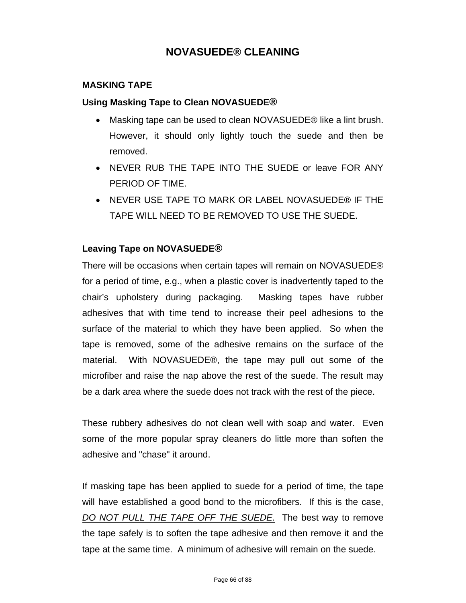### **MASKING TAPE**

### **Using Masking Tape to Clean NOVASUEDE®**

- Masking tape can be used to clean NOVASUEDE® like a lint brush. However, it should only lightly touch the suede and then be removed.
- NEVER RUB THE TAPE INTO THE SUEDE or leave FOR ANY PERIOD OF TIME.
- **NEVER USE TAPE TO MARK OR LABEL NOVASUEDE® IF THE** TAPE WILL NEED TO BE REMOVED TO USE THE SUEDE.

### **Leaving Tape on NOVASUEDE®**

There will be occasions when certain tapes will remain on NOVASUEDE® for a period of time, e.g., when a plastic cover is inadvertently taped to the chair's upholstery during packaging. Masking tapes have rubber adhesives that with time tend to increase their peel adhesions to the surface of the material to which they have been applied. So when the tape is removed, some of the adhesive remains on the surface of the material. With NOVASUEDE®, the tape may pull out some of the microfiber and raise the nap above the rest of the suede. The result may be a dark area where the suede does not track with the rest of the piece.

These rubbery adhesives do not clean well with soap and water. Even some of the more popular spray cleaners do little more than soften the adhesive and "chase" it around.

If masking tape has been applied to suede for a period of time, the tape will have established a good bond to the microfibers. If this is the case, *DO NOT PULL THE TAPE OFF THE SUEDE.* The best way to remove the tape safely is to soften the tape adhesive and then remove it and the tape at the same time. A minimum of adhesive will remain on the suede.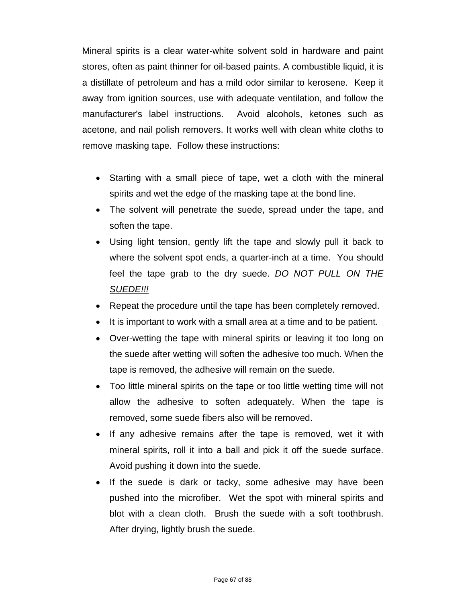Mineral spirits is a clear water-white solvent sold in hardware and paint stores, often as paint thinner for oil-based paints. A combustible liquid, it is a distillate of petroleum and has a mild odor similar to kerosene. Keep it away from ignition sources, use with adequate ventilation, and follow the manufacturer's label instructions. Avoid alcohols, ketones such as acetone, and nail polish removers. It works well with clean white cloths to remove masking tape. Follow these instructions:

- Starting with a small piece of tape, wet a cloth with the mineral spirits and wet the edge of the masking tape at the bond line.
- The solvent will penetrate the suede, spread under the tape, and soften the tape.
- Using light tension, gently lift the tape and slowly pull it back to where the solvent spot ends, a quarter-inch at a time. You should feel the tape grab to the dry suede. *DO NOT PULL ON THE SUEDE!!!*
- Repeat the procedure until the tape has been completely removed.
- It is important to work with a small area at a time and to be patient.
- Over-wetting the tape with mineral spirits or leaving it too long on the suede after wetting will soften the adhesive too much. When the tape is removed, the adhesive will remain on the suede.
- Too little mineral spirits on the tape or too little wetting time will not allow the adhesive to soften adequately. When the tape is removed, some suede fibers also will be removed.
- If any adhesive remains after the tape is removed, wet it with mineral spirits, roll it into a ball and pick it off the suede surface. Avoid pushing it down into the suede.
- If the suede is dark or tacky, some adhesive may have been pushed into the microfiber. Wet the spot with mineral spirits and blot with a clean cloth. Brush the suede with a soft toothbrush. After drying, lightly brush the suede.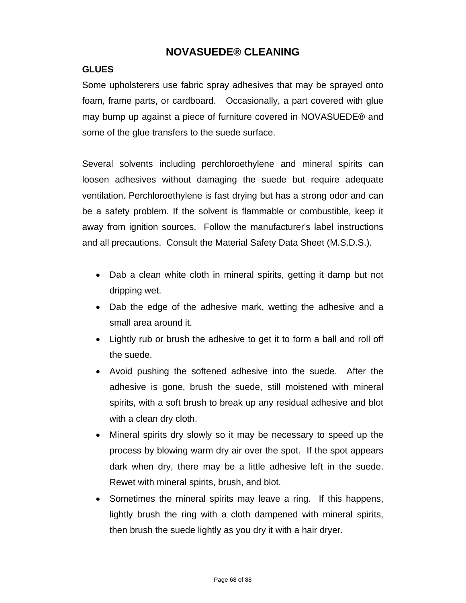### **GLUES**

Some upholsterers use fabric spray adhesives that may be sprayed onto foam, frame parts, or cardboard. Occasionally, a part covered with glue may bump up against a piece of furniture covered in NOVASUEDE® and some of the glue transfers to the suede surface.

Several solvents including perchloroethylene and mineral spirits can loosen adhesives without damaging the suede but require adequate ventilation. Perchloroethylene is fast drying but has a strong odor and can be a safety problem. If the solvent is flammable or combustible, keep it away from ignition sources. Follow the manufacturer's label instructions and all precautions. Consult the Material Safety Data Sheet (M.S.D.S.).

- Dab a clean white cloth in mineral spirits, getting it damp but not dripping wet.
- Dab the edge of the adhesive mark, wetting the adhesive and a small area around it.
- Lightly rub or brush the adhesive to get it to form a ball and roll off the suede.
- Avoid pushing the softened adhesive into the suede. After the adhesive is gone, brush the suede, still moistened with mineral spirits, with a soft brush to break up any residual adhesive and blot with a clean dry cloth.
- Mineral spirits dry slowly so it may be necessary to speed up the process by blowing warm dry air over the spot. If the spot appears dark when dry, there may be a little adhesive left in the suede. Rewet with mineral spirits, brush, and blot.
- Sometimes the mineral spirits may leave a ring. If this happens, lightly brush the ring with a cloth dampened with mineral spirits, then brush the suede lightly as you dry it with a hair dryer.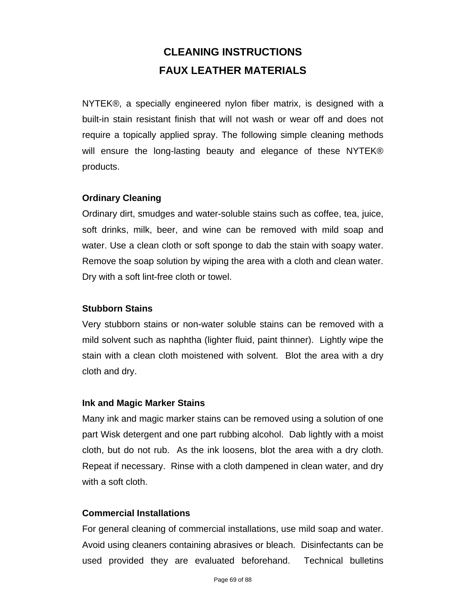# **CLEANING INSTRUCTIONS FAUX LEATHER MATERIALS**

NYTEK®, a specially engineered nylon fiber matrix, is designed with a built-in stain resistant finish that will not wash or wear off and does not require a topically applied spray. The following simple cleaning methods will ensure the long-lasting beauty and elegance of these NYTEK® products.

### **Ordinary Cleaning**

Ordinary dirt, smudges and water-soluble stains such as coffee, tea, juice, soft drinks, milk, beer, and wine can be removed with mild soap and water. Use a clean cloth or soft sponge to dab the stain with soapy water. Remove the soap solution by wiping the area with a cloth and clean water. Dry with a soft lint-free cloth or towel.

### **Stubborn Stains**

Very stubborn stains or non-water soluble stains can be removed with a mild solvent such as naphtha (lighter fluid, paint thinner). Lightly wipe the stain with a clean cloth moistened with solvent. Blot the area with a dry cloth and dry.

#### **Ink and Magic Marker Stains**

Many ink and magic marker stains can be removed using a solution of one part Wisk detergent and one part rubbing alcohol. Dab lightly with a moist cloth, but do not rub. As the ink loosens, blot the area with a dry cloth. Repeat if necessary. Rinse with a cloth dampened in clean water, and dry with a soft cloth.

### **Commercial Installations**

For general cleaning of commercial installations, use mild soap and water. Avoid using cleaners containing abrasives or bleach. Disinfectants can be used provided they are evaluated beforehand. Technical bulletins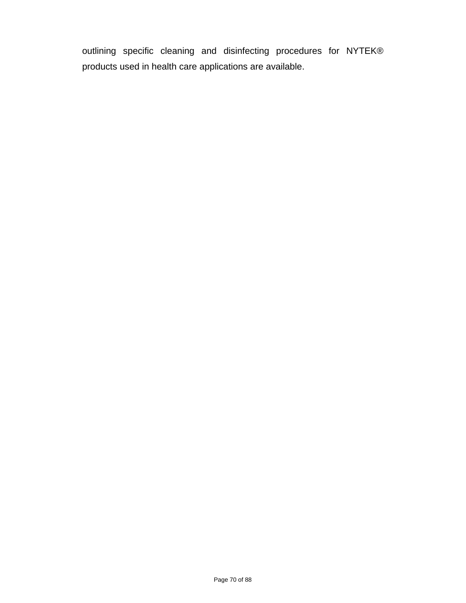outlining specific cleaning and disinfecting procedures for NYTEK® products used in health care applications are available.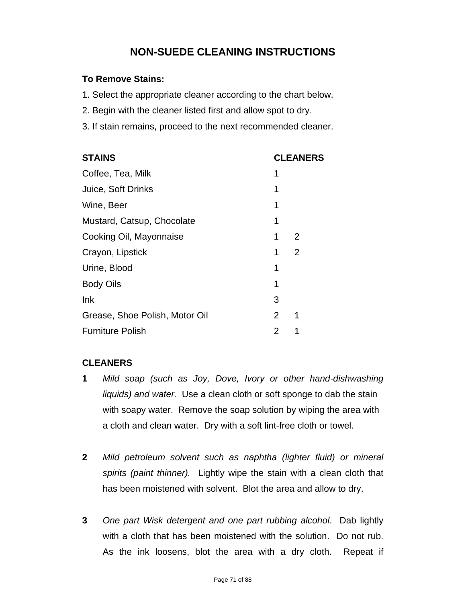# **NON-SUEDE CLEANING INSTRUCTIONS**

### **To Remove Stains:**

- 1. Select the appropriate cleaner according to the chart below.
- 2. Begin with the cleaner listed first and allow spot to dry.
- 3. If stain remains, proceed to the next recommended cleaner.

| <b>STAINS</b>                  | <b>CLEANERS</b> |                |  |
|--------------------------------|-----------------|----------------|--|
| Coffee, Tea, Milk              | 1               |                |  |
| Juice, Soft Drinks             | 1               |                |  |
| Wine, Beer                     | 1               |                |  |
| Mustard, Catsup, Chocolate     | 1               |                |  |
| Cooking Oil, Mayonnaise        | 1               | 2              |  |
| Crayon, Lipstick               | 1               | $\overline{2}$ |  |
| Urine, Blood                   | 1               |                |  |
| <b>Body Oils</b>               | 1               |                |  |
| Ink                            | 3               |                |  |
| Grease, Shoe Polish, Motor Oil | 2               | 1              |  |
| <b>Furniture Polish</b>        | 2               |                |  |

### **CLEANERS**

- **1** *Mild soap (such as Joy, Dove, Ivory or other hand-dishwashing liquids) and water.* Use a clean cloth or soft sponge to dab the stain with soapy water. Remove the soap solution by wiping the area with a cloth and clean water. Dry with a soft lint-free cloth or towel.
- **2** *Mild petroleum solvent such as naphtha (lighter fluid) or mineral spirits (paint thinner).* Lightly wipe the stain with a clean cloth that has been moistened with solvent. Blot the area and allow to dry.
- **3** *One part Wisk detergent and one part rubbing alcohol*. Dab lightly with a cloth that has been moistened with the solution. Do not rub. As the ink loosens, blot the area with a dry cloth. Repeat if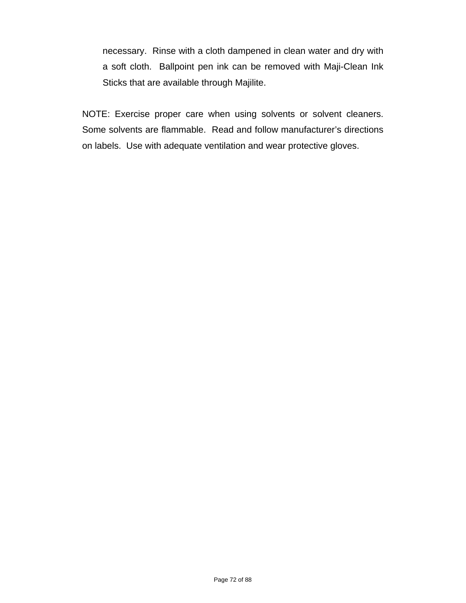necessary. Rinse with a cloth dampened in clean water and dry with a soft cloth. Ballpoint pen ink can be removed with Maji-Clean Ink Sticks that are available through Majilite.

NOTE: Exercise proper care when using solvents or solvent cleaners. Some solvents are flammable. Read and follow manufacturer's directions on labels. Use with adequate ventilation and wear protective gloves.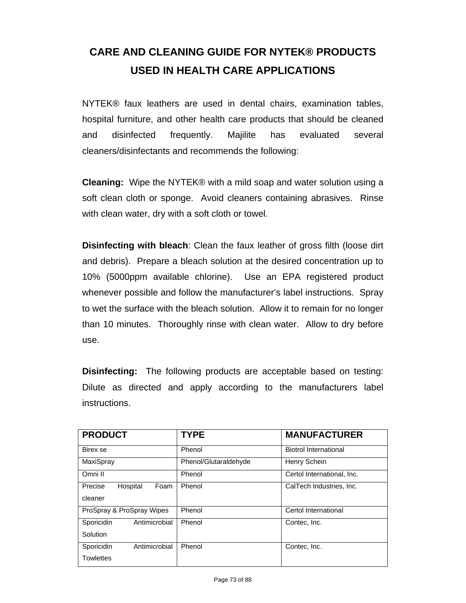# **CARE AND CLEANING GUIDE FOR NYTEK® PRODUCTS USED IN HEALTH CARE APPLICATIONS**

NYTEK® faux leathers are used in dental chairs, examination tables, hospital furniture, and other health care products that should be cleaned and disinfected frequently. Majilite has evaluated several cleaners/disinfectants and recommends the following:

**Cleaning:** Wipe the NYTEK® with a mild soap and water solution using a soft clean cloth or sponge. Avoid cleaners containing abrasives. Rinse with clean water, dry with a soft cloth or towel.

**Disinfecting with bleach**: Clean the faux leather of gross filth (loose dirt and debris). Prepare a bleach solution at the desired concentration up to 10% (5000ppm available chlorine). Use an EPA registered product whenever possible and follow the manufacturer's label instructions. Spray to wet the surface with the bleach solution. Allow it to remain for no longer than 10 minutes. Thoroughly rinse with clean water. Allow to dry before use.

**Disinfecting:** The following products are acceptable based on testing: Dilute as directed and apply according to the manufacturers label instructions.

| <b>PRODUCT</b>              | <b>TYPE</b>           | <b>MANUFACTURER</b>          |
|-----------------------------|-----------------------|------------------------------|
| Birex se                    | Phenol                | <b>Biotrol International</b> |
| MaxiSpray                   | Phenol/Glutaraldehyde | Henry Schein                 |
| Omni II                     | Phenol                | Certol International, Inc.   |
| Hospital<br>Foam<br>Precise | Phenol                | CalTech Industries, Inc.     |
| cleaner                     |                       |                              |
| ProSpray & ProSpray Wipes   | Phenol                | Certol International         |
| Antimicrobial<br>Sporicidin | Phenol                | Contec, Inc.                 |
| Solution                    |                       |                              |
| Antimicrobial<br>Sporicidin | Phenol                | Contec, Inc.                 |
| <b>Towlettes</b>            |                       |                              |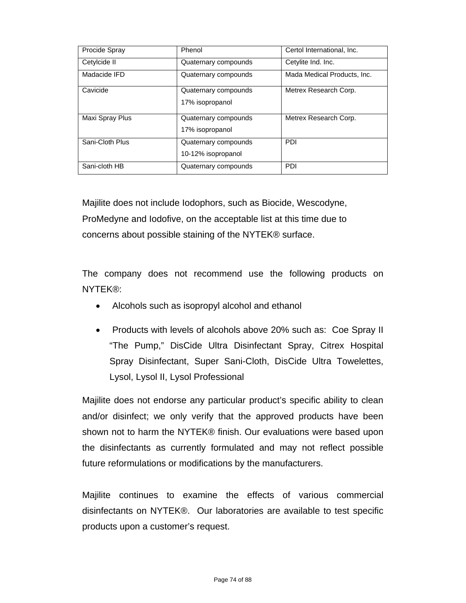| Procide Spray   | Phenol               | Certol International, Inc.  |
|-----------------|----------------------|-----------------------------|
| Cetylcide II    | Quaternary compounds | Cetylite Ind. Inc.          |
| Madacide IFD    | Quaternary compounds | Mada Medical Products, Inc. |
| Cavicide        | Quaternary compounds | Metrex Research Corp.       |
|                 | 17% isopropanol      |                             |
| Maxi Spray Plus | Quaternary compounds | Metrex Research Corp.       |
|                 | 17% isopropanol      |                             |
| Sani-Cloth Plus | Quaternary compounds | <b>PDI</b>                  |
|                 | 10-12% isopropanol   |                             |
| Sani-cloth HB   | Quaternary compounds | <b>PDI</b>                  |

Majilite does not include Iodophors, such as Biocide, Wescodyne, ProMedyne and Iodofive, on the acceptable list at this time due to concerns about possible staining of the NYTEK® surface.

The company does not recommend use the following products on NYTEK®:

- Alcohols such as isopropyl alcohol and ethanol
- Products with levels of alcohols above 20% such as: Coe Spray II "The Pump," DisCide Ultra Disinfectant Spray, Citrex Hospital Spray Disinfectant, Super Sani-Cloth, DisCide Ultra Towelettes, Lysol, Lysol II, Lysol Professional

Majilite does not endorse any particular product's specific ability to clean and/or disinfect; we only verify that the approved products have been shown not to harm the NYTEK® finish. Our evaluations were based upon the disinfectants as currently formulated and may not reflect possible future reformulations or modifications by the manufacturers.

Majilite continues to examine the effects of various commercial disinfectants on NYTEK®. Our laboratories are available to test specific products upon a customer's request.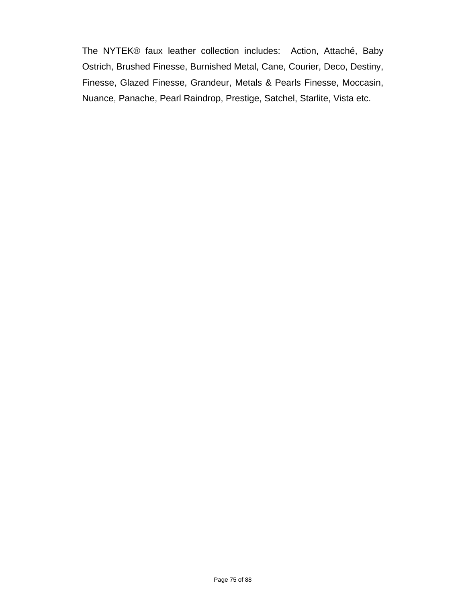The NYTEK® faux leather collection includes: Action, Attaché, Baby Ostrich, Brushed Finesse, Burnished Metal, Cane, Courier, Deco, Destiny, Finesse, Glazed Finesse, Grandeur, Metals & Pearls Finesse, Moccasin, Nuance, Panache, Pearl Raindrop, Prestige, Satchel, Starlite, Vista etc.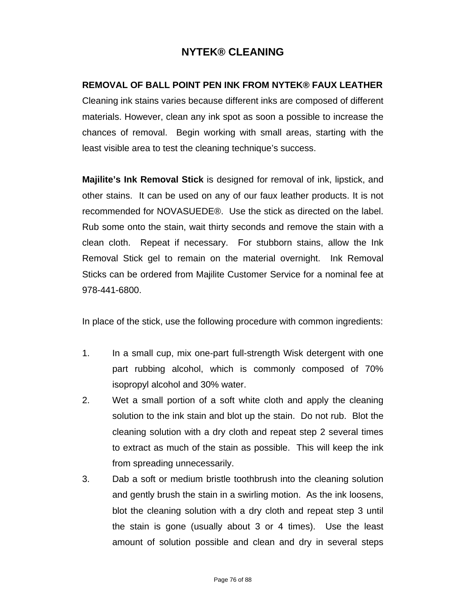## **REMOVAL OF BALL POINT PEN INK FROM NYTEK® FAUX LEATHER**

Cleaning ink stains varies because different inks are composed of different materials. However, clean any ink spot as soon a possible to increase the chances of removal. Begin working with small areas, starting with the least visible area to test the cleaning technique's success.

**Majilite's Ink Removal Stick** is designed for removal of ink, lipstick, and other stains. It can be used on any of our faux leather products. It is not recommended for NOVASUEDE®. Use the stick as directed on the label. Rub some onto the stain, wait thirty seconds and remove the stain with a clean cloth. Repeat if necessary. For stubborn stains, allow the Ink Removal Stick gel to remain on the material overnight. Ink Removal Sticks can be ordered from Majilite Customer Service for a nominal fee at 978-441-6800.

In place of the stick, use the following procedure with common ingredients:

- 1. In a small cup, mix one-part full-strength Wisk detergent with one part rubbing alcohol, which is commonly composed of 70% isopropyl alcohol and 30% water.
- 2. Wet a small portion of a soft white cloth and apply the cleaning solution to the ink stain and blot up the stain. Do not rub. Blot the cleaning solution with a dry cloth and repeat step 2 several times to extract as much of the stain as possible. This will keep the ink from spreading unnecessarily.
- 3. Dab a soft or medium bristle toothbrush into the cleaning solution and gently brush the stain in a swirling motion. As the ink loosens, blot the cleaning solution with a dry cloth and repeat step 3 until the stain is gone (usually about 3 or 4 times). Use the least amount of solution possible and clean and dry in several steps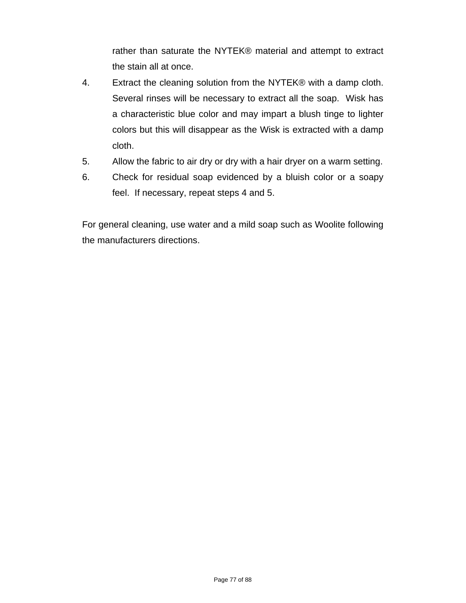rather than saturate the NYTEK® material and attempt to extract the stain all at once.

- 4. Extract the cleaning solution from the NYTEK® with a damp cloth. Several rinses will be necessary to extract all the soap. Wisk has a characteristic blue color and may impart a blush tinge to lighter colors but this will disappear as the Wisk is extracted with a damp cloth.
- 5. Allow the fabric to air dry or dry with a hair dryer on a warm setting.
- 6. Check for residual soap evidenced by a bluish color or a soapy feel. If necessary, repeat steps 4 and 5.

For general cleaning, use water and a mild soap such as Woolite following the manufacturers directions.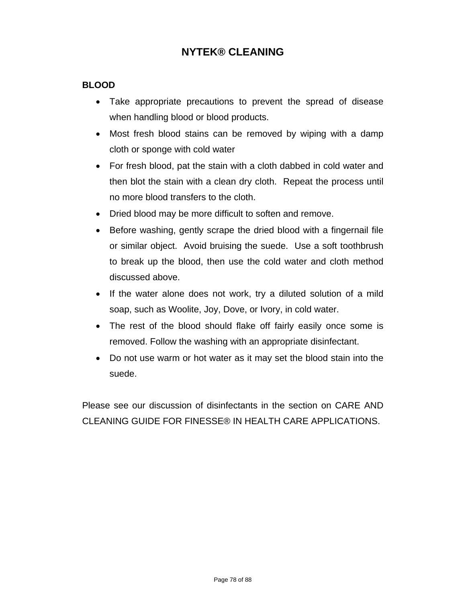## **BLOOD**

- Take appropriate precautions to prevent the spread of disease when handling blood or blood products.
- Most fresh blood stains can be removed by wiping with a damp cloth or sponge with cold water
- For fresh blood, pat the stain with a cloth dabbed in cold water and then blot the stain with a clean dry cloth. Repeat the process until no more blood transfers to the cloth.
- Dried blood may be more difficult to soften and remove.
- Before washing, gently scrape the dried blood with a fingernail file or similar object. Avoid bruising the suede. Use a soft toothbrush to break up the blood, then use the cold water and cloth method discussed above.
- If the water alone does not work, try a diluted solution of a mild soap, such as Woolite, Joy, Dove, or Ivory, in cold water.
- The rest of the blood should flake off fairly easily once some is removed. Follow the washing with an appropriate disinfectant.
- Do not use warm or hot water as it may set the blood stain into the suede.

Please see our discussion of disinfectants in the section on CARE AND CLEANING GUIDE FOR FINESSE® IN HEALTH CARE APPLICATIONS.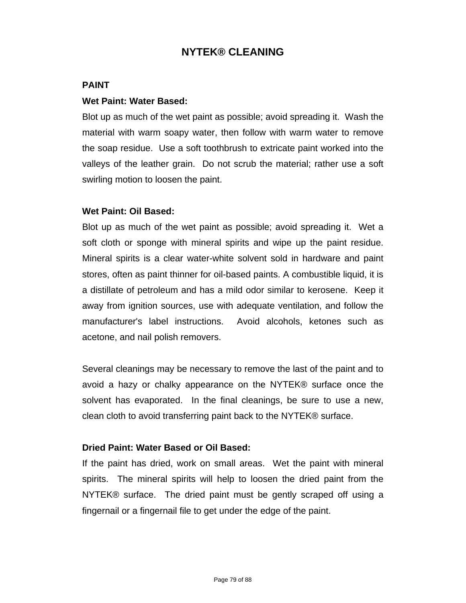#### **PAINT**

#### **Wet Paint: Water Based:**

Blot up as much of the wet paint as possible; avoid spreading it. Wash the material with warm soapy water, then follow with warm water to remove the soap residue. Use a soft toothbrush to extricate paint worked into the valleys of the leather grain. Do not scrub the material; rather use a soft swirling motion to loosen the paint.

#### **Wet Paint: Oil Based:**

Blot up as much of the wet paint as possible; avoid spreading it. Wet a soft cloth or sponge with mineral spirits and wipe up the paint residue. Mineral spirits is a clear water-white solvent sold in hardware and paint stores, often as paint thinner for oil-based paints. A combustible liquid, it is a distillate of petroleum and has a mild odor similar to kerosene. Keep it away from ignition sources, use with adequate ventilation, and follow the manufacturer's label instructions. Avoid alcohols, ketones such as acetone, and nail polish removers.

Several cleanings may be necessary to remove the last of the paint and to avoid a hazy or chalky appearance on the NYTEK® surface once the solvent has evaporated. In the final cleanings, be sure to use a new, clean cloth to avoid transferring paint back to the NYTEK® surface.

#### **Dried Paint: Water Based or Oil Based:**

If the paint has dried, work on small areas. Wet the paint with mineral spirits. The mineral spirits will help to loosen the dried paint from the NYTEK® surface. The dried paint must be gently scraped off using a fingernail or a fingernail file to get under the edge of the paint.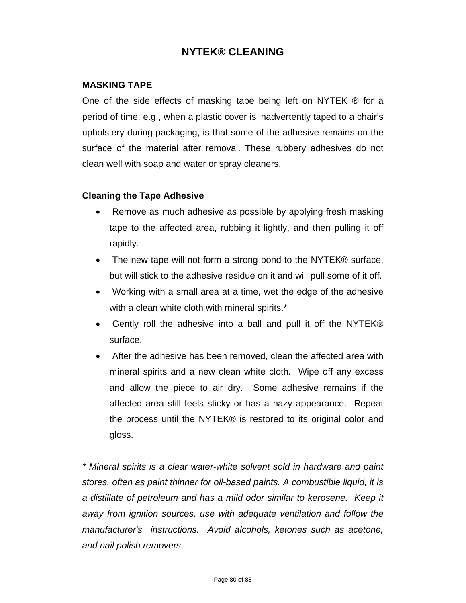#### **MASKING TAPE**

One of the side effects of masking tape being left on NYTEK  $\circledR$  for a period of time, e.g., when a plastic cover is inadvertently taped to a chair's upholstery during packaging, is that some of the adhesive remains on the surface of the material after removal. These rubbery adhesives do not clean well with soap and water or spray cleaners.

#### **Cleaning the Tape Adhesive**

- Remove as much adhesive as possible by applying fresh masking tape to the affected area, rubbing it lightly, and then pulling it off rapidly.
- The new tape will not form a strong bond to the NYTEK® surface, but will stick to the adhesive residue on it and will pull some of it off.
- Working with a small area at a time, wet the edge of the adhesive with a clean white cloth with mineral spirits.\*
- Gently roll the adhesive into a ball and pull it off the NYTEK® surface.
- After the adhesive has been removed, clean the affected area with mineral spirits and a new clean white cloth. Wipe off any excess and allow the piece to air dry. Some adhesive remains if the affected area still feels sticky or has a hazy appearance. Repeat the process until the NYTEK® is restored to its original color and gloss.

*\* Mineral spirits is a clear water-white solvent sold in hardware and paint stores, often as paint thinner for oil-based paints. A combustible liquid, it is a distillate of petroleum and has a mild odor similar to kerosene. Keep it away from ignition sources, use with adequate ventilation and follow the manufacturer's instructions. Avoid alcohols, ketones such as acetone, and nail polish removers.*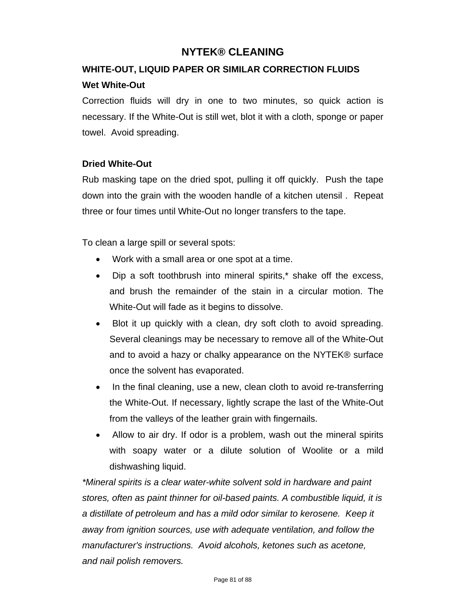# **WHITE-OUT, LIQUID PAPER OR SIMILAR CORRECTION FLUIDS**

## **Wet White-Out**

Correction fluids will dry in one to two minutes, so quick action is necessary. If the White-Out is still wet, blot it with a cloth, sponge or paper towel. Avoid spreading.

## **Dried White-Out**

Rub masking tape on the dried spot, pulling it off quickly. Push the tape down into the grain with the wooden handle of a kitchen utensil . Repeat three or four times until White-Out no longer transfers to the tape.

To clean a large spill or several spots:

- Work with a small area or one spot at a time.
- Dip a soft toothbrush into mineral spirits,\* shake off the excess, and brush the remainder of the stain in a circular motion. The White-Out will fade as it begins to dissolve.
- Blot it up quickly with a clean, dry soft cloth to avoid spreading. Several cleanings may be necessary to remove all of the White-Out and to avoid a hazy or chalky appearance on the NYTEK® surface once the solvent has evaporated.
- In the final cleaning, use a new, clean cloth to avoid re-transferring the White-Out. If necessary, lightly scrape the last of the White-Out from the valleys of the leather grain with fingernails.
- Allow to air dry. If odor is a problem, wash out the mineral spirits with soapy water or a dilute solution of Woolite or a mild dishwashing liquid.

*\*Mineral spirits is a clear water-white solvent sold in hardware and paint stores, often as paint thinner for oil-based paints. A combustible liquid, it is a distillate of petroleum and has a mild odor similar to kerosene. Keep it away from ignition sources, use with adequate ventilation, and follow the manufacturer's instructions. Avoid alcohols, ketones such as acetone, and nail polish removers.*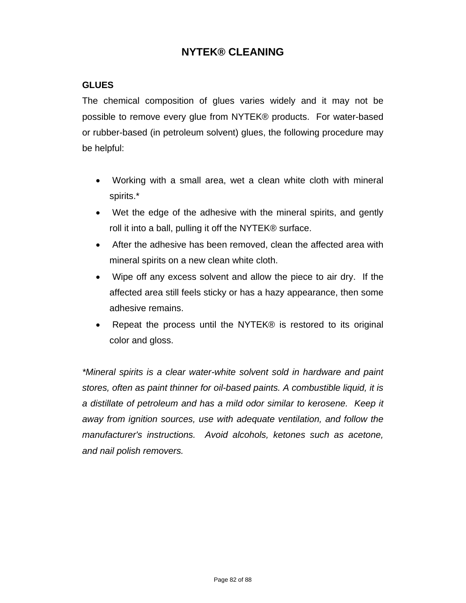## **GLUES**

The chemical composition of glues varies widely and it may not be possible to remove every glue from NYTEK® products. For water-based or rubber-based (in petroleum solvent) glues, the following procedure may be helpful:

- Working with a small area, wet a clean white cloth with mineral spirits.\*
- Wet the edge of the adhesive with the mineral spirits, and gently roll it into a ball, pulling it off the NYTEK® surface.
- After the adhesive has been removed, clean the affected area with mineral spirits on a new clean white cloth.
- Wipe off any excess solvent and allow the piece to air dry. If the affected area still feels sticky or has a hazy appearance, then some adhesive remains.
- Repeat the process until the NYTEK® is restored to its original color and gloss.

*\*Mineral spirits is a clear water-white solvent sold in hardware and paint stores, often as paint thinner for oil-based paints. A combustible liquid, it is a distillate of petroleum and has a mild odor similar to kerosene. Keep it away from ignition sources, use with adequate ventilation, and follow the manufacturer's instructions. Avoid alcohols, ketones such as acetone, and nail polish removers.*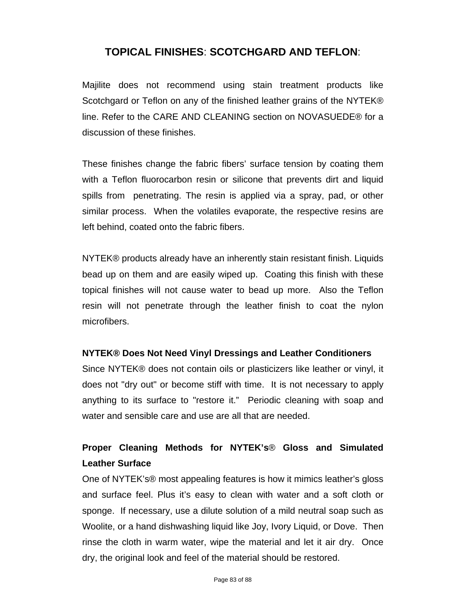## **TOPICAL FINISHES**: **SCOTCHGARD AND TEFLON**:

Majilite does not recommend using stain treatment products like Scotchgard or Teflon on any of the finished leather grains of the NYTEK® line. Refer to the CARE AND CLEANING section on NOVASUEDE® for a discussion of these finishes.

These finishes change the fabric fibers' surface tension by coating them with a Teflon fluorocarbon resin or silicone that prevents dirt and liquid spills from penetrating. The resin is applied via a spray, pad, or other similar process. When the volatiles evaporate, the respective resins are left behind, coated onto the fabric fibers.

NYTEK® products already have an inherently stain resistant finish. Liquids bead up on them and are easily wiped up. Coating this finish with these topical finishes will not cause water to bead up more. Also the Teflon resin will not penetrate through the leather finish to coat the nylon microfibers.

#### **NYTEK® Does Not Need Vinyl Dressings and Leather Conditioners**

Since NYTEK® does not contain oils or plasticizers like leather or vinyl, it does not "dry out" or become stiff with time. It is not necessary to apply anything to its surface to "restore it." Periodic cleaning with soap and water and sensible care and use are all that are needed.

# **Proper Cleaning Methods for NYTEK's**® **Gloss and Simulated Leather Surface**

One of NYTEK's® most appealing features is how it mimics leather's gloss and surface feel. Plus it's easy to clean with water and a soft cloth or sponge. If necessary, use a dilute solution of a mild neutral soap such as Woolite, or a hand dishwashing liquid like Joy, Ivory Liquid, or Dove. Then rinse the cloth in warm water, wipe the material and let it air dry. Once dry, the original look and feel of the material should be restored.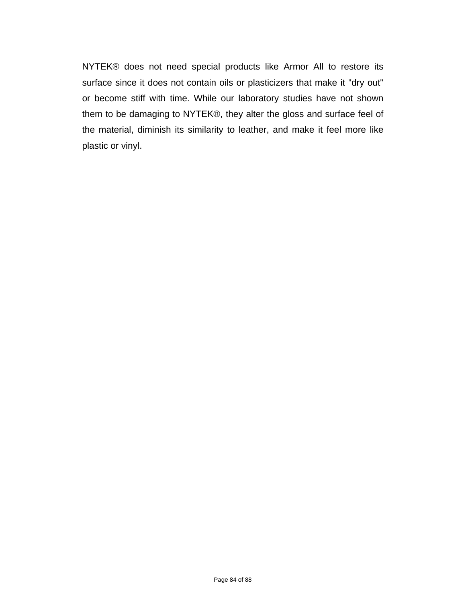NYTEK® does not need special products like Armor All to restore its surface since it does not contain oils or plasticizers that make it "dry out" or become stiff with time. While our laboratory studies have not shown them to be damaging to NYTEK®, they alter the gloss and surface feel of the material, diminish its similarity to leather, and make it feel more like plastic or vinyl.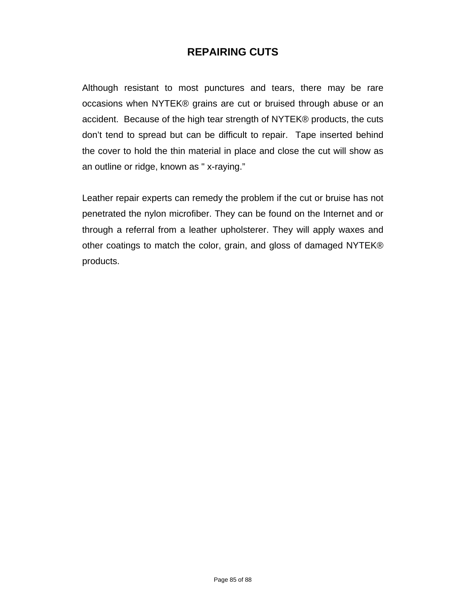# **REPAIRING CUTS**

Although resistant to most punctures and tears, there may be rare occasions when NYTEK® grains are cut or bruised through abuse or an accident. Because of the high tear strength of NYTEK® products, the cuts don't tend to spread but can be difficult to repair. Tape inserted behind the cover to hold the thin material in place and close the cut will show as an outline or ridge, known as " x-raying."

Leather repair experts can remedy the problem if the cut or bruise has not penetrated the nylon microfiber. They can be found on the Internet and or through a referral from a leather upholsterer. They will apply waxes and other coatings to match the color, grain, and gloss of damaged NYTEK® products.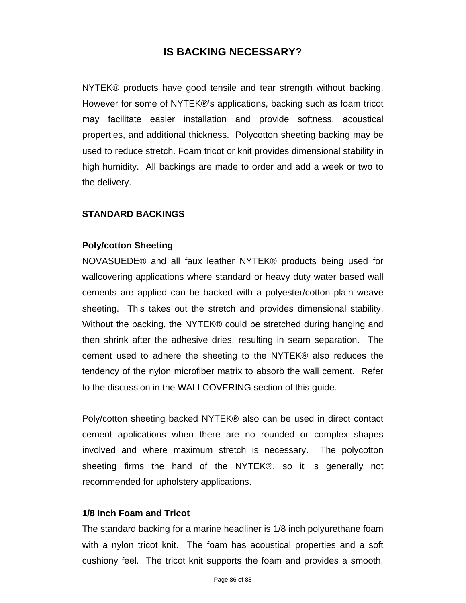# **IS BACKING NECESSARY?**

NYTEK® products have good tensile and tear strength without backing. However for some of NYTEK®'s applications, backing such as foam tricot may facilitate easier installation and provide softness, acoustical properties, and additional thickness. Polycotton sheeting backing may be used to reduce stretch. Foam tricot or knit provides dimensional stability in high humidity. All backings are made to order and add a week or two to the delivery.

#### **STANDARD BACKINGS**

#### **Poly/cotton Sheeting**

NOVASUEDE® and all faux leather NYTEK® products being used for wallcovering applications where standard or heavy duty water based wall cements are applied can be backed with a polyester/cotton plain weave sheeting. This takes out the stretch and provides dimensional stability. Without the backing, the NYTEK® could be stretched during hanging and then shrink after the adhesive dries, resulting in seam separation. The cement used to adhere the sheeting to the NYTEK® also reduces the tendency of the nylon microfiber matrix to absorb the wall cement. Refer to the discussion in the WALLCOVERING section of this guide.

Poly/cotton sheeting backed NYTEK® also can be used in direct contact cement applications when there are no rounded or complex shapes involved and where maximum stretch is necessary. The polycotton sheeting firms the hand of the NYTEK®, so it is generally not recommended for upholstery applications.

## **1/8 Inch Foam and Tricot**

The standard backing for a marine headliner is 1/8 inch polyurethane foam with a nylon tricot knit. The foam has acoustical properties and a soft cushiony feel. The tricot knit supports the foam and provides a smooth,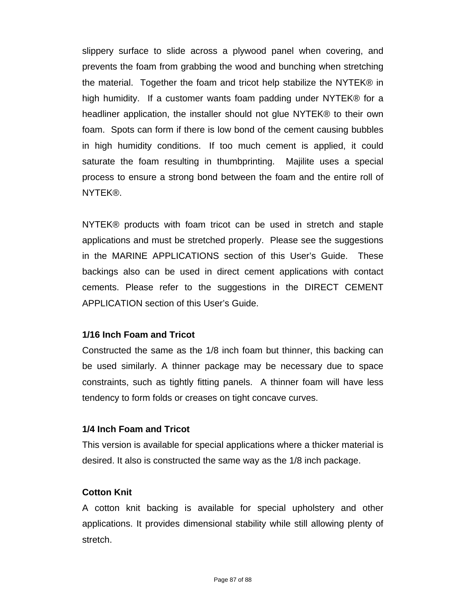slippery surface to slide across a plywood panel when covering, and prevents the foam from grabbing the wood and bunching when stretching the material. Together the foam and tricot help stabilize the NYTEK® in high humidity. If a customer wants foam padding under NYTEK® for a headliner application, the installer should not glue NYTEK® to their own foam. Spots can form if there is low bond of the cement causing bubbles in high humidity conditions. If too much cement is applied, it could saturate the foam resulting in thumbprinting. Majilite uses a special process to ensure a strong bond between the foam and the entire roll of NYTEK®.

NYTEK® products with foam tricot can be used in stretch and staple applications and must be stretched properly. Please see the suggestions in the MARINE APPLICATIONS section of this User's Guide. These backings also can be used in direct cement applications with contact cements. Please refer to the suggestions in the DIRECT CEMENT APPLICATION section of this User's Guide.

## **1/16 Inch Foam and Tricot**

Constructed the same as the 1/8 inch foam but thinner, this backing can be used similarly. A thinner package may be necessary due to space constraints, such as tightly fitting panels. A thinner foam will have less tendency to form folds or creases on tight concave curves.

## **1/4 Inch Foam and Tricot**

This version is available for special applications where a thicker material is desired. It also is constructed the same way as the 1/8 inch package.

## **Cotton Knit**

A cotton knit backing is available for special upholstery and other applications. It provides dimensional stability while still allowing plenty of stretch.